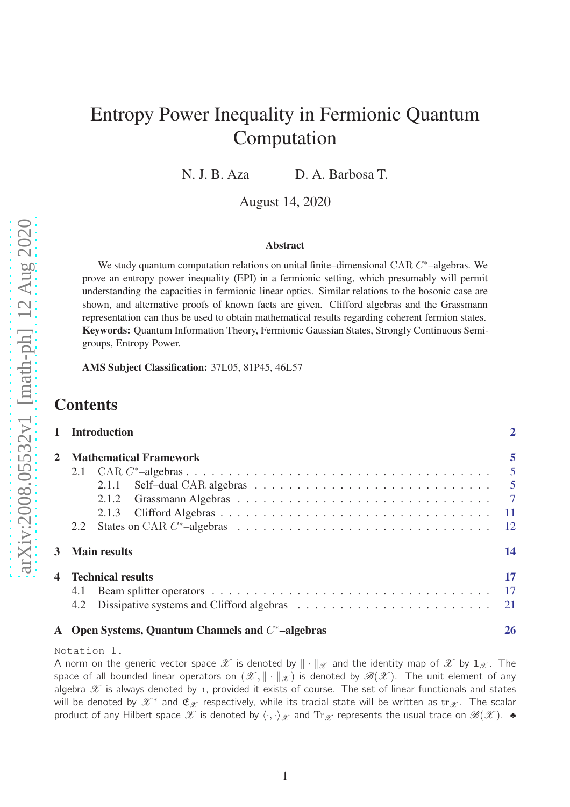# Entropy Power Inequality in Fermionic Quantum Computation

N. J. B. Aza D. A. Barbosa T.

August 14, 2020

#### Abstract

We study quantum computation relations on unital finite–dimensional CAR *C* ∗–algebras. We prove an entropy power inequality (EPI) in a fermionic setting, which presumably will permit understanding the capacities in fermionic linear optics. Similar relations to the bosonic case are shown, and alternative proofs of known facts are given. Clifford algebras and the Grassmann representation can thus be used to obtain mathematical results regarding coherent fermion states. Keywords: Quantum Information Theory, Fermionic Gaussian States, Strongly Continuous Semigroups, Entropy Power.

AMS Subject Classification: 37L05, 81P45, 46L57

# **Contents**

|                                                                                                                                                       | 1 Introduction                                                                                                                                                    |    |  |  |  |  |
|-------------------------------------------------------------------------------------------------------------------------------------------------------|-------------------------------------------------------------------------------------------------------------------------------------------------------------------|----|--|--|--|--|
| $\mathbf{2}$                                                                                                                                          | <b>Mathematical Framework</b><br>Self-dual CAR algebras $\ldots \ldots \ldots \ldots \ldots \ldots \ldots \ldots \ldots \ldots \ldots$<br>2.1.1<br>2.1.2<br>2.1.3 | 5  |  |  |  |  |
| 2.2<br>3<br><b>Main results</b>                                                                                                                       |                                                                                                                                                                   |    |  |  |  |  |
| 4<br><b>Technical results</b><br>4.1<br>Dissipative systems and Clifford algebras $\ldots \ldots \ldots \ldots \ldots \ldots \ldots \ldots 21$<br>4.2 |                                                                                                                                                                   |    |  |  |  |  |
|                                                                                                                                                       | A Open Systems, Quantum Channels and $C^*$ -algebras                                                                                                              | 26 |  |  |  |  |

Notation 1.

A norm on the generic vector space  $\mathscr X$  is denoted by  $\|\cdot\|_{\mathscr X}$  and the identity map of  $\mathscr X$  by  $\mathbf{1}_{\mathscr X}$ . The space of all bounded linear operators on  $(\mathscr{X}, \|\cdot\|_{\mathscr{X}})$  is denoted by  $\mathscr{B}(\mathscr{X})$ . The unit element of any algebra  $\mathscr X$  is always denoted by 1, provided it exists of course. The set of linear functionals and states will be denoted by  $\mathscr{X}^*$  and  $\mathfrak{E}_{\mathscr{X}}$  respectively, while its tracial state will be written as  $\text{tr}_{\mathscr{X}}$ . The scalar product of any Hilbert space  $\mathscr X$  is denoted by  $\langle \cdot, \cdot \rangle_{\mathscr X}$  and  $\text{Tr}_{\mathscr X}$  represents the usual trace on  $\mathscr B(\mathscr X)$ .  $\bullet$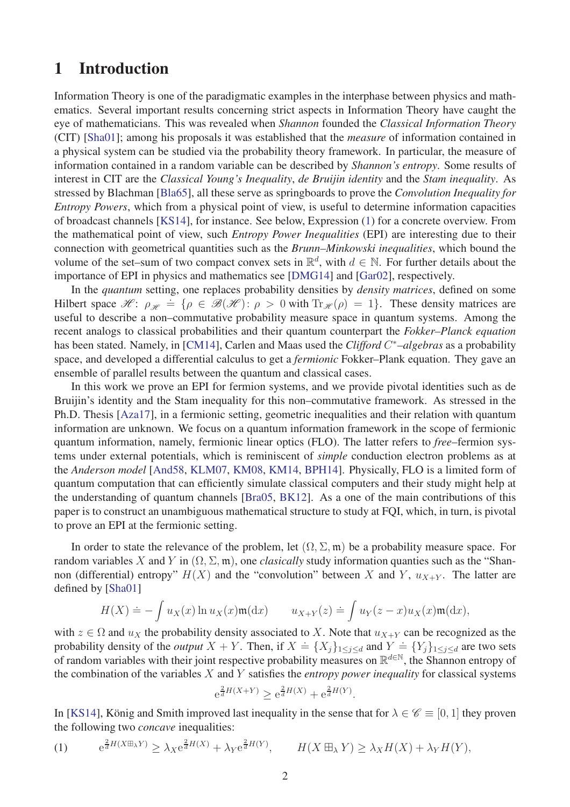# <span id="page-1-0"></span>1 Introduction

Information Theory is one of the paradigmatic examples in the interphase between physics and mathematics. Several important results concerning strict aspects in Information Theory have caught the eye of mathematicians. This was revealed when *Shannon* founded the *Classical Information Theory* (CIT) [\[Sha01\]](#page-31-0); among his proposals it was established that the *measure* of information contained in a physical system can be studied via the probability theory framework. In particular, the measure of information contained in a random variable can be described by *Shannon's entropy*. Some results of interest in CIT are the *Classical Young's Inequality*, *de Bruijin identity* and the *Stam inequality*. As stressed by Blachman [\[Bla65\]](#page-29-0), all these serve as springboards to prove the *Convolution Inequality for Entropy Powers*, which from a physical point of view, is useful to determine information capacities of broadcast channels [\[KS14\]](#page-31-1), for instance. See below, Expression [\(1\)](#page-1-1) for a concrete overview. From the mathematical point of view, such *Entropy Power Inequalities* (EPI) are interesting due to their connection with geometrical quantities such as the *Brunn–Minkowski inequalities*, which bound the volume of the set–sum of two compact convex sets in  $\mathbb{R}^d$ , with  $d \in \mathbb{N}$ . For further details about the importance of EPI in physics and mathematics see [\[DMG14\]](#page-30-0) and [\[Gar02\]](#page-30-1), respectively.

In the *quantum* setting, one replaces probability densities by *density matrices*, defined on some Hilbert space  $\mathcal{H}$ :  $\rho_{\mathcal{H}} \doteq {\rho \in \mathcal{B}(\mathcal{H}) : \rho > 0 \text{ with } \text{Tr}_{\mathcal{H}}(\rho) = 1}.$  These density matrices are useful to describe a non–commutative probability measure space in quantum systems. Among the recent analogs to classical probabilities and their quantum counterpart the *Fokker–Planck equation* has been stated. Namely, in [\[CM14\]](#page-30-2), Carlen and Maas used the *Clifford C* <sup>∗</sup>*–algebras* as a probability space, and developed a differential calculus to get a *fermionic* Fokker–Plank equation. They gave an ensemble of parallel results between the quantum and classical cases.

In this work we prove an EPI for fermion systems, and we provide pivotal identities such as de Bruijin's identity and the Stam inequality for this non–commutative framework. As stressed in the Ph.D. Thesis [\[Aza17\]](#page-29-1), in a fermionic setting, geometric inequalities and their relation with quantum information are unknown. We focus on a quantum information framework in the scope of fermionic quantum information, namely, fermionic linear optics (FLO). The latter refers to *free*–fermion systems under external potentials, which is reminiscent of *simple* conduction electron problems as at the *Anderson model* [\[And58,](#page-29-2) [KLM07,](#page-30-3) [KM08,](#page-31-2) [KM14,](#page-31-3) [BPH14\]](#page-29-3). Physically, FLO is a limited form of quantum computation that can efficiently simulate classical computers and their study might help at the understanding of quantum channels [\[Bra05,](#page-30-4) [BK12\]](#page-29-4). As a one of the main contributions of this paper is to construct an unambiguous mathematical structure to study at FQI, which, in turn, is pivotal to prove an EPI at the fermionic setting.

In order to state the relevance of the problem, let  $(\Omega, \Sigma, \mathfrak{m})$  be a probability measure space. For random variables X and Y in  $(\Omega, \Sigma, \mathfrak{m})$ , one *clasically* study information quanties such as the "Shannon (differential) entropy"  $H(X)$  and the "convolution" between X and Y,  $u_{X+Y}$ . The latter are defined by [\[Sha01\]](#page-31-0)

$$
H(X) \doteq -\int u_X(x) \ln u_X(x) \mathfrak{m}(\mathrm{d}x) \qquad u_{X+Y}(z) \doteq \int u_Y(z-x) u_X(x) \mathfrak{m}(\mathrm{d}x),
$$

with  $z \in \Omega$  and  $u_X$  the probability density associated to X. Note that  $u_{X+Y}$  can be recognized as the probability density of the *output*  $X + Y$ . Then, if  $X = \{X_j\}_{1 \leq j \leq d}$  and  $Y = \{Y_j\}_{1 \leq j \leq d}$  are two sets of random variables with their joint respective probability measures on  $\mathbb{R}^{d \in \mathbb{N}}$ , the Shannon entropy of the combination of the variables *X* and *Y* satisfies the *entropy power inequality* for classical systems

$$
e^{\frac{2}{d}H(X+Y)} \ge e^{\frac{2}{d}H(X)} + e^{\frac{2}{d}H(Y)}.
$$

In [\[KS14\]](#page-31-1), König and Smith improved last inequality in the sense that for  $\lambda \in \mathscr{C} \equiv [0, 1]$  they proven the following two *concave* inequalities:

<span id="page-1-1"></span>(1) 
$$
e^{\frac{2}{d}H(X \boxplus_{\lambda} Y)} \geq \lambda_X e^{\frac{2}{d}H(X)} + \lambda_Y e^{\frac{2}{d}H(Y)}, \qquad H(X \boxplus_{\lambda} Y) \geq \lambda_X H(X) + \lambda_Y H(Y),
$$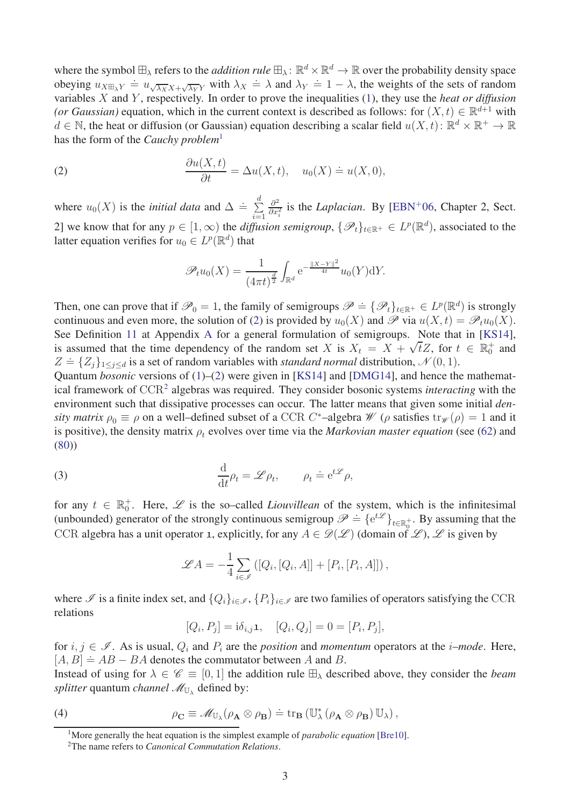where the symbol  $\boxplus_\lambda$  refers to the *addition rule*  $\boxplus_\lambda$ :  $\mathbb{R}^d \times \mathbb{R}^d \to \mathbb{R}$  over the probability density space obeying  $u_{X\boxplus_{\lambda}Y} = u_{\sqrt{\lambda_X}X + \sqrt{\lambda_Y}Y}$  with  $\lambda_X = \lambda$  and  $\lambda_Y = 1 - \lambda$ , the weights of the sets of random variables *X* and *Y* , respectively. In order to prove the inequalities [\(1\)](#page-1-1), they use the *heat or diffusion (or Gaussian)* equation, which in the current context is described as follows: for  $(X, t) \in \mathbb{R}^{d+1}$  with  $d \in \mathbb{N}$ , the heat or diffusion (or Gaussian) equation describing a scalar field  $u(X, t)$ :  $\mathbb{R}^d \times \mathbb{R}^+ \to \mathbb{R}$ has the form of the *Cauchy problem*[1](#page-2-0)

(2) 
$$
\frac{\partial u(X,t)}{\partial t} = \Delta u(X,t), \quad u_0(X) \doteq u(X,0),
$$

where  $u_0(X)$  is the *initial data* and  $\Delta = \sum^d$ *i*=1 *∂* 2  $\frac{\partial^2}{\partial x_i^2}$  is the *Laplacian*. By [\[EBN](#page-30-5)<sup>+</sup>06, Chapter 2, Sect. 2] we know that for any  $p \in [1, \infty)$  the *diffusion semigroup*,  $\{\mathscr{P}_t\}_{t \in \mathbb{R}^+} \in L^p(\mathbb{R}^d)$ , associated to the latter equation verifies for  $u_0 \in L^p(\mathbb{R}^d)$  that

<span id="page-2-1"></span>
$$
\mathscr{P}_{t}u_{0}(X) = \frac{1}{(4\pi t)^{\frac{d}{2}}}\int_{\mathbb{R}^{d}} \mathrm{e}^{-\frac{\|X-Y\|^{2}}{4t}}u_{0}(Y)\mathrm{d}Y.
$$

Then, one can prove that if  $\mathcal{P}_0 = 1$ , the family of semigroups  $\mathcal{P} \doteq \{ \mathcal{P}_t \}_{t \in \mathbb{R}^+} \in L^p(\mathbb{R}^d)$  is strongly continuous and even more, the solution of [\(2\)](#page-2-1) is provided by  $u_0(X)$  and P via  $u(X,t) = \mathcal{P}_t u_0(X)$ . See Definition [11](#page-26-0) at Appendix [A](#page-25-0) for a general formulation of semigroups. Note that in [\[KS14\]](#page-31-1), is assumed that the time dependency of the random set *X* is  $X_t = X + \sqrt{t}Z$ , for  $t \in \mathbb{R}_0^+$  and  $Z = \{Z_j\}_{1 \leq j \leq d}$  is a set of random variables with *standard normal* distribution,  $\mathcal{N}(0, 1)$ .

Quantum *bosonic* versions of [\(1\)](#page-1-1)–[\(2\)](#page-2-1) were given in [\[KS14\]](#page-31-1) and [\[DMG14\]](#page-30-0), and hence the mathematical framework of CCR[2](#page-2-2) algebras was required. They consider bosonic systems *interacting* with the environment such that dissipative processes can occur. The latter means that given some initial *density matrix*  $\rho_0 \equiv \rho$  on a well–defined subset of a CCR *C*<sup>\*</sup>–algebra *W* ( $\rho$  satisfies  $\text{tr}_{\mathscr{W}}(\rho) = 1$  and it is positive), the density matrix  $\rho_t$  evolves over time via the *Markovian master equation* (see [\(62\)](#page-20-1) and [\(80\)](#page-27-0))

(3) 
$$
\frac{\mathrm{d}}{\mathrm{d}t}\rho_t = \mathscr{L}\rho_t, \qquad \rho_t \doteq \mathrm{e}^{t\mathscr{L}}\rho,
$$

for any  $t \in \mathbb{R}_0^+$ . Here,  $\mathscr L$  is the so-called *Liouvillean* of the system, which is the infinitesimal (unbounded) generator of the strongly continuous semigroup  $\mathscr{P} \doteq \{e^{t\mathscr{L}}\}_{t\in\mathbb{R}_{0}^{+}}$ . By assuming that the CCR algebra has a unit operator 1, explicitly, for any  $A \in \mathcal{D}(\mathcal{L})$  (domain of  $\mathcal{L}$ ),  $\mathcal{L}$  is given by

$$
\mathscr{L}A = -\frac{1}{4} \sum_{i \in \mathscr{I}} \left( [Q_i, [Q_i, A]] + [P_i, [P_i, A]] \right),
$$

where  $\mathcal I$  is a finite index set, and  $\{Q_i\}_{i\in\mathcal I}$ ,  $\{P_i\}_{i\in\mathcal I}$  are two families of operators satisfying the CCR relations

<span id="page-2-3"></span>
$$
[Q_i, P_j] = i\delta_{i,j}\mathbf{1}, \quad [Q_i, Q_j] = 0 = [P_i, P_j],
$$

for  $i, j \in \mathcal{I}$ . As is usual,  $Q_i$  and  $P_i$  are the *position* and *momentum* operators at the *i*–*mode*. Here,  $[A, B] \doteq AB - BA$  denotes the commutator between *A* and *B*.

Instead of using for  $\lambda \in \mathscr{C} \equiv [0, 1]$  the addition rule  $\mathbb{H}_{\lambda}$  described above, they consider the *beam splitter* quantum *channel*  $\mathscr{M}_{\mathbb{U}_{\lambda}}$  defined by:

(4) 
$$
\rho_{\mathbf{C}} \equiv \mathscr{M}_{\mathbb{U}_{\lambda}}(\rho_{\mathbf{A}} \otimes \rho_{\mathbf{B}}) \doteq \operatorname{tr}_{\mathbf{B}} (\mathbb{U}_{\lambda}^{*}(\rho_{\mathbf{A}} \otimes \rho_{\mathbf{B}}) \mathbb{U}_{\lambda}),
$$

<sup>1</sup>More generally the heat equation is the simplest example of *parabolic equation* [\[Bre10\]](#page-30-6).

<span id="page-2-2"></span><span id="page-2-0"></span><sup>2</sup>The name refers to *Canonical Commutation Relations*.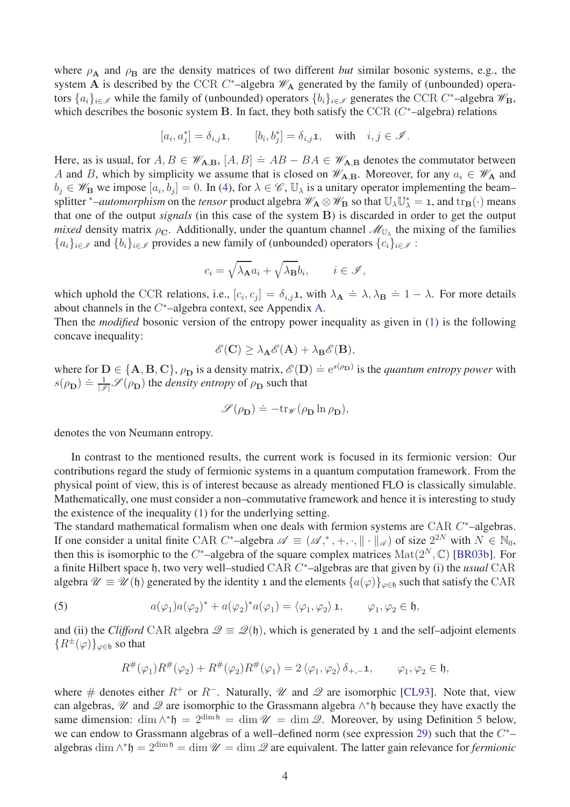where  $\rho_A$  and  $\rho_B$  are the density matrices of two different *but* similar bosonic systems, e.g., the system  $\overline{A}$  is described by the CCR  $C^*$ -algebra  $\mathscr{W}_A$  generated by the family of (unbounded) operators  $\{a_i\}_{i \in \mathcal{I}}$  while the family of (unbounded) operators  $\{b_i\}_{i \in \mathcal{I}}$  generates the CCR *C*<sup>\*</sup>-algebra  $\mathcal{W}_{\mathbf{B}}$ , which describes the bosonic system **B**. In fact, they both satisfy the CCR ( $C^*$ -algebra) relations

$$
[a_i, a_j^*] = \delta_{i,j} \mathbf{1}, \qquad [b_i, b_j^*] = \delta_{i,j} \mathbf{1}, \quad \text{with} \quad i, j \in \mathcal{I}.
$$

Here, as is usual, for  $A, B \in \mathcal{W}_{A,B}$ ,  $[A, B] = AB - BA \in \mathcal{W}_{A,B}$  denotes the commutator between *A* and *B*, which by simplicity we assume that is closed on  $\mathscr{W}_{A,B}$ . Moreover, for any  $a_i \in \mathscr{W}_{A}$  and  $b_j \in \mathscr{W}_B$  we impose  $[a_i, b_j] = 0$ . In [\(4\)](#page-2-3), for  $\lambda \in \mathscr{C}$ ,  $\mathbb{U}_{\lambda}$  is a unitary operator implementing the beam– splitter \**–automorphism* on the *tensor* product algebra  $\mathscr{W}_{A} \otimes \mathscr{W}_{B}$  so that  $\mathbb{U}_{\lambda} \mathbb{U}_{\lambda}^{*} = \mathbf{1}$ , and  $\text{tr}_{B}(\cdot)$  means that one of the output *signals* (in this case of the system **B**) is discarded in order to get the output *mixed* density matrix  $\rho_{\mathbf{C}}$ . Additionally, under the quantum channel  $\mathscr{M}_{\mathbb{U}_{\lambda}}$  the mixing of the families  ${a_i}_{i \in \mathcal{I}}$  and  ${b_i}_{i \in \mathcal{I}}$  provides a new family of (unbounded) operators  ${c_i}_{i \in \mathcal{I}}$ :

$$
c_i = \sqrt{\lambda_{\mathbf{A}}} a_i + \sqrt{\lambda_{\mathbf{B}}} b_i, \qquad i \in \mathscr{I},
$$

which uphold the CCR relations, i.e.,  $[c_i, c_j] = \delta_{i,j}$ **1**, with  $\lambda_{\mathbf{A}} \doteq \lambda, \lambda_{\mathbf{B}} \doteq 1 - \lambda$ . For more details about channels in the *C* <sup>∗</sup>–algebra context, see Appendix [A.](#page-25-0)

Then the *modified* bosonic version of the entropy power inequality as given in [\(1\)](#page-1-1) is the following concave inequality:

$$
\mathscr{E}(\mathbf{C}) \geq \lambda_{\mathbf{A}} \mathscr{E}(\mathbf{A}) + \lambda_{\mathbf{B}} \mathscr{E}(\mathbf{B}),
$$

where for  $D \in \{A, B, C\}$ ,  $\rho_D$  is a density matrix,  $\mathcal{E}(D) = e^{s(\rho_D)}$  is the *quantum entropy power* with  $s(\rho_{\bf D}) \doteq \frac{1}{|\mathcal{I}|} \mathcal{S}(\rho_{\bf D})$  the *density entropy* of  $\rho_{\bf D}$  such that

$$
\mathscr{S}(\rho_{\mathbf{D}}) \doteq -\mathrm{tr}_{\mathscr{W}}(\rho_{\mathbf{D}}\ln \rho_{\mathbf{D}}),
$$

denotes the von Neumann entropy.

In contrast to the mentioned results, the current work is focused in its fermionic version: Our contributions regard the study of fermionic systems in a quantum computation framework. From the physical point of view, this is of interest because as already mentioned FLO is classically simulable. Mathematically, one must consider a non–commutative framework and hence it is interesting to study the existence of the inequality [\(1\)](#page-1-1) for the underlying setting.

The standard mathematical formalism when one deals with fermion systems are CAR C<sup>\*</sup>-algebras. If one consider a unital finite CAR  $C^*$ -algebra  $\mathscr{A} \equiv (\mathscr{A},^*, +, \cdot, \| \cdot \|_{\mathscr{A}})$  of size  $2^{2N}$  with  $N \in \mathbb{N}_0$ , then this is isomorphic to the  $C^*$ -algebra of the square complex matrices  $\text{Mat}(2^N, \mathbb{C})$  [\[BR03b\]](#page-29-5). For a finite Hilbert space h, two very well–studied CAR *C* <sup>∗</sup>–algebras are that given by (i) the *usual* CAR algebra  $\mathcal{U} \equiv \mathcal{U}(\mathfrak{h})$  generated by the identity 1 and the elements  $\{a(\varphi)\}_{\varphi \in \mathfrak{h}}$  such that satisfy the CAR

(5) 
$$
a(\varphi_1)a(\varphi_2)^* + a(\varphi_2)^*a(\varphi_1) = \langle \varphi_1, \varphi_2 \rangle \mathbf{1}, \qquad \varphi_1, \varphi_2 \in \mathfrak{h},
$$

and (ii) the *Clifford* CAR algebra  $\mathcal{Q} \equiv \mathcal{Q}(\mathfrak{h})$ , which is generated by 1 and the self-adjoint elements  ${R^{\pm}(\varphi)}_{\varphi \in \mathfrak{h}}$  so that

<span id="page-3-0"></span>
$$
R^{\#}(\varphi_1)R^{\#}(\varphi_2) + R^{\#}(\varphi_2)R^{\#}(\varphi_1) = 2 \langle \varphi_1, \varphi_2 \rangle \delta_{+,-} \mathbf{1}, \qquad \varphi_1, \varphi_2 \in \mathfrak{h},
$$

where # denotes either  $R^+$  or  $R^-$ . Naturally,  $\mathcal U$  and  $\mathcal Q$  are isomorphic [\[CL93\]](#page-30-7). Note that, view can algebras,  $\mathcal U$  and  $\mathcal Q$  are isomorphic to the Grassmann algebra  $\wedge^*$ h because they have exactly the same dimension: dim  $\wedge^* \mathfrak{h} = 2^{\dim \mathfrak{h}} = \dim \mathcal{U} = \dim \mathcal{Q}$ . Moreover, by using Definition [5](#page-8-0) below, we can endow to Grassmann algebras of a well–defined norm (see expression [29\)](#page-9-0) such that the *C* ∗– algebras dim  $\wedge^* \mathfrak{h} = 2^{\dim \mathfrak{h}} = \dim \mathcal{U} = \dim \mathcal{Q}$  are equivalent. The latter gain relevance for *fermionic*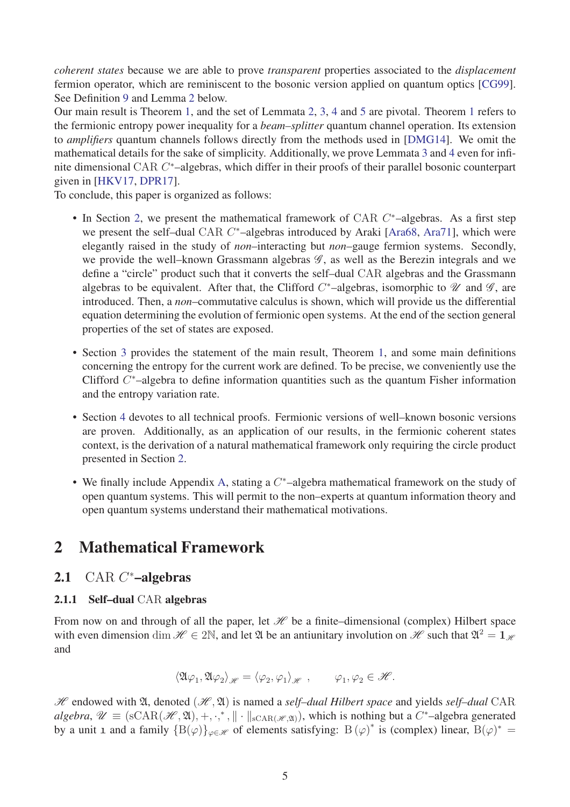*coherent states* because we are able to prove *transparent* properties associated to the *displacement* fermion operator, which are reminiscent to the bosonic version applied on quantum optics [\[CG99\]](#page-30-8). See Definition [9](#page-17-0) and Lemma [2](#page-18-0) below.

Our main result is Theorem [1,](#page-14-0) and the set of Lemmata [2,](#page-18-0) [3,](#page-21-0) [4](#page-22-0) and [5](#page-23-0) are pivotal. Theorem [1](#page-14-0) refers to the fermionic entropy power inequality for a *beam–splitter* quantum channel operation. Its extension to *amplifiers* quantum channels follows directly from the methods used in [\[DMG14\]](#page-30-0). We omit the mathematical details for the sake of simplicity. Additionally, we prove Lemmata [3](#page-21-0) and [4](#page-22-0) even for infinite dimensional CAR *C* <sup>∗</sup>–algebras, which differ in their proofs of their parallel bosonic counterpart given in [\[HKV17,](#page-30-9) [DPR17\]](#page-30-10).

To conclude, this paper is organized as follows:

- In Section [2,](#page-4-0) we present the mathematical framework of CAR *C* <sup>∗</sup>–algebras. As a first step we present the self–dual CAR *C*<sup>\*</sup>–algebras introduced by Araki [\[Ara68,](#page-29-6) [Ara71\]](#page-29-7), which were elegantly raised in the study of *non*–interacting but *non*–gauge fermion systems. Secondly, we provide the well–known Grassmann algebras  $\mathscr{G}$ , as well as the Berezin integrals and we define a "circle" product such that it converts the self–dual CAR algebras and the Grassmann algebras to be equivalent. After that, the Clifford  $C^*$ -algebras, isomorphic to  $\mathscr U$  and  $\mathscr G$ , are introduced. Then, a *non*–commutative calculus is shown, which will provide us the differential equation determining the evolution of fermionic open systems. At the end of the section general properties of the set of states are exposed.
- Section [3](#page-13-0) provides the statement of the main result, Theorem [1,](#page-14-0) and some main definitions concerning the entropy for the current work are defined. To be precise, we conveniently use the Clifford *C* <sup>∗</sup>–algebra to define information quantities such as the quantum Fisher information and the entropy variation rate.
- Section [4](#page-16-0) devotes to all technical proofs. Fermionic versions of well–known bosonic versions are proven. Additionally, as an application of our results, in the fermionic coherent states context, is the derivation of a natural mathematical framework only requiring the circle product presented in Section [2.](#page-4-0)
- We finally include Appendix [A,](#page-25-0) stating a *C* <sup>∗</sup>–algebra mathematical framework on the study of open quantum systems. This will permit to the non–experts at quantum information theory and open quantum systems understand their mathematical motivations.

# <span id="page-4-1"></span><span id="page-4-0"></span>2 Mathematical Framework

# <span id="page-4-2"></span>2.1 CAR *C* <sup>∗</sup>–algebras

### 2.1.1 Self–dual CAR algebras

From now on and through of all the paper, let  $\mathcal H$  be a finite–dimensional (complex) Hilbert space with even dimension dim  $\mathcal{H} \in 2\mathbb{N}$ , and let  $\mathfrak{A}$  be an antiunitary involution on  $\mathcal{H}$  such that  $\mathfrak{A}^2 = 1_{\mathcal{H}}$ and

$$
\langle \mathfrak{A} \varphi_1, \mathfrak{A} \varphi_2 \rangle_{\mathscr{H}} = \langle \varphi_2, \varphi_1 \rangle_{\mathscr{H}}, \qquad \varphi_1, \varphi_2 \in \mathscr{H}.
$$

 $H$  endowed with  $\mathfrak{A}$ , denoted  $(\mathcal{H}, \mathfrak{A})$  is named a *self-dual Hilbert space* and yields *self-dual* CAR  $algebra, \mathscr{U} \equiv (sCAR(\mathscr{H}, \mathfrak{A}), +, \cdot,^*, \| \cdot \|_{sCAR(\mathscr{H}, \mathfrak{A})})$ , which is nothing but a *C*<sup>\*</sup>-algebra generated by a unit 1 and a family  ${B(\varphi)}_{\varphi \in \mathcal{H}}$  of elements satisfying:  $B(\varphi)^*$  is (complex) linear,  $B(\varphi)^* =$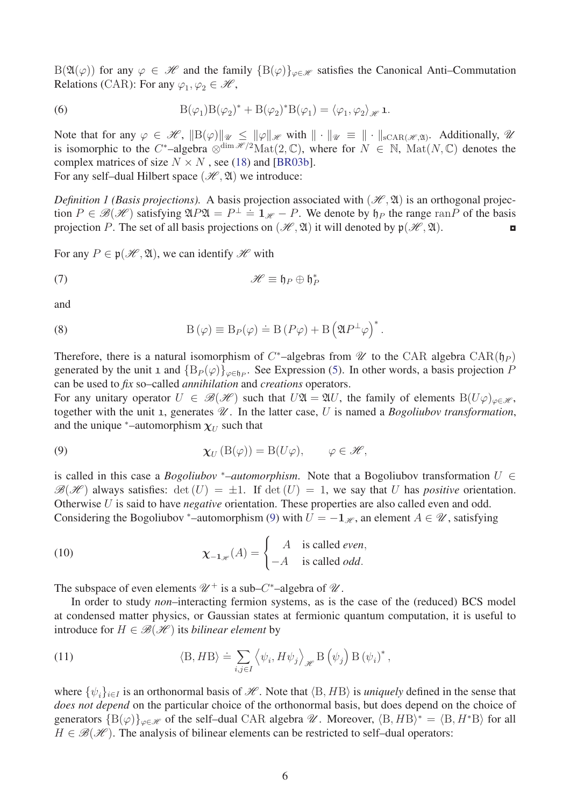B( $\mathfrak{A}(\varphi)$ ) for any  $\varphi \in \mathcal{H}$  and the family  $\{B(\varphi)\}_{\varphi \in \mathcal{H}}$  satisfies the Canonical Anti–Commutation Relations (CAR): For any  $\varphi_1, \varphi_2 \in \mathcal{H}$ ,

<span id="page-5-3"></span>(6) 
$$
B(\varphi_1)B(\varphi_2)^* + B(\varphi_2)^*B(\varphi_1) = \langle \varphi_1, \varphi_2 \rangle_{\mathscr{H}} \mathbf{1}.
$$

Note that for any  $\varphi \in \mathscr{H}$ ,  $||B(\varphi)||_{\mathscr{U}} \le ||\varphi||_{\mathscr{H}}$  with  $|| \cdot ||_{\mathscr{U}} \equiv || \cdot ||_{sCAR(\mathscr{H}, \mathfrak{A})}$ . Additionally,  $\mathscr{U}$ is isomorphic to the  $C^*$ -algebra  $\otimes^{\dim \mathcal{H}/2}\text{Mat}(2,\mathbb{C})$ , where for  $N \in \mathbb{N}$ ,  $\text{Mat}(N,\mathbb{C})$  denotes the complex matrices of size  $N \times N$ , see [\(18\)](#page-7-0) and [\[BR03b\]](#page-29-5). For any self-dual Hilbert space  $(\mathcal{H}, \mathfrak{A})$  we introduce:

<span id="page-5-1"></span>*Definition 1 (Basis projections).* A basis projection associated with  $(\mathcal{H}, \mathfrak{A})$  is an orthogonal projection  $P \in \mathcal{B}(\mathcal{H})$  satisfying  $\mathfrak{A}P\mathfrak{A} = P^{\perp} = 1_{\mathcal{H}} - P$ . We denote by  $\mathfrak{h}_P$  the range ran $P$  of the basis projection *P*. The set of all basis projections on  $(\mathcal{H}, \mathfrak{A})$  it will denoted by  $\mathfrak{p}(\mathcal{H}, \mathfrak{A})$ .

For any  $P \in \mathfrak{p}(\mathcal{H}, \mathfrak{A})$ , we can identify  $\mathcal{H}$  with

<span id="page-5-4"></span>(7) 
$$
\mathscr{H} \equiv \mathfrak{h}_P \oplus \mathfrak{h}_P^*
$$

and

(8) 
$$
B(\varphi) \equiv B_P(\varphi) \doteq B(P\varphi) + B\left(\mathfrak{A}P^{\perp}\varphi\right)^*.
$$

Therefore, there is a natural isomorphism of  $C^*$ -algebras from  $\mathscr U$  to the CAR algebra  $CAR(\mathfrak h_P)$ generated by the unit 1 and  ${B_P(\varphi)}_{\varphi \in \mathfrak{h}_P}$ . See Expression [\(5\)](#page-3-0). In other words, a basis projection *P* can be used to *fix* so–called *annihilation* and *creations* operators.

For any unitary operator  $U \in \mathcal{B}(\mathcal{H})$  such that  $U\mathfrak{A} = \mathfrak{A}U$ , the family of elements  $B(U\varphi)_{\varphi \in \mathcal{H}}$ , together with the unit 1, generates  $\mathcal{U}$ . In the latter case, U is named a *Bogoliubov transformation*, and the unique  $^*$ –automorphism  $\chi_U$  such that

<span id="page-5-0"></span>(9) 
$$
\chi_U(\mathcal{B}(\varphi)) = \mathcal{B}(U\varphi), \qquad \varphi \in \mathscr{H},
$$

is called in this case a *Bogoliubov* \*–automorphism. Note that a Bogoliubov transformation  $U \in$  $\mathscr{B}(\mathscr{H})$  always satisfies:  $\det(U) = \pm 1$ . If  $\det(U) = 1$ , we say that *U* has *positive* orientation. Otherwise *U* is said to have *negative* orientation. These properties are also called even and odd. Considering the Bogoliubov \*–automorphism [\(9\)](#page-5-0) with  $U = -1_{\mathcal{H}}$ , an element  $A \in \mathcal{U}$ , satisfying

<span id="page-5-5"></span>(10) 
$$
\chi_{-1_{\mathscr{H}}}(A) = \begin{cases} A & \text{is called even,} \\ -A & \text{is called odd.} \end{cases}
$$

The subspace of even elements  $\mathcal{U}^+$  is a sub– $C^*$ –algebra of  $\mathcal{U}$ .

In order to study *non*–interacting fermion systems, as is the case of the (reduced) BCS model at condensed matter physics, or Gaussian states at fermionic quantum computation, it is useful to introduce for  $H \in \mathcal{B}(\mathcal{H})$  its *bilinear element* by

<span id="page-5-2"></span>(11) 
$$
\langle B, H B \rangle \doteq \sum_{i,j \in I} \left\langle \psi_i, H \psi_j \right\rangle_{\mathscr{H}} B \left( \psi_j \right) B \left( \psi_i \right)^*,
$$

<span id="page-5-6"></span>where  $\{\psi_i\}_{i\in I}$  is an orthonormal basis of  $\mathcal{H}$ . Note that  $\langle B, HB \rangle$  is *uniquely* defined in the sense that *does not depend* on the particular choice of the orthonormal basis, but does depend on the choice of generators  ${B(\varphi)}_{\varphi \in \mathscr{H}}$  of the self-dual CAR algebra  $\mathscr{U}$ . Moreover,  $\langle B, HB \rangle^* = \langle B, H^*B \rangle$  for all  $H \in \mathcal{B}(\mathcal{H})$ . The analysis of bilinear elements can be restricted to self-dual operators: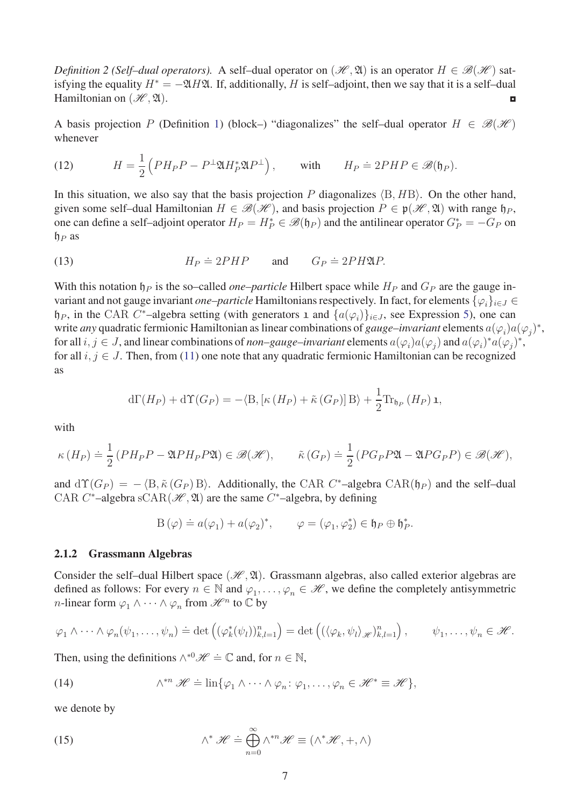*Definition 2 (Self–dual operators).* A self–dual operator on  $(\mathcal{H}, \mathfrak{A})$  is an operator  $H \in \mathcal{B}(\mathcal{H})$  satisfying the equality  $H^* = -\mathfrak{A}H\mathfrak{A}$ . If, additionally, *H* is self–adjoint, then we say that it is a self–dual Hamiltonian on  $(\mathcal{H}, \mathfrak{A})$ .

A basis projection *P* (Definition [1\)](#page-5-1) (block–) "diagonalizes" the self-dual operator  $H \in \mathcal{B}(\mathcal{H})$ whenever

<span id="page-6-1"></span>(12) 
$$
H = \frac{1}{2} \left( PH_P P - P^{\perp} \mathfrak{A} H_P^* \mathfrak{A} P^{\perp} \right), \quad \text{with} \quad H_P \doteq 2P H P \in \mathcal{B}(\mathfrak{h}_P).
$$

In this situation, we also say that the basis projection  $P$  diagonalizes  $\langle B, HB \rangle$ . On the other hand, given some self–dual Hamiltonian  $H \in \mathcal{B}(\mathcal{H})$ , and basis projection  $P \in \mathfrak{p}(\mathcal{H}, \mathfrak{A})$  with range  $\mathfrak{h}_P$ , one can define a self–adjoint operator  $H_P = H_P^* \in \mathcal{B}(\mathfrak{h}_P)$  and the antilinear operator  $G_P^* = -G_P$  on h*<sup>P</sup>* as

(13) 
$$
H_P \doteq 2PHP \quad \text{and} \quad G_P \doteq 2PH\mathfrak{A}P.
$$

With this notation  $\mathfrak{h}_P$  is the so–called *one–particle* Hilbert space while  $H_P$  and  $G_P$  are the gauge invariant and not gauge invariant *one–particle* Hamiltonians respectively. In fact, for elements {*ϕi*}*<sup>i</sup>*∈*<sup>J</sup>* ∈  $h_P$ , in the CAR *C*<sup>\*</sup>-algebra setting (with generators 1 and  $\{a(\varphi_i)\}_{i \in J}$ , see Expression [5\)](#page-3-0), one can write *any* quadratic fermionic Hamiltonian as linear combinations of *gauge–invariant* elements  $a(\varphi_i) a(\varphi_j)^*$ , for all  $i, j \in J$ , and linear combinations of *non–gauge–invariant* elements  $a(\varphi_i)a(\varphi_j)$  and  $a(\varphi_i)^*a(\varphi_j)^*$ , for all  $i, j \in J$ . Then, from [\(11\)](#page-5-2) one note that any quadratic fermionic Hamiltonian can be recognized as

$$
d\Gamma(H_P) + d\Upsilon(G_P) = -\langle B, [\kappa(H_P) + \tilde{\kappa}(G_P)]B \rangle + \frac{1}{2} \text{Tr}_{\mathfrak{h}_P} (H_P) \mathbf{1},
$$

with

$$
\kappa(H_P) \doteq \frac{1}{2} \left( PH_P P - \mathfrak{A} PH_P P \mathfrak{A} \right) \in \mathcal{B}(\mathcal{H}), \qquad \tilde{\kappa}(G_P) \doteq \frac{1}{2} \left( PG_P P \mathfrak{A} - \mathfrak{A} PG_P P \right) \in \mathcal{B}(\mathcal{H}),
$$

and  $d\Upsilon(G_P) = -\langle B, \tilde{\kappa}(G_P) B \rangle$ . Additionally, the CAR *C*<sup>\*</sup>-algebra CAR( $\mathfrak{h}_P$ ) and the self-dual CAR *C*<sup>\*</sup>-algebra sCAR( $\mathcal{H}, \mathfrak{A}$ ) are the same *C*<sup>\*</sup>-algebra, by defining

$$
\mathcal{B}(\varphi) \doteq a(\varphi_1) + a(\varphi_2)^*, \qquad \varphi = (\varphi_1, \varphi_2^*) \in \mathfrak{h}_P \oplus \mathfrak{h}_P^*.
$$

#### <span id="page-6-0"></span>2.1.2 Grassmann Algebras

Consider the self-dual Hilbert space (H,  $\mathfrak{A}$ ). Grassmann algebras, also called exterior algebras are defined as follows: For every  $n \in \mathbb{N}$  and  $\varphi_1, \ldots, \varphi_n \in \mathcal{H}$ , we define the completely antisymmetric *n*-linear form  $\varphi_1 \wedge \cdots \wedge \varphi_n$  from  $\mathcal{H}^n$  to  $\mathbb C$  by

$$
\varphi_1 \wedge \cdots \wedge \varphi_n(\psi_1, \ldots, \psi_n) \doteq \det \left( (\varphi_k^*(\psi_l))_{k,l=1}^n \right) = \det \left( (\langle \varphi_k, \psi_l \rangle_{\mathscr{H}})_{k,l=1}^n \right), \qquad \psi_1, \ldots, \psi_n \in \mathscr{H}.
$$

Then, using the definitions  $\wedge^{*0} \mathscr{H} \doteq \mathbb{C}$  and, for  $n \in \mathbb{N}$ ,

(14) 
$$
\wedge^{*n} \mathscr{H} \doteq \lim \{ \varphi_1 \wedge \cdots \wedge \varphi_n : \varphi_1, \ldots, \varphi_n \in \mathscr{H}^* \equiv \mathscr{H} \},
$$

we denote by

(15) 
$$
\wedge^* \mathscr{H} \doteq \bigoplus_{n=0}^{\infty} \wedge^{*n} \mathscr{H} \equiv (\wedge^* \mathscr{H}, +, \wedge)
$$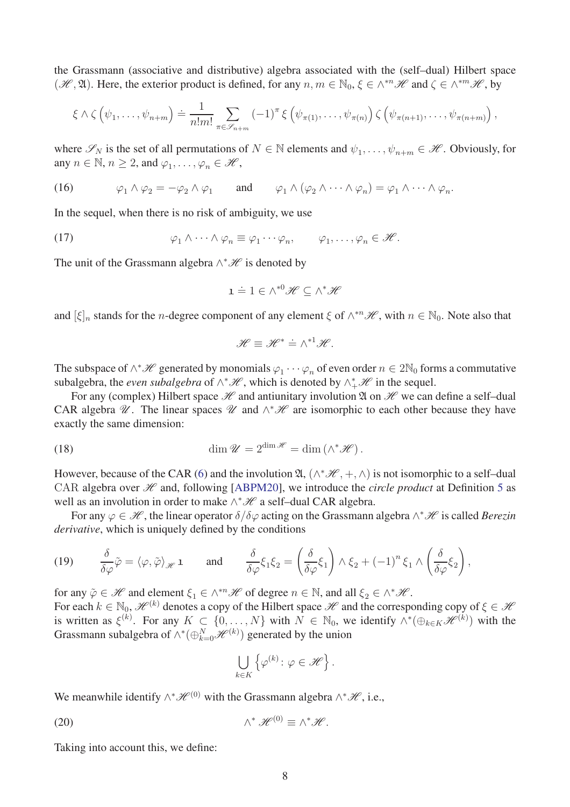the Grassmann (associative and distributive) algebra associated with the (self–dual) Hilbert space  $(\mathcal{H}, \mathfrak{A})$ . Here, the exterior product is defined, for any  $n, m \in \mathbb{N}_0, \xi \in \wedge^{*n} \mathcal{H}$  and  $\zeta \in \wedge^{*m} \mathcal{H}$ , by

$$
\xi \wedge \zeta \left( \psi_1, \ldots, \psi_{n+m} \right) \doteq \frac{1}{n!m!} \sum_{\pi \in \mathscr{S}_{n+m}} (-1)^{\pi} \xi \left( \psi_{\pi(1)}, \ldots, \psi_{\pi(n)} \right) \zeta \left( \psi_{\pi(n+1)}, \ldots, \psi_{\pi(n+m)} \right),
$$

where  $\mathscr{S}_N$  is the set of all permutations of  $N \in \mathbb{N}$  elements and  $\psi_1, \dots, \psi_{n+m} \in \mathscr{H}$ . Obviously, for any  $n \in \mathbb{N}$ ,  $n \ge 2$ , and  $\varphi_1, \ldots, \varphi_n \in \mathcal{H}$ ,

<span id="page-7-1"></span>(16)  $\varphi_1 \wedge \varphi_2 = -\varphi_2 \wedge \varphi_1 \quad \text{and} \quad \varphi_1 \wedge (\varphi_2 \wedge \cdots \wedge \varphi_n) = \varphi_1 \wedge \cdots \wedge \varphi_n.$ 

In the sequel, when there is no risk of ambiguity, we use

(17) 
$$
\varphi_1 \wedge \cdots \wedge \varphi_n \equiv \varphi_1 \cdots \varphi_n, \qquad \varphi_1, \ldots, \varphi_n \in \mathscr{H}.
$$

The unit of the Grassmann algebra  $\wedge^* \mathscr{H}$  is denoted by

<span id="page-7-2"></span>
$$
\mathbf{1} \doteq 1 \in \wedge^{*0} \mathscr{H} \subseteq \wedge^* \mathscr{H}
$$

and  $[\xi]_n$  stands for the *n*-degree component of any element  $\xi$  of  $\wedge^{*n}H$ , with  $n \in \mathbb{N}_0$ . Note also that

<span id="page-7-0"></span>
$$
\mathscr{H} \equiv \mathscr{H}^* \doteq \wedge^{*1} \mathscr{H}.
$$

The subspace of  $\wedge^* \mathcal{H}$  generated by monomials  $\varphi_1 \cdots \varphi_n$  of even order  $n \in 2\mathbb{N}_0$  forms a commutative subalgebra, the *even subalgebra* of  $\wedge^* \mathcal{H}$ , which is denoted by  $\wedge^* _+ \mathcal{H}$  in the sequel.

For any (complex) Hilbert space  $\mathcal H$  and antiunitary involution  $\mathfrak A$  on  $\mathcal H$  we can define a self-dual CAR algebra  $\mathcal{U}$ . The linear spaces  $\mathcal{U}$  and  $\wedge^*\mathcal{H}$  are isomorphic to each other because they have exactly the same dimension:

(18) 
$$
\dim \mathcal{U} = 2^{\dim \mathcal{H}} = \dim \left( \wedge^* \mathcal{H} \right).
$$

However, because of the CAR [\(6\)](#page-5-3) and the involution  $\mathfrak{A}, (\wedge^* \mathcal{H}, +, \wedge)$  is not isomorphic to a self–dual CAR algebra over  $\mathcal{H}$  and, following [\[ABPM20\]](#page-29-8), we introduce the *circle product* at Definition [5](#page-8-0) as well as an involution in order to make  $\wedge^* \mathcal{H}$  a self–dual CAR algebra.

For any  $\varphi \in \mathcal{H}$ , the linear operator  $\delta/\delta\varphi$  acting on the Grassmann algebra  $\wedge^*\mathcal{H}$  is called *Berezin derivative*, which is uniquely defined by the conditions

(19) 
$$
\frac{\delta}{\delta \varphi} \tilde{\varphi} = \langle \varphi, \tilde{\varphi} \rangle_{\mathscr{H}} \mathbf{1} \quad \text{and} \quad \frac{\delta}{\delta \varphi} \xi_1 \xi_2 = \left( \frac{\delta}{\delta \varphi} \xi_1 \right) \wedge \xi_2 + (-1)^n \xi_1 \wedge \left( \frac{\delta}{\delta \varphi} \xi_2 \right),
$$

for any  $\tilde{\varphi} \in \mathcal{H}$  and element  $\xi_1 \in \wedge^{*n} \mathcal{H}$  of degree  $n \in \mathbb{N}$ , and all  $\xi_2 \in \wedge^* \mathcal{H}$ .

For each  $k \in \mathbb{N}_0$ ,  $\mathcal{H}^{(k)}$  denotes a copy of the Hilbert space  $\mathcal{H}$  and the corresponding copy of  $\xi \in \mathcal{H}$ is written as  $\xi^{(k)}$ . For any  $K \subset \{0, \ldots, N\}$  with  $N \in \mathbb{N}_0$ , we identify  $\wedge^*(\bigoplus_{k \in K} \mathcal{H}^{(k)})$  with the Grassmann subalgebra of  $\wedge^*(\bigoplus_{k=0}^N \mathcal{H}^{(k)})$  generated by the union

$$
\bigcup_{k\in K} \left\{ \varphi^{(k)} \colon \varphi \in \mathscr{H} \right\}.
$$

We meanwhile identify  $\wedge^* \mathcal{H}^{(0)}$  with the Grassmann algebra  $\wedge^* \mathcal{H}$ , i.e.,

(20) 
$$
\wedge^* \mathscr{H}^{(0)} \equiv \wedge^* \mathscr{H}.
$$

Taking into account this, we define: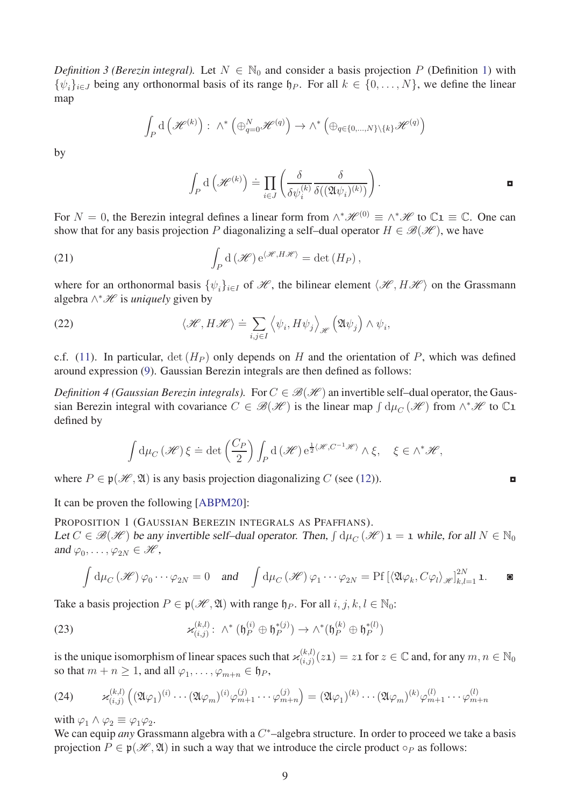*Definition 3 (Berezin integral).* Let  $N \in \mathbb{N}_0$  and consider a basis projection P (Definition [1\)](#page-5-1) with  $\{\psi_i\}_{i \in J}$  being any orthonormal basis of its range  $\natural_P$ . For all  $k \in \{0, \ldots, N\}$ , we define the linear map

$$
\int_P \mathrm{d}\left(\mathcal{H}^{(k)}\right) : \wedge^* \left(\oplus_{q=0}^N \mathcal{H}^{(q)}\right) \to \wedge^* \left(\oplus_{q\in\{0,\dots,N\}\setminus\{k\}} \mathcal{H}^{(q)}\right)
$$

by

$$
\int_P d\left(\mathcal{H}^{(k)}\right) \doteq \prod_{i \in J} \left(\frac{\delta}{\delta \psi_i^{(k)}} \frac{\delta}{\delta((\mathfrak{A}\psi_i)^{(k)})}\right).
$$

For  $N = 0$ , the Berezin integral defines a linear form from  $\wedge^* \mathcal{H}^{(0)} \equiv \wedge^* \mathcal{H}$  to  $\mathbb{C}1 \equiv \mathbb{C}$ . One can show that for any basis projection P diagonalizing a self-dual operator  $H \in \mathcal{B}(\mathcal{H})$ , we have

(21) 
$$
\int_P d(\mathcal{H}) e^{\langle \mathcal{H}, H\mathcal{H}\rangle} = \det(H_P),
$$

where for an orthonormal basis  $\{\psi_i\}_{i\in I}$  of  $\mathcal{H}$ , the bilinear element  $\langle \mathcal{H}, H\mathcal{H}\rangle$  on the Grassmann algebra ∧<sup>\*</sup>*H* is *uniquely* given by

<span id="page-8-1"></span>(22) 
$$
\langle \mathcal{H}, H\mathcal{H} \rangle \doteq \sum_{i,j \in I} \left\langle \psi_i, H\psi_j \right\rangle_{\mathcal{H}} \left( \mathfrak{A} \psi_j \right) \wedge \psi_i,
$$

c.f. [\(11\)](#page-5-2). In particular,  $\det(H_P)$  only depends on *H* and the orientation of *P*, which was defined around expression [\(9\)](#page-5-0). Gaussian Berezin integrals are then defined as follows:

*Definition 4 (Gaussian Berezin integrals).* For  $C \in \mathcal{B}(\mathcal{H})$  an invertible self-dual operator, the Gaussian Berezin integral with covariance  $C \in \mathcal{B}(\mathcal{H})$  is the linear map  $\int d\mu_C(\mathcal{H})$  from  $\wedge^* \mathcal{H}$  to  $\mathbb{C}1$ defined by

$$
\int d\mu_C(\mathscr{H}) \xi \doteq \det \left(\frac{C_P}{2}\right) \int_P d(\mathscr{H}) e^{\frac{1}{2}\langle \mathscr{H}, C^{-1}\mathscr{H} \rangle} \wedge \xi, \quad \xi \in \wedge^* \mathscr{H},
$$

where  $P \in \mathfrak{p}(\mathcal{H}, \mathfrak{A})$  is any basis projection diagonalizing *C* (see [\(12\)](#page-6-1)).

<span id="page-8-2"></span><span id="page-8-0"></span>

It can be proven the following [\[ABPM20\]](#page-29-8):

PROPOSITION 1 (GAUSSIAN BEREZIN INTEGRALS AS PFAFFIANS). Let  $C \in \mathcal{B}(\mathcal{H})$  be any invertible self-dual operator. Then,  $\int d\mu_C(\mathcal{H}) \mathbf{1} = \mathbf{1}$  while, for all  $N \in \mathbb{N}_0$ and  $\varphi_0, \ldots, \varphi_{2N} \in \mathcal{H}$ ,

$$
\int d\mu_C(\mathscr{H}) \varphi_0 \cdots \varphi_{2N} = 0 \quad \text{and} \quad \int d\mu_C(\mathscr{H}) \varphi_1 \cdots \varphi_{2N} = \text{Pf} \left[ \langle \mathfrak{A} \varphi_k, C\varphi_l \rangle_{\mathscr{H}} \right]_{k,l=1}^{2N} \mathbf{1}. \qquad \blacksquare
$$

Take a basis projection  $P \in \mathfrak{p}(\mathcal{H}, \mathfrak{A})$  with range  $\mathfrak{h}_P$ . For all  $i, j, k, l \in \mathbb{N}_0$ :

(23) 
$$
\varkappa_{(i,j)}^{(k,l)}\colon \wedge^* (\mathfrak{h}_P^{(i)} \oplus \mathfrak{h}_P^{*(j)}) \to \wedge^* (\mathfrak{h}_P^{(k)} \oplus \mathfrak{h}_P^{*(l)})
$$

is the unique isomorphism of linear spaces such that  $\varkappa_{(i,j)}^{(k,l)}$  $\binom{(k,l)}{(i,j)}(z\mathbf{1}) = z\mathbf{1}$  for  $z\in\mathbb{C}$  and, for any  $m,n\in\mathbb{N}_0$ so that  $m + n \geq 1$ , and all  $\varphi_1, \ldots, \varphi_{m+n} \in \mathfrak{h}_P$ ,

(24) 
$$
\varkappa_{(i,j)}^{(k,l)}\left((\mathfrak{A}\varphi_1)^{(i)}\cdots(\mathfrak{A}\varphi_m)^{(i)}\varphi_{m+1}^{(j)}\cdots\varphi_{m+n}^{(j)}\right)=(\mathfrak{A}\varphi_1)^{(k)}\cdots(\mathfrak{A}\varphi_m)^{(k)}\varphi_{m+1}^{(l)}\cdots\varphi_{m+n}^{(l)}
$$

with  $\varphi_1 \wedge \varphi_2 \equiv \varphi_1 \varphi_2$ .

We can equip *any* Grassmann algebra with a C<sup>\*</sup>-algebra structure. In order to proceed we take a basis projection  $P \in \mathfrak{p}(\mathcal{H}, \mathfrak{A})$  in such a way that we introduce the circle product  $\circ_P$  as follows: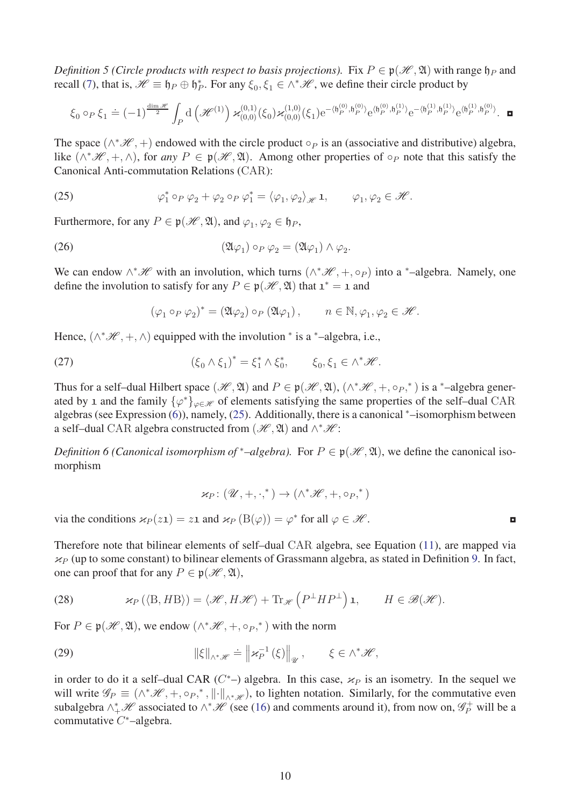*Definition 5 (Circle products with respect to basis projections).* Fix  $P \in \mathfrak{p}(\mathcal{H}, \mathfrak{A})$  with range  $\mathfrak{h}_P$  and recall [\(7\)](#page-5-4), that is,  $\mathcal{H} \equiv \mathfrak{h}_P \oplus \mathfrak{h}_P^*$ . For any  $\xi_0, \xi_1 \in \wedge^* \mathcal{H}$ , we define their circle product by

$$
\xi_0 \circ_P \xi_1 \doteq (-1)^{\frac{\dim \mathscr{H}}{2}} \int_P \mathrm{d} \left( \mathscr{H}^{(1)} \right) \varkappa^{(0,1)}_{(0,0)}(\xi_0) \varkappa^{(1,0)}_{(0,0)}(\xi_1) \mathrm{e}^{-\langle \mathfrak{h}^{(0)}_P, \mathfrak{h}^{(0)}_P \rangle} \mathrm{e}^{\langle \mathfrak{h}^{(0)}_P, \mathfrak{h}^{(1)}_P \rangle} \mathrm{e}^{-\langle \mathfrak{h}^{(1)}_P, \mathfrak{h}^{(1)}_P \rangle} \mathrm{e}^{\langle \mathfrak{h}^{(1)}_P, \mathfrak{h}^{(1)}_P \rangle} \cdot \; \blacksquare
$$

The space  $(\wedge^*\mathcal{H}, +)$  endowed with the circle product  $\circ_P$  is an (associative and distributive) algebra, like  $(\wedge^*\mathcal{H}, +, \wedge)$ , for *any*  $P \in \mathfrak{p}(\mathcal{H}, \mathfrak{A})$ . Among other properties of ∘*P* note that this satisfy the Canonical Anti-commutation Relations (CAR):

<span id="page-9-1"></span>(25) 
$$
\varphi_1^* \circ_P \varphi_2 + \varphi_2 \circ_P \varphi_1^* = \langle \varphi_1, \varphi_2 \rangle_{\mathscr{H}} \mathbf{1}, \qquad \varphi_1, \varphi_2 \in \mathscr{H}.
$$

Furthermore, for any  $P \in \mathfrak{p}(\mathcal{H}, \mathfrak{A})$ , and  $\varphi_1, \varphi_2 \in \mathfrak{h}_P$ ,

(26) 
$$
(\mathfrak{A}\varphi_1)\circ_P\varphi_2=(\mathfrak{A}\varphi_1)\wedge\varphi_2.
$$

We can endow  $\wedge^* \mathscr{H}$  with an involution, which turns  $(\wedge^* \mathscr{H}, +, \circ_P)$  into a <sup>\*</sup>-algebra. Namely, one define the involution to satisfy for any  $P \in \mathfrak{p}(\mathcal{H}, \mathfrak{A})$  that  $\mathfrak{1}^* = \mathfrak{1}$  and

<span id="page-9-4"></span>
$$
(\varphi_1\circ_P\varphi_2)^*=\left(\mathfrak{A}\varphi_2\right)\circ_P\left(\mathfrak{A}\varphi_1\right),\qquad n\in\mathbb{N}, \varphi_1,\varphi_2\in\mathscr{H}.
$$

Hence,  $(\wedge^* \mathcal{H}, +, \wedge)$  equipped with the involution  $*$  is a  $*$ -algebra, i.e.,

(27) 
$$
(\xi_0 \wedge \xi_1)^* = \xi_1^* \wedge \xi_0^*, \qquad \xi_0, \xi_1 \in \wedge^* \mathcal{H}.
$$

Thus for a self–dual Hilbert space  $(\mathcal{H}, \mathfrak{A})$  and  $P \in \mathfrak{p}(\mathcal{H}, \mathfrak{A})$ ,  $(\wedge^* \mathcal{H}, +, \circ_P,^*)$  is a  $^*$ –algebra generated by 1 and the family  $\{\varphi^*\}_{\varphi \in \mathcal{H}}$  of elements satisfying the same properties of the self–dual CAR algebras (see Expression [\(6\)](#page-5-3)), namely, [\(25\)](#page-9-1). Additionally, there is a canonical <sup>∗</sup>–isomorphism between a self–dual CAR algebra constructed from  $(\mathscr{H}, \mathfrak{A})$  and  $\wedge^* \mathscr{H}$ :

*Definition 6 (Canonical isomorphism of* \*–algebra). For  $P \in \mathfrak{p}(\mathcal{H}, \mathfrak{A})$ , we define the canonical isomorphism

<span id="page-9-2"></span>
$$
\varkappa_P\colon (\mathscr{U},+,\cdot,^*)\to (\wedge^*\mathscr{H},+,\circ_P,^*)
$$

via the conditions  $\varkappa_P(z_1) = z_1$  and  $\varkappa_P(B(\varphi)) = \varphi^*$  for all  $\varphi \in \mathcal{H}$ .

Therefore note that bilinear elements of self–dual CAR algebra, see Equation [\(11\)](#page-5-2), are mapped via  $\kappa_P$  (up to some constant) to bilinear elements of Grassmann algebra, as stated in Definition [9.](#page-17-0) In fact, one can proof that for any  $P \in \mathfrak{p}(\mathcal{H}, \mathfrak{A})$ ,

<span id="page-9-3"></span>(28) 
$$
\kappa_P (\langle B, H B \rangle) = \langle \mathcal{H}, H \mathcal{H} \rangle + \text{Tr}_{\mathcal{H}} (P^{\perp} H P^{\perp}) \mathbf{1}, \qquad H \in \mathcal{B}(\mathcal{H}).
$$

For  $P \in \mathfrak{p}(\mathcal{H}, \mathfrak{A})$ , we endow  $(\wedge^* \mathcal{H}, +, \circ_P,^*)$  with the norm

<span id="page-9-0"></span>(29) 
$$
\|\xi\|_{\wedge^*\mathscr{H}} \doteq \left\|\varkappa_P^{-1}(\xi)\right\|_{\mathscr{U}}, \qquad \xi \in \wedge^*\mathscr{H},
$$

in order to do it a self-dual CAR ( $C^*$ -) algebra. In this case,  $\varkappa_P$  is an isometry. In the sequel we will write  $\mathscr{G}_P \equiv (\wedge^* \mathscr{H}, +, \circ_P, ^*, \| \cdot \|_{\wedge^* \mathscr{H}})$ , to lighten notation. Similarly, for the commutative even subalgebra  $\wedge^*_+\mathscr{H}$  associated to  $\wedge^*\mathscr{H}$  (see [\(16\)](#page-7-1) and comments around it), from now on,  $\mathscr{G}_P^+$  will be a commutative *C* <sup>∗</sup>–algebra.

|  | v |  |
|--|---|--|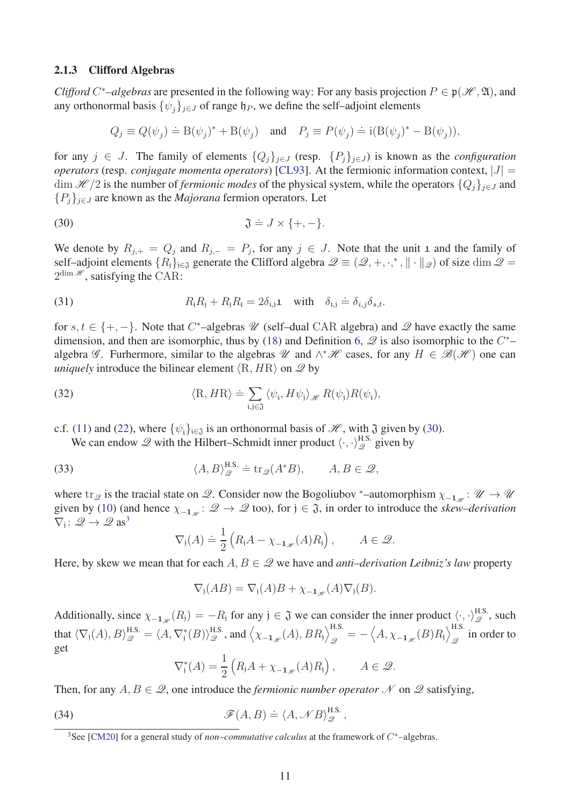#### <span id="page-10-0"></span>2.1.3 Clifford Algebras

*Clifford C*<sup>\*</sup>–algebras are presented in the following way: For any basis projection  $P \in \mathfrak{p}(\mathcal{H}, \mathfrak{A})$ , and any orthonormal basis  $\{\psi_i\}_{i \in J}$  of range  $\mathfrak{h}_P$ , we define the self–adjoint elements

<span id="page-10-1"></span>
$$
Q_j \equiv Q(\psi_j) \doteq B(\psi_j)^* + B(\psi_j) \quad \text{and} \quad P_j \equiv P(\psi_j) \doteq i(B(\psi_j)^* - B(\psi_j)),
$$

for any  $j \in J$ . The family of elements  $\{Q_i\}_{i \in J}$  (resp.  $\{P_i\}_{i \in J}$ ) is known as the *configuration operators* (resp. *conjugate momenta operators*) [\[CL93\]](#page-30-7). At the fermionic information context,  $|J| =$  $\dim \mathcal{H}/2$  is the number of *fermionic modes* of the physical system, while the operators  $\{Q_j\}_{j\in J}$  and  ${P_i}_{i \in J}$  are known as the *Majorana* fermion operators. Let

(30) 
$$
\mathfrak{J} \doteq J \times \{+,-\}.
$$

We denote by  $R_{j,+} = Q_j$  and  $R_{j,-} = P_j$ , for any  $j \in J$ . Note that the unit 1 and the family of self–adjoint elements  $\{R_j\}_{j\in\mathfrak{J}}$  generate the Clifford algebra  $\mathcal{Q} \equiv (\mathcal{Q}, +, \cdot,^*, \| \cdot \|_{\mathcal{Q}})$  of size dim  $\mathcal{Q} =$  $2^{\dim \mathcal{H}}$ , satisfying the CAR:

<span id="page-10-5"></span>(31) 
$$
R_i R_j + R_j R_i = 2\delta_{i,j} \mathbf{1} \quad \text{with} \quad \delta_{i,j} \doteq \delta_{i,j} \delta_{s,t}.
$$

for  $s, t \in \{+, -\}$ . Note that *C*<sup>\*</sup>–algebras *W* (self–dual CAR algebra) and *Q* have exactly the same dimension, and then are isomorphic, thus by [\(18\)](#page-7-0) and Definition [6,](#page-9-2)  $\mathscr Q$  is also isomorphic to the  $C^*$ algebra  $\mathscr G$ . Furhermore, similar to the algebras  $\mathscr U$  and  $\wedge^*\mathscr H$  cases, for any  $H \in \mathscr B(\mathscr H)$  one can *uniquely* introduce the bilinear element  $\langle R, HR \rangle$  on  $\mathcal{Q}$  by

(32) 
$$
\langle R, HR \rangle \doteq \sum_{i,j \in \mathfrak{J}} \langle \psi_i, H\psi_j \rangle_{\mathscr{H}} R(\psi_j) R(\psi_i),
$$

c.f. [\(11\)](#page-5-2) and [\(22\)](#page-8-1), where  $\{\psi_i\}_{i\in\mathfrak{J}}$  is an orthonormal basis of  $\mathcal{H}$ , with  $\mathfrak{J}$  given by [\(30\)](#page-10-1).

<span id="page-10-4"></span>We can endow  $\mathscr Q$  with the Hilbert–Schmidt inner product  $\langle \cdot, \cdot \rangle_{\mathscr Q}^{\text{H.S.}}$  given by

(33) 
$$
\langle A, B \rangle_{\mathscr{Q}}^{\text{H.S.}} \doteq \text{tr}_{\mathscr{Q}}(A^*B), \qquad A, B \in \mathscr{Q},
$$

where tr<sub> $\mathcal{Q}$ </sub> is the tracial state on  $\mathcal{Q}$ . Consider now the Bogoliubov <sup>∗</sup>–automorphism  $\chi_{-1,\mathcal{H}}: \mathcal{U} \to \mathcal{U}$ given by [\(10\)](#page-5-5) (and hence  $\chi_{-1,\mathscr{U}}: \mathscr{Q} \to \mathscr{Q}$  too), for  $j \in \mathfrak{J}$ , in order to introduce the *skew–derivation*  $\nabla_j: \mathscr{Q} \to \mathscr{Q}$  as<sup>[3](#page-10-2)</sup>

<span id="page-10-6"></span>
$$
\nabla_{\mathfrak{j}}(A) \doteq \frac{1}{2} \left( R_{\mathfrak{j}} A - \chi_{-\mathbf{1}_{\mathscr{H}}}(A) R_{\mathfrak{j}} \right), \qquad A \in \mathscr{Q}.
$$

Here, by skew we mean that for each  $A, B \in \mathcal{Q}$  we have and *anti–derivation Leibniz's law* property

$$
\nabla_{\mathfrak{j}}(AB) = \nabla_{\mathfrak{j}}(A)B + \chi_{-\mathbf{1}_{\mathscr{H}}}(A)\nabla_{\mathfrak{j}}(B).
$$

Additionally, since  $\chi_{-\mathbf{1}_{\mathscr{H}}}(R_j) = -R_j$  for any  $j \in \mathfrak{J}$  we can consider the inner product  $\langle \cdot, \cdot \rangle_{\mathscr{Q}}^{\text{H.S.}}$ , such that  $\langle \nabla_j(A), B \rangle_{\mathscr{Q}}^{\text{H.S.}} = \langle A, \nabla_j^*(B) \rangle_{\mathscr{Q}}^{\text{H.S.}}, \text{and } \left\langle \chi_{-\mathbf{1}_{\mathscr{H}}}(A), BR_j \right\rangle_{\mathscr{Q}}^{\text{H.S.}}$  $\frac{H.S.}{\mathscr{Q}} = -\left\langle A, \chi_{-\mathbf{1}_{\mathscr{H}}}(B)R_{\mathsf{j}} \right\rangle_{\mathscr{Q}}^{\text{H.S.}}$  $\int_{\mathscr{Q}}$  in order to get

<span id="page-10-3"></span>
$$
\nabla_j^*(A) = \frac{1}{2} \left( R_j A + \chi_{-\mathbf{1}_{\mathscr{H}}}(A) R_j \right), \qquad A \in \mathscr{Q}.
$$

Then, for any  $A, B \in \mathcal{Q}$ , one introduce the *fermionic number operator* N on  $\mathcal Q$  satisfying,

(34) 
$$
\mathscr{F}(A,B) \doteq \langle A, \mathscr{N}B \rangle_{\mathscr{Q}}^{\text{H.S.}},
$$

<span id="page-10-2"></span><sup>3</sup>See [\[CM20\]](#page-30-11) for a general study of *non–commutative calculus* at the framework of *C* <sup>∗</sup>–algebras.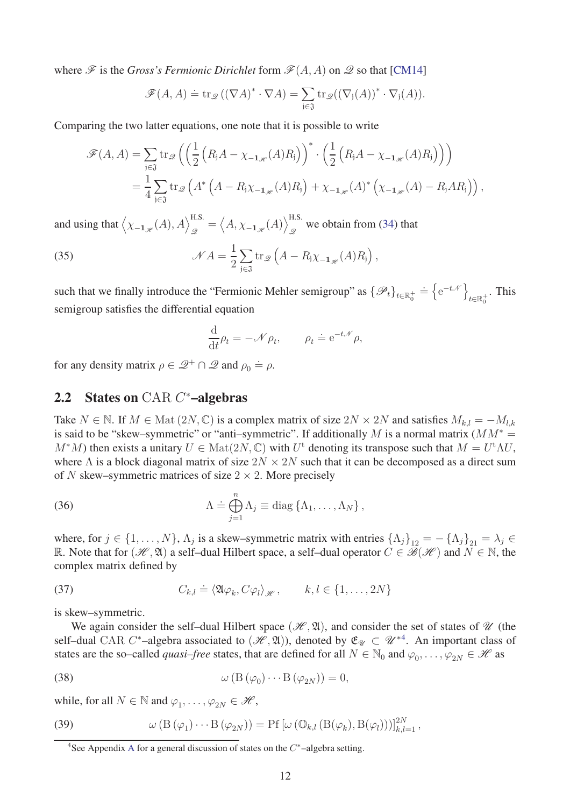where  $\mathscr F$  is the *Gross's Fermionic Dirichlet* form  $\mathscr F(A, A)$  on  $\mathscr Q$  so that [\[CM14\]](#page-30-2)

$$
\mathscr{F}(A, A) \doteq \operatorname{tr}_{\mathscr{Q}} ((\nabla A)^* \cdot \nabla A) = \sum_{j \in \mathfrak{J}} \operatorname{tr}_{\mathscr{Q}} ((\nabla_j (A))^* \cdot \nabla_j (A)).
$$

Comparing the two latter equations, one note that it is possible to write

$$
\mathscr{F}(A, A) = \sum_{\mathfrak{j} \in \mathfrak{J}} \text{tr}_{\mathscr{Q}} \left( \left( \frac{1}{2} \left( R_{\mathfrak{j}} A - \chi_{-\mathbf{1}_{\mathscr{H}}}(A) R_{\mathfrak{j}} \right) \right)^{*} \cdot \left( \frac{1}{2} \left( R_{\mathfrak{j}} A - \chi_{-\mathbf{1}_{\mathscr{H}}}(A) R_{\mathfrak{j}} \right) \right) \right)
$$
  
= 
$$
\frac{1}{4} \sum_{\mathfrak{j} \in \mathfrak{J}} \text{tr}_{\mathscr{Q}} \left( A^{*} \left( A - R_{\mathfrak{j}} \chi_{-\mathbf{1}_{\mathscr{H}}}(A) R_{\mathfrak{j}} \right) + \chi_{-\mathbf{1}_{\mathscr{H}}}(A)^{*} \left( \chi_{-\mathbf{1}_{\mathscr{H}}}(A) - R_{\mathfrak{j}} A R_{\mathfrak{j}} \right) \right),
$$

and using that  $\left\langle \chi_{-\mathbf{1}_{\mathscr{H}}}(A), A \right\rangle_{\mathscr{Q}}^{\text{H.S.}} = \left\langle A, \chi_{-\mathbf{1}_{\mathscr{H}}}(A) \right\rangle_{\mathscr{Q}}^{\text{H.S.}}$ we obtain from [\(34\)](#page-10-3) that  $\mathcal{Q}$ 

(35) 
$$
\mathcal{N} A = \frac{1}{2} \sum_{j \in \mathfrak{J}} tr_{\mathscr{Q}} \left( A - R_j \chi_{-\mathbf{1}_{\mathscr{H}}}(A) R_j \right),
$$

such that we finally introduce the "Fermionic Mehler semigroup" as  $\{\mathscr{P}_t\}_{t\in\mathbb{R}^+_0} \doteq \left\{e^{-t\mathscr{N}}\right\}$  $t \in \mathbb{R}^+_0$ . This semigroup satisfies the differential equation

<span id="page-11-4"></span>
$$
\frac{\mathrm{d}}{\mathrm{d}t}\rho_t = -\mathcal{N}\rho_t, \qquad \rho_t \doteq e^{-t\mathcal{N}}\rho,
$$

for any density matrix  $\rho \in \mathcal{Q}^+ \cap \mathcal{Q}$  and  $\rho_0 \doteq \rho$ .

# <span id="page-11-0"></span>2.2 States on CAR *C* <sup>∗</sup>–algebras

Take  $N \in \mathbb{N}$ . If  $M \in \text{Mat}(2N, \mathbb{C})$  is a complex matrix of size  $2N \times 2N$  and satisfies  $M_{k,l} = -M_{l,k}$ is said to be "skew–symmetric" or "anti–symmetric". If additionally *M* is a normal matrix  $(MM^*)$ *M*<sup>\*</sup>*M*) then exists a unitary  $U \in Mat(2N, \mathbb{C})$  with  $U^{\dagger}$  denoting its transpose such that  $M = U^{\dagger} \Lambda U$ , where  $\Lambda$  is a block diagonal matrix of size  $2N \times 2N$  such that it can be decomposed as a direct sum of *N* skew–symmetric matrices of size  $2 \times 2$ . More precisely

<span id="page-11-6"></span>(36) 
$$
\Lambda \doteq \bigoplus_{j=1}^n \Lambda_j \equiv \text{diag}\left\{\Lambda_1,\ldots,\Lambda_N\right\},
$$

where, for  $j \in \{1, \ldots, N\}$ ,  $\Lambda_j$  is a skew–symmetric matrix with entries  $\{\Lambda_j\}_{12} = -\{\Lambda_j\}_{21} = \lambda_j \in$ R. Note that for  $(\mathcal{H}, \mathfrak{A})$  a self-dual Hilbert space, a self-dual operator  $C \in \mathcal{B}(\mathcal{H})$  and  $N \in \mathbb{N}$ , the complex matrix defined by

<span id="page-11-5"></span>(37) 
$$
C_{k,l} \doteq \langle \mathfrak{A} \varphi_k, C\varphi_l \rangle_{\mathscr{H}}, \qquad k, l \in \{1, ..., 2N\}
$$

is skew–symmetric.

We again consider the self-dual Hilbert space  $(\mathcal{H}, \mathfrak{A})$ , and consider the set of states of  $\mathcal U$  (the self–dual CAR *C*<sup>\*</sup>–algebra associated to  $(\mathcal{H}, \mathfrak{A})$ ), denoted by  $\mathfrak{E}_{\mathcal{U}} \subset \mathcal{U}^{*4}$  $\mathfrak{E}_{\mathcal{U}} \subset \mathcal{U}^{*4}$  $\mathfrak{E}_{\mathcal{U}} \subset \mathcal{U}^{*4}$ . An important class of states are the so–called *quasi–free* states, that are defined for all  $N \in \mathbb{N}_0$  and  $\varphi_0, \dots, \varphi_{2N} \in \mathcal{H}$  as

<span id="page-11-2"></span>(38) 
$$
\omega(\mathcal{B}(\varphi_0)\cdots\mathcal{B}(\varphi_{2N}))=0,
$$

while, for all  $N \in \mathbb{N}$  and  $\varphi_1, \dots, \varphi_{2N} \in \mathcal{H}$ ,

(39) 
$$
\omega\left(\mathcal{B}\left(\varphi_{1}\right)\cdots\mathcal{B}\left(\varphi_{2N}\right)\right)=\mathcal{P}f\left[\omega\left(\mathbb{O}_{k,l}\left(\mathcal{B}(\varphi_{k}),\mathcal{B}(\varphi_{l})\right)\right)\right]_{k,l=1}^{2N},
$$

<span id="page-11-3"></span><span id="page-11-1"></span><sup>4</sup>See Appendix [A](#page-25-0) for a general discussion of states on the *C* <sup>∗</sup>–algebra setting.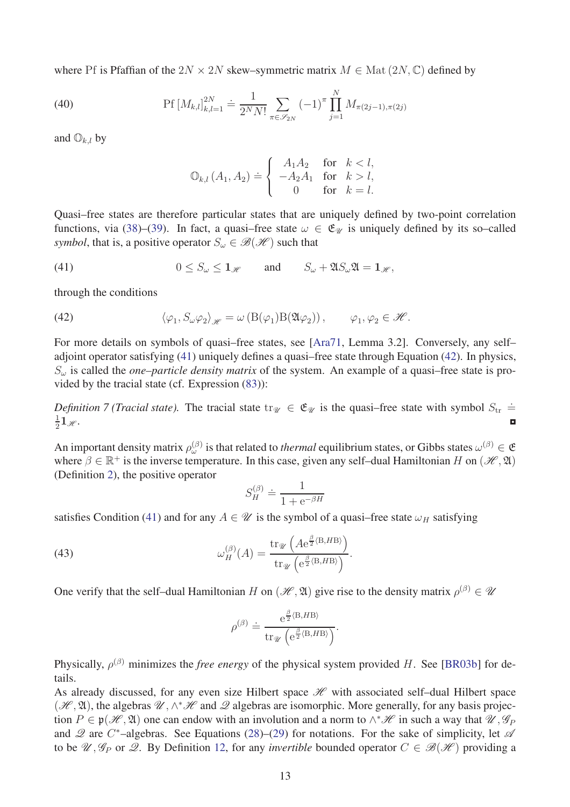where Pf is Pfaffian of the  $2N \times 2N$  skew–symmetric matrix  $M \in \text{Mat}(2N, \mathbb{C})$  defined by

(40) 
$$
\text{Pf}\left[M_{k,l}\right]_{k,l=1}^{2N} \doteq \frac{1}{2^N N!} \sum_{\pi \in \mathscr{S}_{2N}} (-1)^{\pi} \prod_{j=1}^N M_{\pi(2j-1),\pi(2j)}
$$

and  $\mathbb{O}_{k,l}$  by

<span id="page-12-0"></span>
$$
\mathbb{O}_{k,l}(A_1, A_2) \doteq \left\{ \begin{array}{cl} A_1 A_2 & \text{for} \quad k < l, \\ -A_2 A_1 & \text{for} \quad k > l, \\ 0 & \text{for} \quad k = l. \end{array} \right.
$$

Quasi–free states are therefore particular states that are uniquely defined by two-point correlation functions, via [\(38\)](#page-11-2)–[\(39\)](#page-11-3). In fact, a quasi–free state  $\omega \in \mathfrak{E}_{\mathcal{U}}$  is uniquely defined by its so–called *symbol*, that is, a positive operator  $S_\omega \in \mathcal{B}(\mathcal{H})$  such that

(41) 
$$
0 \leq S_{\omega} \leq \mathbf{1}_{\mathscr{H}} \quad \text{and} \quad S_{\omega} + \mathfrak{A}S_{\omega}\mathfrak{A} = \mathbf{1}_{\mathscr{H}},
$$

through the conditions

<span id="page-12-1"></span>(42) 
$$
\langle \varphi_1, S_{\omega} \varphi_2 \rangle_{\mathscr{H}} = \omega \left( \mathcal{B}(\varphi_1) \mathcal{B}(\mathfrak{A} \varphi_2) \right), \qquad \varphi_1, \varphi_2 \in \mathscr{H}.
$$

For more details on symbols of quasi–free states, see [\[Ara71,](#page-29-7) Lemma 3.2]. Conversely, any self– adjoint operator satisfying [\(41\)](#page-12-0) uniquely defines a quasi–free state through Equation [\(42\)](#page-12-1). In physics, *S<sup>ω</sup>* is called the *one–particle density matrix* of the system. An example of a quasi–free state is provided by the tracial state (cf. Expression [\(83\)](#page-28-0)):

*Definition 7 (Tracial state).* The tracial state  $tr_{\mathcal{U}} \in \mathfrak{E}_{\mathcal{U}}$  is the quasi–free state with symbol  $S_{tr} \doteq$ 1 2  $1_{\mathscr{H}}$ .

An important density matrix  $\rho_{\omega}^{(\beta)}$  is that related to *thermal* equilibrium states, or Gibbs states  $\omega^{(\beta)} \in \mathfrak{E}$ where  $\beta \in \mathbb{R}^+$  is the inverse temperature. In this case, given any self-dual Hamiltonian *H* on  $(\mathcal{H}, \mathfrak{A})$ (Definition [2\)](#page-5-6), the positive operator

$$
S_H^{(\beta)} \doteq \frac{1}{1 + e^{-\beta H}}
$$

satisfies Condition [\(41\)](#page-12-0) and for any  $A \in \mathcal{U}$  is the symbol of a quasi–free state  $\omega_H$  satisfying

(43) 
$$
\omega_H^{(\beta)}(A) = \frac{\operatorname{tr}_{\mathscr{U}}\left(A e^{\frac{\beta}{2} \langle \mathbf{B}, H\mathbf{B} \rangle}\right)}{\operatorname{tr}_{\mathscr{U}}\left(e^{\frac{\beta}{2} \langle \mathbf{B}, H\mathbf{B} \rangle}\right)}.
$$

One verify that the self-dual Hamiltonian *H* on  $(\mathcal{H}, \mathfrak{A})$  give rise to the density matrix  $\rho^{(\beta)} \in \mathcal{U}$ 

<span id="page-12-2"></span>
$$
\rho^{(\beta)} \doteq \frac{\mathrm{e}^{\frac{\beta}{2} \langle \mathrm{B}, H\mathrm{B} \rangle}}{\mathrm{tr}_{\mathscr{U}} \left( \mathrm{e}^{\frac{\beta}{2} \langle \mathrm{B}, H\mathrm{B} \rangle} \right)}.
$$

Physically, *ρ* (*β*) minimizes the *free energy* of the physical system provided *H*. See [\[BR03b\]](#page-29-5) for details.

As already discussed, for any even size Hilbert space  $\mathcal H$  with associated self-dual Hilbert space  $(\mathcal{H}, \mathfrak{A})$ , the algebras  $\mathcal{U}, \wedge^* \mathcal{H}$  and  $\mathcal{Q}$  algebras are isomorphic. More generally, for any basis projection  $P \in \mathfrak{p}(\mathcal{H}, \mathfrak{A})$  one can endow with an involution and a norm to  $\wedge^* \mathcal{H}$  in such a way that  $\mathcal{U}, \mathcal{G}_P$ and  $\mathscr Q$  are *C*<sup>\*</sup>-algebras. See Equations [\(28\)](#page-9-3)–[\(29\)](#page-9-0) for notations. For the sake of simplicity, let  $\mathscr A$ to be  $\mathscr{U}, \mathscr{G}_P$  or  $\mathscr{Q}$ . By Definition [12,](#page-28-1) for any *invertible* bounded operator  $C \in \mathscr{B}(\mathscr{H})$  providing a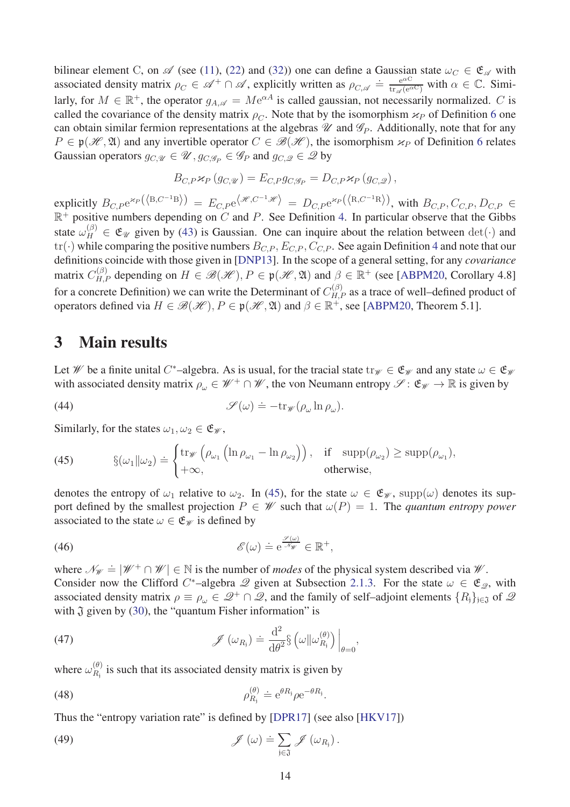bilinear element C, on  $\mathscr A$  (see [\(11\)](#page-5-2), [\(22\)](#page-8-1) and [\(32\)](#page-10-4)) one can define a Gaussian state  $\omega_C \in \mathfrak{E}_{\mathscr A}$  with associated density matrix  $\rho_C \in \mathcal{A}^+ \cap \mathcal{A}$ , explicitly written as  $\rho_{C, \mathcal{A}} \doteq \frac{e^{\alpha C}}{\text{tr}_{\mathcal{A}}(e^{\alpha C})}$  with  $\alpha \in \mathbb{C}$ . Similarly, for  $M \in \mathbb{R}^+$ , the operator  $g_{A,\mathscr{A}} = M e^{\alpha A}$  is called gaussian, not necessarily normalized. *C* is called the covariance of the density matrix  $\rho_C$ . Note that by the isomorphism  $\varkappa_P$  of Definition [6](#page-9-2) one can obtain similar fermion representations at the algebras  $\mathcal U$  and  $\mathcal G_P$ . Additionally, note that for any  $P \in \mathfrak{p}(\mathcal{H}, \mathfrak{A})$  and any invertible operator  $C \in \mathcal{B}(\mathcal{H})$ , the isomorphism  $\varkappa_P$  of Definition [6](#page-9-2) relates Gaussian operators  $g_{C,\mathcal{U}} \in \mathcal{U}$ ,  $g_{C,\mathcal{G}_P} \in \mathcal{G}_P$  and  $g_{C,\mathcal{Q}} \in \mathcal{Q}$  by

$$
B_{C,P}\varkappa_P(g_{C,\mathscr{U}})=E_{C,P}g_{C,\mathscr{G}_P}=D_{C,P}\varkappa_P(g_{C,\mathscr{Q}}),
$$

 $\exp$   $\text{E}_{C,P} \exp\left(\langle B, C^{-1} \right]$   $\text{E}_{C,P} \exp\left(\mathcal{H}, C^{-1} \mathcal{H}\right) = D_{C,P} \exp\left(\langle B, C^{-1} \mathcal{R} \rangle\right)$ , with  $B_{C,P}, C_{C,P}, D_{C,P} \in \mathbb{R}$  $\mathbb{R}^+$  positive numbers depending on *C* and *P*. See Definition [4.](#page-8-2) In particular observe that the Gibbs state  $\omega_H^{(\beta)} \in \mathfrak{E}_{\mathcal{U}}$  given by [\(43\)](#page-12-2) is Gaussian. One can inquire about the relation between  $\det(\cdot)$  and  $tr(\cdot)$  while comparing the positive numbers  $B_{CP}$ ,  $E_{CP}$ ,  $C_{CP}$ . See again Definition [4](#page-8-2) and note that our definitions coincide with those given in [\[DNP13\]](#page-30-12). In the scope of a general setting, for any *covariance* matrix  $C_{H,P}^{(\beta)}$  depending on  $H \in \mathcal{B}(\mathcal{H}), P \in \mathfrak{p}(\mathcal{H}, \mathfrak{A})$  and  $\beta \in \mathbb{R}^+$  (see [\[ABPM20,](#page-29-8) Corollary 4.8] for a concrete Definition) we can write the Determinant of  $C_{H,P}^{(\beta)}$  as a trace of well–defined product of operators defined via  $H \in \mathcal{B}(\mathcal{H}), P \in \mathfrak{p}(\mathcal{H}, \mathfrak{A})$  and  $\beta \in \mathbb{R}^+$ , see [\[ABPM20,](#page-29-8) Theorem 5.1].

# <span id="page-13-0"></span>3 Main results

Let *W* be a finite unital *C*<sup>\*</sup>–algebra. As is usual, for the tracial state  $\text{tr}_{\mathscr{W}} \in \mathfrak{E}_{\mathscr{W}}$  and any state  $\omega \in \mathfrak{E}_{\mathscr{W}}$ with associated density matrix  $\rho_{\omega} \in \mathcal{W}^+ \cap \mathcal{W}$ , the von Neumann entropy  $\mathcal{S} : \mathfrak{E}_{\mathcal{W}} \to \mathbb{R}$  is given by

<span id="page-13-6"></span>(44) 
$$
\mathscr{S}(\omega) \doteq -\mathrm{tr}_{\mathscr{W}}(\rho_{\omega}\ln\rho_{\omega}).
$$

Similarly, for the states  $\omega_1, \omega_2 \in \mathfrak{E}_{\mathscr{W}}$ ,

<span id="page-13-1"></span>(45) 
$$
\S(\omega_1 \| \omega_2) \doteq \begin{cases} \operatorname{tr}_{\mathscr{W}} \left( \rho_{\omega_1} \left( \ln \rho_{\omega_1} - \ln \rho_{\omega_2} \right) \right), & \text{if } \operatorname{supp}(\rho_{\omega_2}) \ge \operatorname{supp}(\rho_{\omega_1}), \\ +\infty, & \text{otherwise}, \end{cases}
$$

denotes the entropy of  $\omega_1$  relative to  $\omega_2$ . In [\(45\)](#page-13-1), for the state  $\omega \in \mathfrak{E}_{\mathscr{W}}$ , supp $(\omega)$  denotes its support defined by the smallest projection  $P \in W$  such that  $\omega(P) = 1$ . The *quantum entropy power* associated to the state  $\omega \in \mathfrak{E}_{\mathcal{W}}$  is defined by

(46) 
$$
\mathscr{E}(\omega) \doteq e^{\frac{\mathscr{S}(\omega)}{\mathscr{N}\mathscr{W}}} \in \mathbb{R}^+,
$$

where  $\mathcal{N}_{\mathcal{W}} = |\mathcal{W}^+ \cap \mathcal{W}| \in \mathbb{N}$  is the number of *modes* of the physical system described via  $\mathcal{W}$ . Consider now the Clifford *C*<sup>\*</sup>–algebra  $\mathscr Q$  given at Subsection [2.1.3.](#page-10-0) For the state  $\omega \in \mathfrak{E}_{\mathscr Q}$ , with associated density matrix  $\rho \equiv \rho_\omega \in \mathcal{Q}^+ \cap \mathcal{Q}$ , and the family of self-adjoint elements  $\{R_i\}_{i \in \mathfrak{J}}$  of  $\mathcal{Q}$ with  $\mathfrak J$  given by [\(30\)](#page-10-1), the "quantum Fisher information" is

(47) 
$$
\mathscr{J}(\omega_{R_{\mathfrak{j}}}) \doteq \frac{\mathrm{d}^2}{\mathrm{d}\theta^2} \S(\omega \| \omega_{R_{\mathfrak{j}}}^{(\theta)})\Big|_{\theta=0},
$$

where  $\omega_{R_i}^{(\theta)}$  $R_{i}^{(v)}$  is such that its associated density matrix is given by

$$
\rho_{R_{\rm i}}^{(\theta)} \doteq e^{\theta R_{\rm i}} \rho e^{-\theta R_{\rm i}}
$$

Thus the "entropy variation rate" is defined by [\[DPR17\]](#page-30-10) (see also [\[HKV17\]](#page-30-9))

(49) 
$$
\mathscr{J}(\omega) \doteq \sum_{j \in \mathfrak{J}} \mathscr{J}(\omega_{R_j}).
$$

<span id="page-13-5"></span><span id="page-13-4"></span><span id="page-13-3"></span><span id="page-13-2"></span>*.*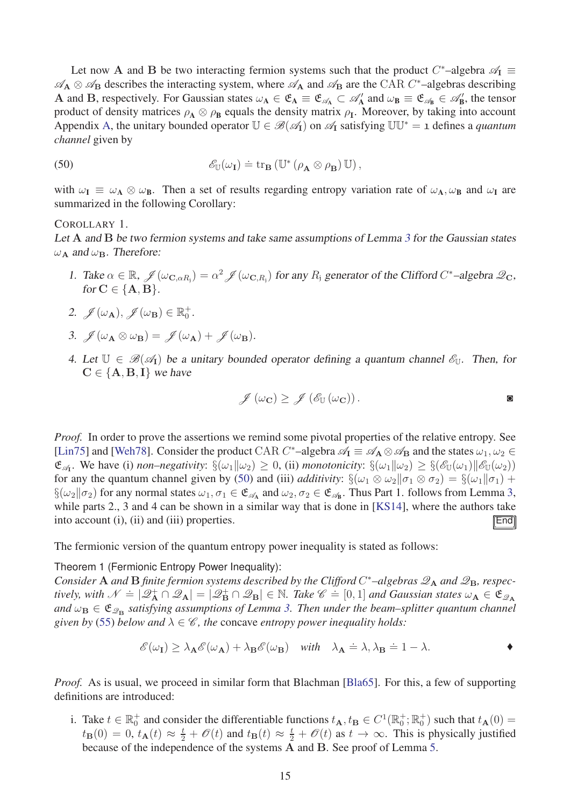Let now **A** and **B** be two interacting fermion systems such that the product  $C^*$ -algebra  $\mathscr{A}_I \equiv$  $\mathscr{A}_{\mathbf{A}} \otimes \mathscr{A}_{\mathbf{B}}$  describes the interacting system, where  $\mathscr{A}_{\mathbf{A}}$  and  $\mathscr{A}_{\mathbf{B}}$  are the CAR *C*<sup>\*</sup>-algebras describing **A** and **B**, respectively. For Gaussian states  $\omega_A \in \mathfrak{C}_A \equiv \mathfrak{C}_{\mathcal{A}} \subset \mathcal{A}'_A$  and  $\omega_B \equiv \mathfrak{C}_{\mathcal{A}_B} \in \mathcal{A}'_B$ , the tensor product of density matrices  $\rho_A \otimes \rho_B$  equals the density matrix  $\rho_I$ . Moreover, by taking into account Appendix [A,](#page-25-0) the unitary bounded operator  $\mathbb{U} \in \mathcal{B}(\mathcal{A}_{\mathbf{I}})$  on  $\mathcal{A}_{\mathbf{I}}$  satisfying  $\mathbb{U}\mathbb{U}^* = 1$  defines a *quantum channel* given by

<span id="page-14-1"></span>(50) 
$$
\mathscr{E}_{\mathbb{U}}(\omega_{\mathbf{I}}) \doteq \operatorname{tr}_{\mathbf{B}} (\mathbb{U}^* (\rho_{\mathbf{A}} \otimes \rho_{\mathbf{B}}) \mathbb{U}),
$$

with  $\omega_I \equiv \omega_A \otimes \omega_B$ . Then a set of results regarding entropy variation rate of  $\omega_A$ ,  $\omega_B$  and  $\omega_I$  are summarized in the following Corollary:

#### COROLLARY 1.

Let A and B be two fermion systems and take same assumptions of Lemma [3](#page-21-0) for the Gaussian states  $ω$ **A** and  $ω$ **B**. Therefore:

<span id="page-14-2"></span>1. Take  $\alpha \in \mathbb{R}$ ,  $\mathcal{J}(\omega_{\mathbf{C},\alpha R_j}) = \alpha^2 \mathcal{J}(\omega_{\mathbf{C},R_j})$  for any  $R_j$  generator of the Clifford  $C^*$ -algebra  $\mathcal{Q}_{\mathbf{C}}$ , for  $C \in \{A, B\}$ .

2. 
$$
\mathscr{J}(\omega_{\mathbf{A}}), \mathscr{J}(\omega_{\mathbf{B}}) \in \mathbb{R}_0^+
$$
.

- 3.  $\mathscr{J}(\omega_{\mathbf{A}} \otimes \omega_{\mathbf{B}}) = \mathscr{J}(\omega_{\mathbf{A}}) + \mathscr{J}(\omega_{\mathbf{B}}).$
- 4. Let  $\mathbb{U} \in \mathcal{B}(\mathcal{A}_{\mathbf{I}})$  be a unitary bounded operator defining a quantum channel  $\mathcal{E}_{\mathbb{U}}$ . Then, for  $C \in \{A, B, I\}$  we have

<span id="page-14-0"></span>
$$
\mathscr{J}(\omega_{\mathbf{C}}) \geq \mathscr{J}(\mathscr{E}_{\mathbb{U}}(\omega_{\mathbf{C}})).
$$

*Proof.* In order to prove the assertions we remind some pivotal properties of the relative entropy. See [\[Lin75\]](#page-31-4) and [\[Weh78\]](#page-31-5). Consider the product CAR  $C^*$ –algebra  $\mathscr{A}_I \equiv \mathscr{A}_A \otimes \mathscr{A}_B$  and the states  $\omega_1, \omega_2 \in$  $\mathfrak{E}_{\mathscr{A}_{\mathbf{I}}}$ . We have (i) *non–negativity*:  $\S(\omega_1||\omega_2) \geq 0$ , (ii) *monotonicity*:  $\S(\omega_1||\omega_2) \geq \S(\mathscr{E}_{\mathbb{U}}(\omega_1)||\mathscr{E}_{\mathbb{U}}(\omega_2))$ for any the quantum channel given by [\(50\)](#page-14-1) and (iii) *additivity*:  $\S(\omega_1 \otimes \omega_2 || \sigma_1 \otimes \sigma_2) = \S(\omega_1 || \sigma_1) +$  $\S(\omega_2 \| \sigma_2)$  for any normal states  $\omega_1, \sigma_1 \in \mathfrak{E}_{\mathscr{A}_A}$  and  $\omega_2, \sigma_2 \in \mathfrak{E}_{\mathscr{A}_B}$ . Thus Part 1. follows from Lemma [3,](#page-21-0) while parts 2., 3 and 4 can be shown in a similar way that is done in [\[KS14\]](#page-31-1), where the authors take into account (i), (ii) and (iii) properties.  $\mathbb{E} \mathbb{E} \mathbb{E} \mathbb{E} \mathbb{E} \mathbb{E} \mathbb{E} \mathbb{E} \mathbb{E} \mathbb{E} \mathbb{E} \mathbb{E} \mathbb{E} \mathbb{E} \mathbb{E} \mathbb{E} \mathbb{E} \mathbb{E} \mathbb{E} \mathbb{E} \mathbb{E} \mathbb{E} \mathbb{E} \mathbb{E} \mathbb{E} \mathbb{E} \mathbb{E} \mathbb{E} \mathbb{E} \$ 

The fermionic version of the quantum entropy power inequality is stated as follows:

#### Theorem 1 (Fermionic Entropy Power Inequality):

*Consider* **A** *and* **B** *finite fermion systems described by the Clifford C<sup>\*</sup>-algebras*  $\mathscr{Q}_A$  *<i>and*  $\mathscr{Q}_B$ *, respectively, with*  $\mathcal{N} = |\mathcal{Q}_{\mathbf{A}}^{\dagger} \cap \mathcal{Q}_{\mathbf{A}}| = |\mathcal{Q}_{\mathbf{B}}^{\dagger} \cap \mathcal{Q}_{\mathbf{B}}| \in \mathbb{N}$ . *Take*  $\mathcal{C} = [0, 1]$  *and Gaussian states*  $\omega_{\mathbf{A}} \in \mathfrak{E}_{\mathcal{Q}_{\mathbf{A}}}$  $and \ \omega_{\bf B} \in \mathfrak{E}_{\mathscr{Q}_{\bf B}}$  satisfying assumptions of Lemma [3.](#page-21-0) Then under the beam–splitter quantum channel *given by* [\(55\)](#page-17-1) *below and*  $\lambda \in \mathcal{C}$ *, the concave entropy power inequality holds:* 

$$
\mathscr{E}(\omega_{\mathbf{I}}) \geq \lambda_{\mathbf{A}} \mathscr{E}(\omega_{\mathbf{A}}) + \lambda_{\mathbf{B}} \mathscr{E}(\omega_{\mathbf{B}}) \quad \text{with} \quad \lambda_{\mathbf{A}} \doteq \lambda, \lambda_{\mathbf{B}} \doteq 1-\lambda.
$$

*Proof.* As is usual, we proceed in similar form that Blachman [\[Bla65\]](#page-29-0). For this, a few of supporting definitions are introduced:

i. Take  $t \in \mathbb{R}_0^+$  and consider the differentiable functions  $t_{\mathbf{A}}, t_{\mathbf{B}} \in C^1(\mathbb{R}_0^+; \mathbb{R}_0^+)$  such that  $t_{\mathbf{A}}(0) =$  $t_{\mathbf{B}}(0) = 0$ ,  $t_{\mathbf{A}}(t) \approx \frac{t}{2} + \mathscr{O}(t)$  and  $t_{\mathbf{B}}(t) \approx \frac{t}{2} + \mathscr{O}(t)$  as  $t \to \infty$ . This is physically justified because of the independence of the systems **A** and **B**. See proof of Lemma [5.](#page-23-0)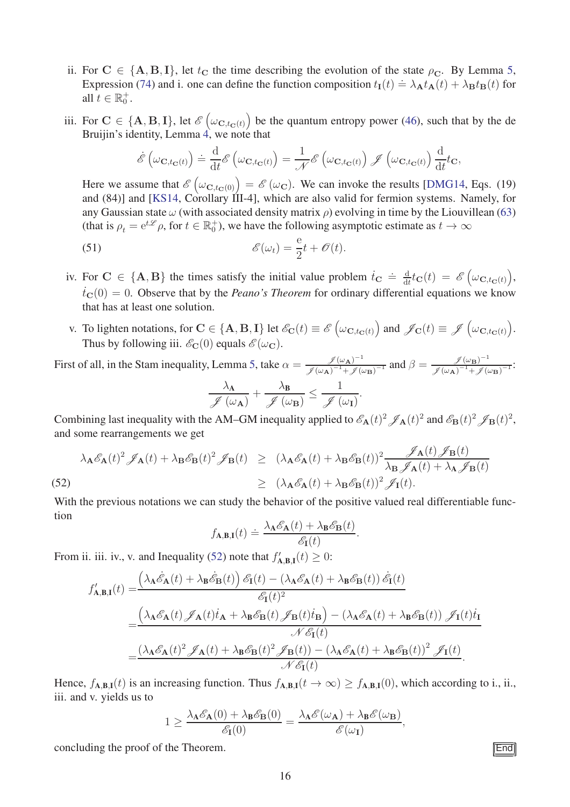- ii. For  $C \in \{A, B, I\}$ , let  $t_C$  the time describing the evolution of the state  $\rho_C$ . By Lemma [5,](#page-23-0) Expression [\(74\)](#page-24-0) and i. one can define the function composition  $t_{I}(t) = \lambda_{I} t_{A}(t) + \lambda_{B} t_{B}(t)$  for all  $t \in \mathbb{R}_0^+$ .
- iii. For  $C \in \{A, B, I\}$ , let  $\mathcal{E}(\omega_{C, t_C(t)})$  be the quantum entropy power [\(46\)](#page-13-2), such that by the de Bruijin's identity, Lemma [4,](#page-22-0) we note that

$$
\dot{\mathscr{E}}\left(\omega_{\mathbf{C},t_{\mathbf{C}}(t)}\right) \doteq \frac{\mathrm{d}}{\mathrm{d}t} \mathscr{E}\left(\omega_{\mathbf{C},t_{\mathbf{C}}(t)}\right) = \frac{1}{\mathscr{N}} \mathscr{E}\left(\omega_{\mathbf{C},t_{\mathbf{C}}(t)}\right) \mathscr{J}\left(\omega_{\mathbf{C},t_{\mathbf{C}}(t)}\right) \frac{\mathrm{d}}{\mathrm{d}t} t_{\mathbf{C}},
$$

Here we assume that  $\mathscr{E}(\omega_{\mathbf{C},t_{\mathbf{C}}(0)}) = \mathscr{E}(\omega_{\mathbf{C}})$ . We can invoke the results [\[DMG14,](#page-30-0) Eqs. (19) and (84)] and [\[KS14,](#page-31-1) Corollary III-4], which are also valid for fermion systems. Namely, for any Gaussian state *ω* (with associated density matrix *ρ*) evolving in time by the Liouvillean [\(63\)](#page-20-2) (that is  $\rho_t = e^{t\mathcal{L}} \rho$ , for  $t \in \mathbb{R}_0^+$ ), we have the following asymptotic estimate as  $t \to \infty$ 

(51) 
$$
\mathscr{E}(\omega_t) = \frac{e}{2}t + \mathscr{O}(t).
$$

- iv. For  $C \in \{A, B\}$  the times satisfy the initial value problem  $\dot{t}_C \doteq \frac{d}{dt}$  $\frac{\mathrm{d}}{\mathrm{d}t}t_{\mathbf{C}}(t) = \mathscr{E}\Big(\omega_{\mathbf{C},t_{\mathbf{C}}(t)}\Big),$  $\dot{t}_{\text{C}}(0) = 0$ . Observe that by the *Peano's Theorem* for ordinary differential equations we know that has at least one solution.
- v. To lighten notations, for  $\mathbf{C} \in \{\mathbf{A}, \mathbf{B}, \mathbf{I}\}\$ let  $\mathscr{E}_{\mathbf{C}}(t) \equiv \mathscr{E}(\omega_{\mathbf{C}, t_{\mathbf{C}}(t)})$  and  $\mathscr{J}_{\mathbf{C}}(t) \equiv \mathscr{J}(\omega_{\mathbf{C}, t_{\mathbf{C}}(t)})$ . Thus by following iii.  $\mathscr{E}_{\mathbf{C}}(0)$  equals  $\mathscr{E}(\omega_{\mathbf{C}})$ .

First of all, in the Stam inequality, Lemma [5,](#page-23-0) take  $\alpha = \frac{f(\omega_A)^{-1}}{g(\omega_A)^{-1} + g(\omega_A)}$  $\frac{\mathscr{J}(\omega_{\mathbf{A}})^{-1}}{\mathscr{J}(\omega_{\mathbf{A}})^{-1}+\mathscr{J}(\omega_{\mathbf{B}})^{-1}}$  and  $\beta=\frac{\mathscr{J}(\omega_{\mathbf{B}})^{-1}}{\mathscr{J}(\omega_{\mathbf{A}})^{-1}+\mathscr{J}(\omega_{\mathbf{A}})^{-1}}$  $\frac{\mathscr{J}(\omega_{\mathbf{B}})}{\mathscr{J}(\omega_{\mathbf{A}})^{-1}+\mathscr{J}(\omega_{\mathbf{B}})^{-1}}$ *λ*A  $\mathscr{J}(\omega_{\mathbf{A}})$  $+\frac{\lambda_{\mathbf{B}}}{\alpha}$  $\sqrt{\mathscr{J}\left(\omega_{\mathbf{B}}\right)}$ 1  $\mathscr{J}(\omega_{\mathbf{I}})$ *.*

Combining last inequality with the AM–GM inequality applied to  $\mathscr{E}_{A}(t)^{2} \mathscr{J}_{A}(t)^{2}$  and  $\mathscr{E}_{B}(t)^{2} \mathscr{J}_{B}(t)^{2}$ , and some rearrangements we get

<span id="page-15-0"></span>
$$
\lambda_{\mathbf{A}} \mathcal{E}_{\mathbf{A}}(t)^2 \mathcal{J}_{\mathbf{A}}(t) + \lambda_{\mathbf{B}} \mathcal{E}_{\mathbf{B}}(t)^2 \mathcal{J}_{\mathbf{B}}(t) \geq (\lambda_{\mathbf{A}} \mathcal{E}_{\mathbf{A}}(t) + \lambda_{\mathbf{B}} \mathcal{E}_{\mathbf{B}}(t))^2 \frac{\mathcal{J}_{\mathbf{A}}(t) \mathcal{J}_{\mathbf{B}}(t)}{\lambda_{\mathbf{B}} \mathcal{J}_{\mathbf{A}}(t) + \lambda_{\mathbf{A}} \mathcal{J}_{\mathbf{B}}(t)} \geq (\lambda_{\mathbf{A}} \mathcal{E}_{\mathbf{A}}(t) + \lambda_{\mathbf{B}} \mathcal{E}_{\mathbf{B}}(t))^2 \mathcal{J}_{\mathbf{I}}(t).
$$
\n(52)

With the previous notations we can study the behavior of the positive valued real differentiable function

$$
f_{\mathbf{A},\mathbf{B},\mathbf{I}}(t) \doteq \frac{\lambda_{\mathbf{A}}\mathscr{E}_{\mathbf{A}}(t) + \lambda_{\mathbf{B}}\mathscr{E}_{\mathbf{B}}(t)}{\mathscr{E}_{\mathbf{I}}(t)}.
$$

From ii. iii. iv., v. and Inequality [\(52\)](#page-15-0) note that  $f'_{A,B,I}(t) \geq 0$ :

$$
\begin{split} f'_{\mathbf{A},\mathbf{B},\mathbf{I}}(t) =& \frac{\left(\lambda_{\mathbf{A}}\dot{\mathcal{E}}_{\mathbf{A}}(t) + \lambda_{\mathbf{B}}\dot{\mathcal{E}}_{\mathbf{B}}(t)\right)\mathcal{E}_{\mathbf{I}}(t) - \left(\lambda_{\mathbf{A}}\mathcal{E}_{\mathbf{A}}(t) + \lambda_{\mathbf{B}}\mathcal{E}_{\mathbf{B}}(t)\right)\dot{\mathcal{E}}_{\mathbf{I}}(t)}{\mathcal{E}_{\mathbf{I}}(t)^{2}} \\ =& \frac{\left(\lambda_{\mathbf{A}}\mathcal{E}_{\mathbf{A}}(t)\mathcal{J}_{\mathbf{A}}(t)\dot{t}_{\mathbf{A}} + \lambda_{\mathbf{B}}\mathcal{E}_{\mathbf{B}}(t)\mathcal{J}_{\mathbf{B}}(t)\dot{t}_{\mathbf{B}}\right) - \left(\lambda_{\mathbf{A}}\mathcal{E}_{\mathbf{A}}(t) + \lambda_{\mathbf{B}}\mathcal{E}_{\mathbf{B}}(t)\right)\mathcal{J}_{\mathbf{I}}(t)\dot{t}_{\mathbf{I}}}{\mathcal{N}\mathcal{E}_{\mathbf{I}}(t)} \\ =& \frac{\left(\lambda_{\mathbf{A}}\mathcal{E}_{\mathbf{A}}(t)^{2}\mathcal{J}_{\mathbf{A}}(t) + \lambda_{\mathbf{B}}\mathcal{E}_{\mathbf{B}}(t)^{2}\mathcal{J}_{\mathbf{B}}(t)\right) - \left(\lambda_{\mathbf{A}}\mathcal{E}_{\mathbf{A}}(t) + \lambda_{\mathbf{B}}\mathcal{E}_{\mathbf{B}}(t)\right)^{2}\mathcal{J}_{\mathbf{I}}(t)}{\mathcal{N}\mathcal{E}_{\mathbf{I}}(t)}. \end{split}
$$

Hence,  $f_{\mathbf{A},\mathbf{B},\mathbf{I}}(t)$  is an increasing function. Thus  $f_{\mathbf{A},\mathbf{B},\mathbf{I}}(t \to \infty) \ge f_{\mathbf{A},\mathbf{B},\mathbf{I}}(0)$ , which according to i., ii., iii. and v. yields us to

$$
1 \geq \frac{\lambda_{\mathbf{A}} \mathscr{E}_{\mathbf{A}}(0) + \lambda_{\mathbf{B}} \mathscr{E}_{\mathbf{B}}(0)}{\mathscr{E}_{\mathbf{I}}(0)} = \frac{\lambda_{\mathbf{A}} \mathscr{E}(\omega_{\mathbf{A}}) + \lambda_{\mathbf{B}} \mathscr{E}(\omega_{\mathbf{B}})}{\mathscr{E}(\omega_{\mathbf{I}})},
$$

concluding the proof of the Theorem.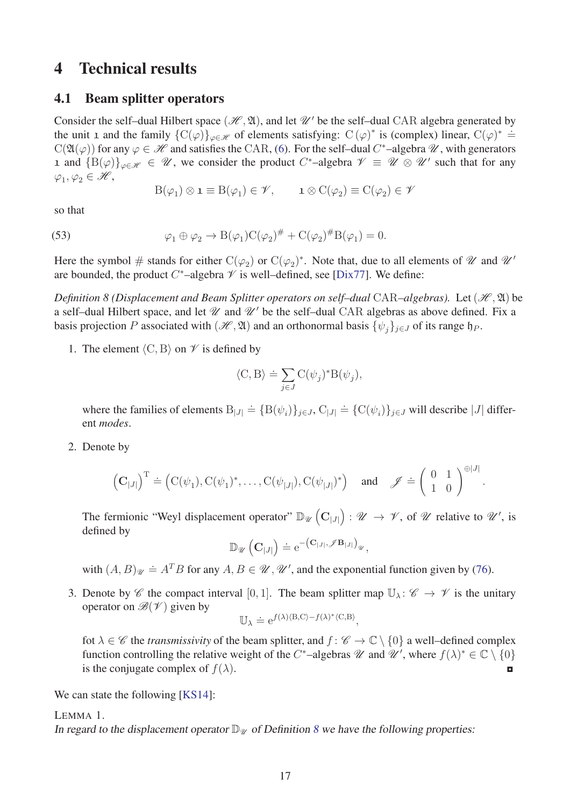# <span id="page-16-1"></span><span id="page-16-0"></span>4 Technical results

### 4.1 Beam splitter operators

Consider the self-dual Hilbert space  $(\mathcal{H}, \mathfrak{A})$ , and let  $\mathcal{U}'$  be the self-dual CAR algebra generated by the unit 1 and the family  $\{C(\varphi)\}_{\varphi \in \mathcal{H}}$  of elements satisfying:  $C(\varphi)^*$  is (complex) linear,  $C(\varphi)^* \doteq$  $C(\mathfrak{A}(\varphi))$  for any  $\varphi \in \mathcal{H}$  and satisfies the CAR, [\(6\)](#page-5-3). For the self-dual *C*<sup>\*</sup>-algebra  $\mathcal{U}$ , with generators 1 and  ${B(\varphi)}_{\varphi \in \mathscr{H}} \in \mathscr{U}$ , we consider the product *C*<sup>\*</sup>-algebra  $\mathscr{V} \equiv \mathscr{U} \otimes \mathscr{U}'$  such that for any  $\varphi_1, \varphi_2 \in \mathscr{H},$ 

<span id="page-16-4"></span>
$$
B(\varphi_1) \otimes \mathbf{1} \equiv B(\varphi_1) \in \mathscr{V}, \qquad \mathbf{1} \otimes C(\varphi_2) \equiv C(\varphi_2) \in \mathscr{V}
$$

so that

(53) 
$$
\varphi_1 \oplus \varphi_2 \to B(\varphi_1)C(\varphi_2)^\# + C(\varphi_2)^\#B(\varphi_1) = 0.
$$

Here the symbol  $\#$  stands for either  $C(\varphi_2)$  or  $C(\varphi_2)^*$ . Note that, due to all elements of  $\mathscr U$  and  $\mathscr U'$ are bounded, the product  $C^*$ –algebra  $\mathcal V$  is well–defined, see [\[Dix77\]](#page-30-13). We define:

*Definition 8 (Displacement and Beam Splitter operators on self–dual CAR–algebras).* Let  $(\mathcal{H}, \mathfrak{A})$  be a self-dual Hilbert space, and let  $\mathcal U$  and  $\mathcal U'$  be the self-dual CAR algebras as above defined. Fix a basis projection *P* associated with  $(\mathcal{H}, \mathfrak{A})$  and an orthonormal basis  $\{\psi_i\}_{i \in J}$  of its range  $\mathfrak{h}_P$ .

1. The element  $\langle C, B \rangle$  on  $\mathcal V$  is defined by

<span id="page-16-2"></span>
$$
\langle \mathcal{C}, \mathcal{B} \rangle \doteq \sum_{j \in J} \mathcal{C}(\psi_j)^* \mathcal{B}(\psi_j),
$$

where the families of elements  $B_{|J|} \doteq {B(\psi_i)}_{j \in J}$ ,  $C_{|J|} \doteq {C(\psi_i)}_{j \in J}$  will describe  $|J|$  different *modes*.

2. Denote by

$$
(\mathbf{C}_{|J|})^{\mathrm{T}} \doteq (\mathrm{C}(\psi_1), \mathrm{C}(\psi_1)^*, \dots, \mathrm{C}(\psi_{|J|}), \mathrm{C}(\psi_{|J|})^*) \quad \text{and} \quad \mathscr{J} \doteq \left(\begin{array}{cc} 0 & 1 \\ 1 & 0 \end{array}\right)^{\oplus |J|}.
$$

The fermionic "Weyl displacement operator"  $\mathbb{D}_{\mathscr{U}}\left(\mathbf{C}_{|J|}\right)$  :  $\mathscr{U} \to \mathscr{V}$ , of  $\mathscr{U}$  relative to  $\mathscr{U}'$ , is defined by

 $\mathbb{D}_{\mathscr{U}}\left(\mathbf{C}_{|J|}\right) \doteq e^{-\left(\mathbf{C}_{|J|}, \mathscr{J}\mathbf{B}_{|J|}\right)_{\mathscr{U}}},$ 

with  $(A, B)_{\mathcal{U}} \doteq A^T B$  for any  $A, B \in \mathcal{U}, \mathcal{U}'$ , and the exponential function given by [\(76\)](#page-26-1).

3. Denote by C the compact interval [0, 1]. The beam splitter map  $\mathbb{U}_{\lambda}$ :  $\mathscr{C} \to \mathscr{V}$  is the unitary operator on  $\mathscr{B}(\mathscr{V})$  given by

<span id="page-16-3"></span>
$$
\mathbb{U}_{\lambda} \doteq e^{f(\lambda)\langle \mathbf{B}, \mathbf{C} \rangle - f(\lambda)^* \langle \mathbf{C}, \mathbf{B} \rangle},
$$

fot  $\lambda \in \mathscr{C}$  the *transmissivity* of the beam splitter, and  $f : \mathscr{C} \to \mathbb{C} \setminus \{0\}$  a well–defined complex function controlling the relative weight of the *C*<sup>\*</sup>–algebras  $\mathcal{U}$  and  $\mathcal{U}'$ , where  $f(\lambda)^* \in \mathbb{C} \setminus \{0\}$ is the conjugate complex of  $f(\lambda)$ .

We can state the following [\[KS14\]](#page-31-1):

LEMMA 1.

In regard to the displacement operator  $\mathbb{D}_{\mathcal{U}}$  of Definition [8](#page-16-2) we have the following properties: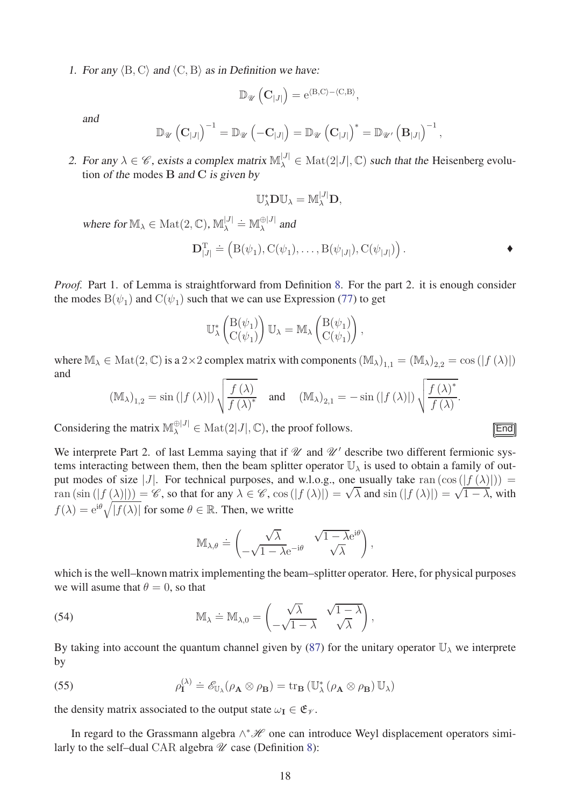1. For any  $\langle B, C \rangle$  and  $\langle C, B \rangle$  as in Definition we have:

$$
\mathbb{D}_{\mathscr{U}}\left(\mathbf{C}_{|J|}\right)=e^{\langle B,C\rangle-\langle C,B\rangle},
$$

and

$$
\mathbb{D}_{\mathscr{U}}\left(\mathbf{C}_{|J|}\right)^{-1}=\mathbb{D}_{\mathscr{U}}\left(-\mathbf{C}_{|J|}\right)=\mathbb{D}_{\mathscr{U}}\left(\mathbf{C}_{|J|}\right)^{*}=\mathbb{D}_{\mathscr{U}'}\left(\mathbf{B}_{|J|}\right)^{-1},
$$

2. For any  $\lambda \in \mathscr{C}$ , exists a complex matrix  $\mathbb{M}_{\lambda}^{[J]} \in \text{Mat}(2|J|, \mathbb{C})$  such that the Heisenberg evolution of the modes **B** and **C** is given by

$$
\mathbb{U}_{\lambda}^* \mathbf{D} \mathbb{U}_{\lambda} = \mathbb{M}_{\lambda}^{|J|} \mathbf{D},
$$

 $\mathsf{where} \text{ for } \mathbb{M}_{\lambda} \in \text{Mat}(2, \mathbb{C}), \mathbb{M}_{\lambda}^{|\mathcal{J}|} \doteq \mathbb{M}_{\lambda}^{\oplus |\mathcal{J}|}$  and

$$
\mathbf{D}_{|J|}^{\mathrm{T}} \doteq \left( \mathrm{B}(\psi_1), \mathrm{C}(\psi_1), \dots, \mathrm{B}(\psi_{|J|}), \mathrm{C}(\psi_{|J|}) \right).
$$

*Proof.* Part 1. of Lemma is straightforward from Definition [8.](#page-16-2) For the part 2. it is enough consider the modes  $B(\psi_1)$  and  $C(\psi_1)$  such that we can use Expression [\(77\)](#page-26-2) to get

$$
\mathbb{U}_{\lambda}^*\begin{pmatrix} \mathcal{B}(\psi_1) \\ \mathcal{C}(\psi_1) \end{pmatrix} \mathbb{U}_{\lambda} = \mathbb{M}_{\lambda} \begin{pmatrix} \mathcal{B}(\psi_1) \\ \mathcal{C}(\psi_1) \end{pmatrix},
$$

where  $\mathbb{M}_{\lambda} \in \text{Mat}(2, \mathbb{C})$  is a 2×2 complex matrix with components  $(\mathbb{M}_{\lambda})_{1,1} = (\mathbb{M}_{\lambda})_{2,2} = \cos(|f(\lambda)|)$ and

$$
(\mathbb{M}_{\lambda})_{1,2} = \sin(|f(\lambda)|) \sqrt{\frac{f(\lambda)}{f(\lambda)^*}} \quad \text{and} \quad (\mathbb{M}_{\lambda})_{2,1} = -\sin(|f(\lambda)|) \sqrt{\frac{f(\lambda)^*}{f(\lambda)}}
$$

Considering the matrix  $\mathbb{M}_{\lambda}^{\oplus |J|} \in \text{Mat}(2|J|, \mathbb{C})$ , the proof follows.

We interprete Part 2. of last Lemma saying that if  $\mathcal U$  and  $\mathcal U'$  describe two different fermionic systems interacting between them, then the beam splitter operator  $\mathbb{U}_{\lambda}$  is used to obtain a family of output modes of size |*J*|. For technical purposes, and w.l.o.g., one usually take ran  $(\cos(|f(\lambda)|))$  = ran  $(\sin(|f(\lambda)|)) = \mathscr{C}$ , so that for any  $\lambda \in \mathscr{C}$ ,  $\cos(|f(\lambda)|) = \sqrt{\lambda}$  and  $\sin(|f(\lambda)|) = \sqrt{1 - \lambda}$ , with  $f(\lambda) = e^{i\theta} \sqrt{|f(\lambda)|}$  for some  $\theta \in \mathbb{R}$ . Then, we writte

<span id="page-17-2"></span><span id="page-17-0"></span>
$$
\mathbb{M}_{\lambda,\theta} \doteq \begin{pmatrix} \sqrt{\lambda} & \sqrt{1-\lambda} \mathrm{e}^{\mathrm{i} \theta} \\ -\sqrt{1-\lambda} \mathrm{e}^{-\mathrm{i} \theta} & \sqrt{\lambda} \end{pmatrix},
$$

which is the well–known matrix implementing the beam–splitter operator. Here, for physical purposes we will asume that  $\theta = 0$ , so that

(54) 
$$
\mathbb{M}_{\lambda} \doteq \mathbb{M}_{\lambda,0} = \begin{pmatrix} \sqrt{\lambda} & \sqrt{1-\lambda} \\ -\sqrt{1-\lambda} & \sqrt{\lambda} \end{pmatrix},
$$

By taking into account the quantum channel given by [\(87\)](#page-28-2) for the unitary operator  $\mathbb{U}_{\lambda}$  we interprete by

<span id="page-17-1"></span>(55) 
$$
\rho_{\mathbf{I}}^{(\lambda)} \doteq \mathscr{E}_{\mathbb{U}_{\lambda}}(\rho_{\mathbf{A}} \otimes \rho_{\mathbf{B}}) = \operatorname{tr}_{\mathbf{B}} (\mathbb{U}_{\lambda}^{*}(\rho_{\mathbf{A}} \otimes \rho_{\mathbf{B}}) \mathbb{U}_{\lambda})
$$

the density matrix associated to the output state  $\omega_{I} \in \mathfrak{E}_{\mathcal{V}}$ .

In regard to the Grassmann algebra  $\wedge^* \mathcal{H}$  one can introduce Weyl displacement operators similarly to the self-dual CAR algebra  $\mathcal U$  case (Definition [8\)](#page-16-2):

|  |  | ×<br>. . |  |
|--|--|----------|--|
|  |  |          |  |

*.*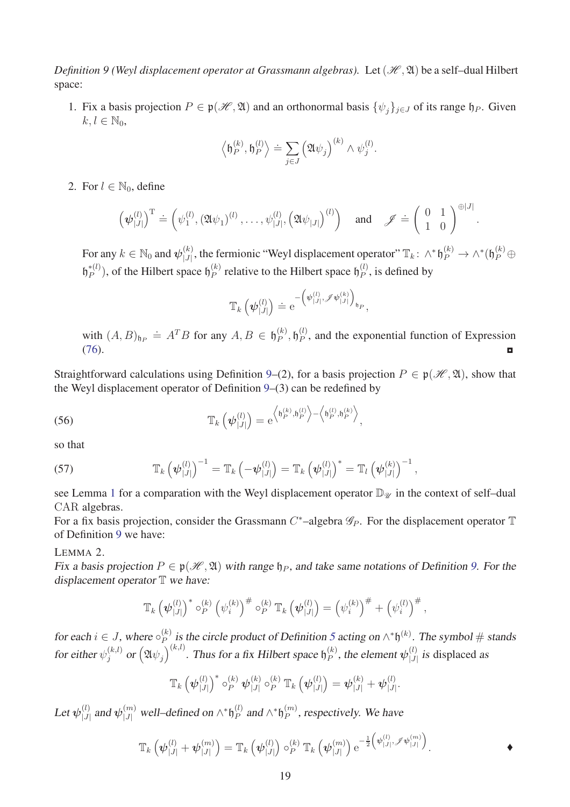*Definition 9 (Weyl displacement operator at Grassmann algebras).* Let  $(\mathcal{H}, \mathfrak{A})$  be a self-dual Hilbert space:

1. Fix a basis projection  $P \in \mathfrak{p}(\mathcal{H}, \mathfrak{A})$  and an orthonormal basis  $\{\psi_i\}_{i \in J}$  of its range  $\mathfrak{h}_P$ . Given  $k, l \in \mathbb{N}_0$ ,

$$
\langle \mathfrak{h}_P^{(k)}, \mathfrak{h}_P^{(l)} \rangle \doteq \sum_{j \in J} \left( \mathfrak{A} \psi_j \right)^{(k)} \wedge \psi_j^{(l)}.
$$

2. For  $l \in \mathbb{N}_0$ , define

$$
\left(\boldsymbol{\psi}_{|J|}^{(l)}\right)^{\mathrm{T}} \doteq \left(\psi_1^{(l)}, \left(\mathfrak{A}\psi_1\right)^{(l)}, \ldots, \psi_{|J|}^{(l)}, \left(\mathfrak{A}\psi_{|J|}\right)^{(l)}\right) \quad \text{and} \quad \mathscr{J} \doteq \left(\begin{array}{cc} 0 & 1\\ 1 & 0 \end{array}\right)^{\oplus |J|}
$$

*.*

For any  $k\in\mathbb{N}_0$  and  $\boldsymbol{\psi}_{|J|}^{(k)}$  $\bigcup_{|J|}^{(k)}$ , the fermionic "Weyl displacement operator"  $\mathbb{T}_k$ :  $\wedge^* \mathfrak{h}_P^{(k)} \to \wedge^* (\mathfrak{h}_P^{(k)} \oplus$  $\mathfrak{h}_P^{*(l)}$ ), of the Hilbert space  $\mathfrak{h}_P^{(k)}$  $P_P^{(k)}$  relative to the Hilbert space  $\mathfrak{h}_P^{(l)}$  $P<sup>(t)</sup>$ , is defined by

<span id="page-18-1"></span>
$$
\mathbb{T}_k\left(\boldsymbol{\psi}_{|J|}^{(l)}\right) \doteq \mathrm{e}^{-\left(\boldsymbol{\psi}_{|J|}^{(l)}, \mathscr{J} \boldsymbol{\psi}_{|J|}^{(k)}\right)_{\mathfrak{h}_P}},
$$

with  $(A, B)_{\mathfrak{h}_P} \doteq A^T B$  for any  $A, B \in \mathfrak{h}_P^{(k)}$  $\mathfrak{h}_P^{(k)}, \mathfrak{h}_P^{(l)}$  $P_P^{(t)}$ , and the exponential function of Expression  $(76)$ .

Straightforward calculations using Definition [9–](#page-17-0)(2), for a basis projection  $P \in \mathfrak{p}(\mathcal{H}, \mathfrak{A})$ , show that the Weyl displacement operator of Definition [9–](#page-17-0)(3) can be redefined by

(56) 
$$
\mathbb{T}_{k}\left(\psi_{|J|}^{(l)}\right)=e^{\left\langle \mathfrak{h}_{P}^{(k)},\mathfrak{h}_{P}^{(l)}\right\rangle - \left\langle \mathfrak{h}_{P}^{(l)},\mathfrak{h}_{P}^{(k)}\right\rangle},
$$

so that

<span id="page-18-2"></span>(57) 
$$
\mathbb{T}_{k}\left(\boldsymbol{\psi}_{|J|}^{(l)}\right)^{-1}=\mathbb{T}_{k}\left(-\boldsymbol{\psi}_{|J|}^{(l)}\right)=\mathbb{T}_{k}\left(\boldsymbol{\psi}_{|J|}^{(l)}\right)^{*}=\mathbb{T}_{l}\left(\boldsymbol{\psi}_{|J|}^{(k)}\right)^{-1},
$$

see Lemma [1](#page-16-3) for a comparation with the Weyl displacement operator  $\mathbb{D}_{\mathcal{U}}$  in the context of self–dual CAR algebras.

For a fix basis projection, consider the Grassmann *C*<sup>∗</sup>–algebra  $\mathscr{G}_P$ . For the displacement operator T of Definition [9](#page-17-0) we have:

LEMMA 2.

Fix a basis projection  $P \in \mathfrak{p}(\mathcal{H}, \mathfrak{A})$  with range  $\mathfrak{h}_P$ , and take same notations of Definition [9.](#page-17-0) For the displacement operator  $T$  we have:

<span id="page-18-0"></span>
$$
\mathbb{T}_{k}\left(\psi_{|J|}^{(l)}\right)^{*}\circ_{P}^{(k)}\left(\psi_{i}^{(k)}\right)^{\#}\circ_{P}^{(k)}\mathbb{T}_{k}\left(\psi_{|J|}^{(l)}\right)=\left(\psi_{i}^{(k)}\right)^{\#}+\left(\psi_{i}^{(l)}\right)^{\#},
$$

for each  $i \in J$ , where  $\circ_{P}^{(k)}$  $P_P^{(k)}$  is the circle product of Definition [5](#page-8-0) acting on  $\wedge^* \mathfrak{h}^{(k)}$ . The symbol # stands for either  $\psi_j^{(k,l)}$  or  $\left( \mathfrak{A} \psi_j \right)^{(k,l)}.$  Thus for a fix Hilbert space  $\mathfrak{h}_P^{(k)}$  $p^{(k)}$ , the element  $\boldsymbol{\psi}^{(l)}_{|J|}$  $\binom{U}{|J|}$  is displaced as

$$
\mathbb{T}_{k}\left(\boldsymbol{\psi}_{|J|}^{(l)}\right)^{*}\circ_{P}^{(k)}\boldsymbol{\psi}_{|J|}^{(k)}\circ_{P}^{(k)}\mathbb{T}_{k}\left(\boldsymbol{\psi}_{|J|}^{(l)}\right)=\boldsymbol{\psi}_{|J|}^{(k)}+\boldsymbol{\psi}_{|J|}^{(l)}.
$$

 $\text{Let } \boldsymbol{\psi}_{\text{l},l}^{(l)}$  $\int_{|J|}^{(l)}$  and  $\psi_{|J|}^{(m)}$  well–defined on  $\wedge^* \mathfrak{h}_P^{(l)}$  $_{P}^{(l)}$  and  $\wedge^* \mathfrak{h}_{P}^{(m)}$  $P_P^{(m)}$ , respectively. We have

$$
\mathbb{T}_{k}\left(\boldsymbol{\psi}_{|J|}^{(l)}+\boldsymbol{\psi}_{|J|}^{(m)}\right)=\mathbb{T}_{k}\left(\boldsymbol{\psi}_{|J|}^{(l)}\right)\circ_{P}^{(k)}\mathbb{T}_{k}\left(\boldsymbol{\psi}_{|J|}^{(m)}\right)\mathrm{e}^{-\frac{1}{2}\left(\boldsymbol{\psi}_{|J|}^{(l)},\mathscr{J}\boldsymbol{\psi}_{|J|}^{(m)}\right)}.
$$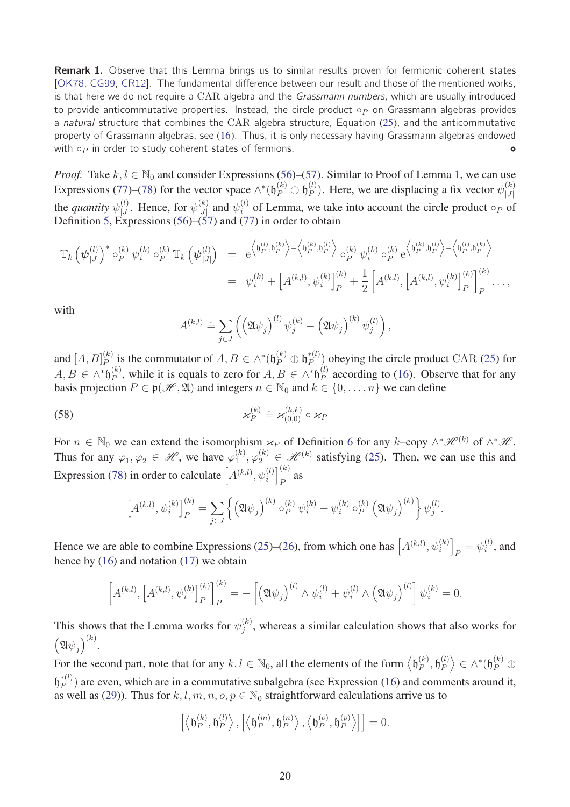**Remark 1.** Observe that this Lemma brings us to similar results proven for fermionic coherent states [\[OK78,](#page-31-6) [CG99,](#page-30-8) [CR12\]](#page-30-14). The fundamental difference between our result and those of the mentioned works, is that here we do not require a CAR algebra and the Grassmann numbers, which are usually introduced to provide anticommutative properties. Instead, the circle product ◦*<sup>P</sup>* on Grassmann algebras provides a *natural* structure that combines the CAR algebra structure, Equation [\(25\)](#page-9-1), and the anticommutative property of Grassmann algebras, see [\(16\)](#page-7-1). Thus, it is only necessary having Grassmann algebras endowed with ◦*<sup>P</sup>* in order to study coherent states of fermions. ␏

*Proof.* Take  $k, l \in \mathbb{N}_0$  and consider Expressions [\(56\)](#page-18-1)–[\(57\)](#page-18-2). Similar to Proof of Lemma [1,](#page-16-3) we can use Expressions [\(77\)](#page-26-2)–[\(78\)](#page-26-3) for the vector space  $\wedge^*(\mathfrak{h}_P^{(k)} \oplus \mathfrak{h}_P^{(l)})$  $\binom{l}{P}$ . Here, we are displacing a fix vector  $\psi_{|J|}^{(k)}$ |*J*| the *quantity*  $\psi_{\vert .l}^{(l)}$  $\psi_{|J|}^{(l)}$ . Hence, for  $\psi_{|J|}^{(k)}$  $\begin{bmatrix} h \ j \end{bmatrix}$  and  $\psi_i^{(l)}$  of Lemma, we take into account the circle product  $\circ_P$  of Definition [5,](#page-8-0) Expressions [\(56\)](#page-18-1)–[\(57\)](#page-18-2) and [\(77\)](#page-26-2) in order to obtain

$$
\mathbb{T}_{k}\left(\psi_{|J|}^{(l)}\right)^{*} \circ_{P}^{(k)} \psi_{i}^{(k)} \circ_{P}^{(k)} \mathbb{T}_{k}\left(\psi_{|J|}^{(l)}\right) = e^{\left\langle \mathfrak{h}_{P}^{(l)}, \mathfrak{h}_{P}^{(k)} \right\rangle - \left\langle \mathfrak{h}_{P}^{(k)}, \mathfrak{h}_{P}^{(l)} \right\rangle} \circ_{P}^{(k)} \psi_{i}^{(k)} \circ_{P}^{(k)} e^{\left\langle \mathfrak{h}_{P}^{(k)}, \mathfrak{h}_{P}^{(l)} \right\rangle - \left\langle \mathfrak{h}_{P}^{(l)}, \mathfrak{h}_{P}^{(k)} \right\rangle} \newline = \psi_{i}^{(k)} + \left[A^{(k,l)}, \psi_{i}^{(k)}\right]_{P}^{(k)} + \frac{1}{2} \left[A^{(k,l)}, \left[A^{(k,l)}, \psi_{i}^{(k)}\right]_{P}^{(k)}\right]_{P}^{(k)} \cdots,
$$

with

$$
A^{(k,l)} \doteq \sum_{j \in J} \left( \left( \mathfrak{A} \psi_j \right)^{(l)} \psi_j^{(k)} - \left( \mathfrak{A} \psi_j \right)^{(k)} \psi_j^{(l)} \right),
$$

and  $[A, B]_P^{(k)}$  $P_P^{(k)}$  is the commutator of  $A, B \in \wedge^*$  ( $\mathfrak{h}_P^{(k)} \oplus \mathfrak{h}_P^{*(l)}$ ) obeying the circle product CAR [\(25\)](#page-9-1) for  $A, B \in \wedge^* \mathfrak{h}_P^{(k)}$  $P_P^{(k)}$ , while it is equals to zero for *A*, *B* ∈ ∧\* $\mathfrak{h}_P^{(l)}$  $P_P^{(t)}$  according to [\(16\)](#page-7-1). Observe that for any basis projection  $P \in \mathfrak{p}(\mathcal{H}, \mathfrak{A})$  and integers  $n \in \mathbb{N}_0$  and  $k \in \{0, \ldots, n\}$  we can define

(58) 
$$
\varkappa_P^{(k)} \doteq \varkappa_{(0,0)}^{(k,k)} \circ \varkappa_P
$$

For  $n \in \mathbb{N}_0$  we can extend the isomorphism  $\varkappa_P$  of Definition [6](#page-9-2) for any  $k$ –copy  $\wedge^* \mathscr{H}^{(k)}$  of  $\wedge^* \mathscr{H}$ . Thus for any  $\varphi_1, \varphi_2 \in \mathcal{H}$ , we have  $\varphi_1^{(k)}$  $\mathcal{L}_{1}^{(k)}$ ,  $\varphi_{2}^{(k)} \in \mathcal{H}^{(k)}$  satisfying [\(25\)](#page-9-1). Then, we can use this and Expression [\(78\)](#page-26-3) in order to calculate  $\left[A^{(k,l)}, \psi_i^{(l)}\right]_P^{(k)}$  $\int_{P}^{(n)}$  as

$$
\[A^{(k,l)}, \psi_i^{(k)}\]_P^{(k)} = \sum_{j \in J} \left\{ \left( \mathfrak{A} \psi_j \right)^{(k)} \circ_P^{(k)} \psi_i^{(k)} + \psi_i^{(k)} \circ_P^{(k)} \left( \mathfrak{A} \psi_j \right)^{(k)} \right\} \psi_j^{(l)}.
$$

Hence we are able to combine Expressions [\(25\)](#page-9-1)–[\(26\)](#page-9-4), from which one has  $A^{(k,l)}, \psi_i^{(k)}$  $_{P} = \psi_i^{(l)}$  $i^{\prime\prime}$ , and hence by [\(16\)](#page-7-1) and notation [\(17\)](#page-7-2) we obtain

$$
\[A^{(k,l)}, \left[A^{(k,l)}, \psi_i^{(k)}\right]_P^{(k)}\]_P^{(k)} = -\left[\left(\mathfrak{A}\psi_j\right)^{(l)} \wedge \psi_i^{(l)} + \psi_i^{(l)} \wedge \left(\mathfrak{A}\psi_j\right)^{(l)}\right] \psi_i^{(k)} = 0.\]
$$

This shows that the Lemma works for  $\psi_j^{(k)}$  $j^{(k)}$ , whereas a similar calculation shows that also works for  $(\mathfrak{A}\psi_j)^{(k)}$ .

For the second part, note that for any  $k, l \in \mathbb{N}_0$ , all the elements of the form  $\left\langle \mathfrak{h}_P^{(k)} \right\rangle$  $_{P}^{(k)},\mathfrak{h}_{P}^{(l)}$  $\binom{l}{P}$   $\in$  ^\* $(\mathfrak{h}_{P}^{(k)} \oplus$  $(\mathfrak{h}_P^{*(l)})$  are even, which are in a commutative subalgebra (see Expression [\(16\)](#page-7-1) and comments around it, as well as [\(29\)](#page-9-0)). Thus for  $k, l, m, n, o, p \in \mathbb{N}_0$  straightforward calculations arrive us to

$$
\left[\left\langle \mathfrak{h}_{P}^{(k)},\mathfrak{h}_{P}^{(l)}\right\rangle ,\left[\left\langle \mathfrak{h}_{P}^{(m)},\mathfrak{h}_{P}^{(n)}\right\rangle ,\left\langle \mathfrak{h}_{P}^{(o)},\mathfrak{h}_{P}^{(p)}\right\rangle \right]\right]=0.
$$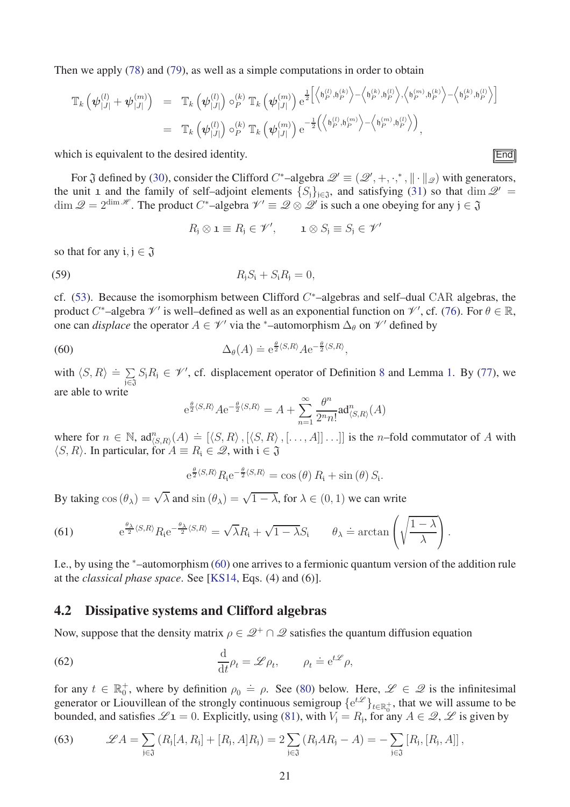Then we apply [\(78\)](#page-26-3) and [\(79\)](#page-26-4), as well as a simple computations in order to obtain

$$
\mathbb{T}_{k}\left(\psi_{|J|}^{(l)}+\psi_{|J|}^{(m)}\right) = \mathbb{T}_{k}\left(\psi_{|J|}^{(l)}\right)\circ_{P}^{(k)}\mathbb{T}_{k}\left(\psi_{|J|}^{(m)}\right)e^{\frac{1}{2}\left[\left\langle \mathfrak{h}_{P}^{(l)},\mathfrak{h}_{P}^{(k)}\right\rangle - \left\langle \mathfrak{h}_{P}^{(k)},\mathfrak{h}_{P}^{(l)}\right\rangle,\left\langle \mathfrak{h}_{P}^{(m)},\mathfrak{h}_{P}^{(k)}\right\rangle - \left\langle \mathfrak{h}_{P}^{(k)},\mathfrak{h}_{P}^{(l)}\right\rangle\right]}\n\n= \mathbb{T}_{k}\left(\psi_{|J|}^{(l)}\right)\circ_{P}^{(k)}\mathbb{T}_{k}\left(\psi_{|J|}^{(m)}\right)e^{-\frac{1}{2}\left(\left\langle \mathfrak{h}_{P}^{(l)},\mathfrak{h}_{P}^{(m)}\right\rangle - \left\langle \mathfrak{h}_{P}^{(m)},\mathfrak{h}_{P}^{(l)}\right\rangle\right)},
$$

which is equivalent to the desired identity.  $\boxed{\text{End}}$ 

For  $\mathfrak J$  defined by [\(30\)](#page-10-1), consider the Clifford  $C^*$ -algebra  $\mathscr Q' \equiv (\mathscr Q', +, \cdot,^*, \| \cdot \|_{\mathscr Q})$  with generators, the unit 1 and the family of self–adjoint elements  $\{S_i\}_{i\in\mathfrak{J}}$ , and satisfying [\(31\)](#page-10-5) so that dim  $\mathcal{Q}'$ dim  $\mathscr{Q} = 2^{\dim \mathscr{H}}$ . The product *C*<sup>\*</sup>-algebra  $\mathscr{V}' \equiv \mathscr{Q} \otimes \mathscr{Q}'$  is such a one obeying for any  $j \in \mathfrak{J}$ 

$$
R_j \otimes \mathbf{1} \equiv R_j \in \mathscr{V}', \qquad \mathbf{1} \otimes S_j \equiv S_j \in \mathscr{V}'
$$

so that for any  $i, j \in \mathfrak{J}$ 

(59) 
$$
R_{j}S_{i} + S_{i}R_{j} = 0,
$$

cf. [\(53\)](#page-16-4). Because the isomorphism between Clifford *C* <sup>∗</sup>–algebras and self–dual CAR algebras, the product *C*<sup>\*</sup>-algebra  $\mathcal{V}'$  is well-defined as well as an exponential function on  $\mathcal{V}'$ , cf. [\(76\)](#page-26-1). For  $\theta \in \mathbb{R}$ , one can *displace* the operator  $A \in \mathcal{V}'$  via the <sup>\*</sup>-automorphism  $\Delta_{\theta}$  on  $\mathcal{V}'$  defined by

(60) 
$$
\Delta_{\theta}(A) \doteq e^{\frac{\theta}{2}\langle S,R\rangle} A e^{-\frac{\theta}{2}\langle S,R\rangle},
$$

with  $\langle S, R \rangle \doteq \sum_{i \in \mathbb{Z}}$  $\sum_{j\in\mathfrak{J}} S_j R_j$  ∈  $\mathcal{V}'$ , cf. displacement operator of Definition [8](#page-16-2) and Lemma [1.](#page-16-3) By [\(77\)](#page-26-2), we are able to write

<span id="page-20-3"></span>
$$
e^{\frac{\theta}{2}\langle S,R\rangle}Ae^{-\frac{\theta}{2}\langle S,R\rangle}=A+\sum_{n=1}^{\infty}\frac{\theta^n}{2^nn!}\text{ad}_{\langle S,R\rangle}^n(A)
$$

where for  $n \in \mathbb{N}$ ,  $\text{ad}_{\langle S,R \rangle}^n(A) = [\langle S, R \rangle, [\langle S, R \rangle, [\dots, A]] \dots]$  is the *n*–fold commutator of *A* with  $\langle S, R \rangle$ . In particular, for  $A \equiv R_i \in \mathcal{Q}$ , with  $i \in \mathfrak{J}$ 

$$
e^{\frac{\theta}{2}\langle S,R\rangle}R_i e^{-\frac{\theta}{2}\langle S,R\rangle} = \cos(\theta) R_i + \sin(\theta) S_i.
$$

By taking  $\cos (\theta_\lambda) = \sqrt{\lambda}$  and  $\sin (\theta_\lambda) = \sqrt{1 - \lambda}$ , for  $\lambda \in (0, 1)$  we can write

<span id="page-20-4"></span>(61) 
$$
e^{\frac{\theta_{\lambda}}{2}\langle S,R\rangle}R_{i}e^{-\frac{\theta_{\lambda}}{2}\langle S,R\rangle}=\sqrt{\lambda}R_{i}+\sqrt{1-\lambda}S_{i} \qquad \theta_{\lambda}=\arctan\left(\sqrt{\frac{1-\lambda}{\lambda}}\right).
$$

I.e., by using the <sup>∗</sup>–automorphism [\(60\)](#page-20-3) one arrives to a fermionic quantum version of the addition rule at the *classical phase space*. See [\[KS14,](#page-31-1) Eqs. (4) and (6)].

### <span id="page-20-0"></span>4.2 Dissipative systems and Clifford algebras

Now, suppose that the density matrix  $\rho \in \mathcal{Q}^+ \cap \mathcal{Q}$  satisfies the quantum diffusion equation

<span id="page-20-1"></span>(62) 
$$
\frac{\mathrm{d}}{\mathrm{d}t}\rho_t = \mathscr{L}\rho_t, \qquad \rho_t \doteq \mathrm{e}^{t\mathscr{L}}\rho,
$$

for any  $t \in \mathbb{R}_0^+$ , where by definition  $\rho_0 = \rho$ . See [\(80\)](#page-27-0) below. Here,  $\mathscr{L} \in \mathscr{Q}$  is the infinitesimal generator or Liouvillean of the strongly continuous semigroup  $\{e^{t\mathcal{L}}\}_{t\in\mathbb{R}_{0}^{+}}$ , that we will assume to be bounded, and satisfies  $\mathscr{L}$ **1** = 0. Explicitly, using [\(81\)](#page-27-1), with  $V_j = R_j$ , for any  $A \in \mathscr{Q}$ ,  $\mathscr{L}$  is given by

<span id="page-20-2"></span>(63) 
$$
\mathscr{L}A = \sum_{j \in \mathfrak{J}} (R_j[A, R_j] + [R_j, A]R_j) = 2 \sum_{j \in \mathfrak{J}} (R_jAR_j - A) = - \sum_{j \in \mathfrak{J}} [R_j, [R_j, A]]
$$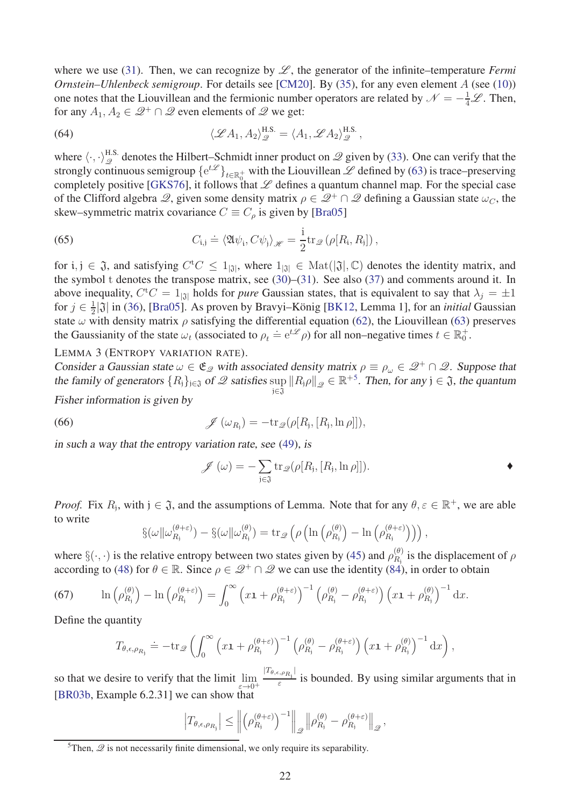where we use [\(31\)](#page-10-5). Then, we can recognize by  $\mathscr{L}$ , the generator of the infinite–temperature *Fermi Ornstein–Uhlenbeck semigroup*. For details see [\[CM20\]](#page-30-11). By [\(35\)](#page-11-4), for any even element *A* (see [\(10\)](#page-5-5)) one notes that the Liouvillean and the fermionic number operators are related by  $\mathcal{N} = -\frac{1}{4}\mathcal{L}$ . Then, for any  $A_1, A_2 \in \mathcal{Q}^+ \cap \mathcal{Q}$  even elements of  $\mathcal{Q}$  we get:

<span id="page-21-3"></span>(64) 
$$
\langle \mathscr{L} A_1, A_2 \rangle_{\mathscr{Q}}^{\text{H.S.}} = \langle A_1, \mathscr{L} A_2 \rangle_{\mathscr{Q}}^{\text{H.S.}},
$$

where  $\langle \cdot, \cdot \rangle_{\mathcal{Q}}^{\text{H.S.}}$  denotes the Hilbert–Schmidt inner product on  $\mathcal{Q}$  given by [\(33\)](#page-10-6). One can verify that the strongly continuous semigroup  $\{e^{t\mathscr{L}}\}_{t\in\mathbb{R}_{0}^{+}}$  with the Liouvillean  $\mathscr{L}$  defined by [\(63\)](#page-20-2) is trace–preserving completely positive [\[GKS76\]](#page-30-15), it follows that  $L$  defines a quantum channel map. For the special case of the Clifford algebra  $\mathscr{Q}$ , given some density matrix  $\rho \in \mathscr{Q}^+ \cap \mathscr{Q}$  defining a Gaussian state  $\omega_C$ , the skew–symmetric matrix covariance  $C \equiv C_{\rho}$  is given by [\[Bra05\]](#page-30-4)

(65) 
$$
C_{i,j} \doteq \langle \mathfrak{A} \psi_i, C \psi_j \rangle_{\mathscr{H}} = \frac{i}{2} \text{tr}_{\mathscr{Q}} \left( \rho[R_i, R_j] \right),
$$

for  $i, j \in \mathfrak{J}$ , and satisfying  $C^tC \leq 1_{|\mathfrak{J}|}$ , where  $1_{|\mathfrak{J}|} \in \text{Mat}(|\mathfrak{J}|, \mathbb{C})$  denotes the identity matrix, and the symbol t denotes the transpose matrix, see [\(30\)](#page-10-1)–[\(31\)](#page-10-5). See also [\(37\)](#page-11-5) and comments around it. In above inequality,  $C^{\dagger}C = 1_{|\mathfrak{J}|}$  holds for *pure* Gaussian states, that is equivalent to say that  $\lambda_j = \pm 1$ for  $j \in \frac{1}{2}$  $\frac{1}{2}$ [3] in [\(36\)](#page-11-6), [\[Bra05\]](#page-30-4). As proven by Bravyi–König [\[BK12,](#page-29-4) Lemma 1], for an *initial* Gaussian state  $\omega$  with density matrix  $\rho$  satisfying the differential equation [\(62\)](#page-20-1), the Liouvillean [\(63\)](#page-20-2) preserves the Gaussianity of the state  $\omega_t$  (associated to  $\rho_t \doteq e^{t\mathscr{L}} \rho$ ) for all non–negative times  $t \in \mathbb{R}_0^+$ .

LEMMA 3 (ENTROPY VARIATION RATE).

Consider a Gaussian state  $\omega \in \mathfrak{E}_{\mathcal{Q}}$  with associated density matrix  $\rho \equiv \rho_{\omega} \in \mathcal{Q}^+ \cap \mathcal{Q}$ . Suppose that the family of generators  $\{R_j\}_{j\in\mathfrak{J}}$  of  $\mathcal{Q}$  satisfies  $\sup_{j\in\mathfrak{J}} ||R_j \rho||_{\mathcal{Q}} \in \mathbb{R}^{+5}$  $\sup_{j\in\mathfrak{J}} ||R_j \rho||_{\mathcal{Q}} \in \mathbb{R}^{+5}$  $\sup_{j\in\mathfrak{J}} ||R_j \rho||_{\mathcal{Q}} \in \mathbb{R}^{+5}$ . Then, for any  $j \in \mathfrak{J}$ , the quantum

Fisher information is given by

(66) 
$$
\mathscr{J}(\omega_{R_i}) = -\text{tr}_{\mathscr{Q}}(\rho[R_i,[R_i,\ln\rho]]),
$$

in such <sup>a</sup> way that the entropy variation rate, see [\(49\)](#page-13-3), is

<span id="page-21-0"></span>
$$
\mathscr{J}(\omega) = -\sum_{j \in \mathfrak{J}} \operatorname{tr}_{\mathscr{Q}}(\rho[R_j, [R_j, \ln \rho]]).
$$

*Proof.* Fix  $R_j$ , with  $j \in \mathfrak{J}$ , and the assumptions of Lemma. Note that for any  $\theta, \varepsilon \in \mathbb{R}^+$ , we are able to write

$$
\S(\omega||\omega_{R_j}^{(\theta+\varepsilon)}) - \S(\omega||\omega_{R_j}^{(\theta)}) = \text{tr}_{\mathscr{D}}\left(\rho\left(\ln\left(\rho_{R_j}^{(\theta)}\right) - \ln\left(\rho_{R_j}^{(\theta+\varepsilon)}\right)\right)\right),
$$

where  $\S(\cdot, \cdot)$  is the relative entropy between two states given by [\(45\)](#page-13-1) and  $\rho_{R_j}^{(\theta)}$  $R_i^{(0)}$  is the displacement of  $\rho$ according to [\(48\)](#page-13-4) for  $\theta \in \mathbb{R}$ . Since  $\rho \in \mathcal{Q}^+ \cap \mathcal{Q}$  we can use the identity [\(84\)](#page-28-3), in order to obtain

<span id="page-21-2"></span>(67) 
$$
\ln\left(\rho_{R_j}^{(\theta)}\right) - \ln\left(\rho_{R_j}^{(\theta+\varepsilon)}\right) = \int_0^\infty \left(x\mathbf{1} + \rho_{R_j}^{(\theta+\varepsilon)}\right)^{-1} \left(\rho_{R_j}^{(\theta)} - \rho_{R_j}^{(\theta+\varepsilon)}\right) \left(x\mathbf{1} + \rho_{R_j}^{(\theta)}\right)^{-1} dx.
$$

Define the quantity

$$
T_{\theta,\epsilon,\rho_{R_{\mathbf{j}}}} \doteq -\text{tr}_{\mathscr{Q}}\left(\int_0^\infty \left(x\mathbf{1} + \rho_{R_{\mathbf{j}}}^{(\theta+\varepsilon)}\right)^{-1} \left(\rho_{R_{\mathbf{j}}}^{(\theta)} - \rho_{R_{\mathbf{j}}}^{(\theta+\varepsilon)}\right) \left(x\mathbf{1} + \rho_{R_{\mathbf{j}}}^{(\theta)}\right)^{-1} dx\right),
$$

so that we desire to verify that the limit  $\lim_{\epsilon \to 0} \frac{|T_{\theta,\epsilon,\rho_{R_i}}|}{\epsilon}$ [\[BR03b,](#page-29-5) Example 6.2.31] we can show that  $\frac{E_{\epsilon} P R_1}{\epsilon}$  is bounded. By using similar arguments that in

$$
\left|T_{\theta,\epsilon,\rho_{R_j}}\right| \leq \left\|\left(\rho_{R_j}^{(\theta+\varepsilon)}\right)^{-1}\right\|_{\mathscr{Q}}\left\|\rho_{R_j}^{(\theta)} - \rho_{R_j}^{(\theta+\varepsilon)}\right\|_{\mathscr{Q}},
$$

<span id="page-21-1"></span><sup>&</sup>lt;sup>5</sup>Then,  $\mathscr Q$  is not necessarily finite dimensional, we only require its separability.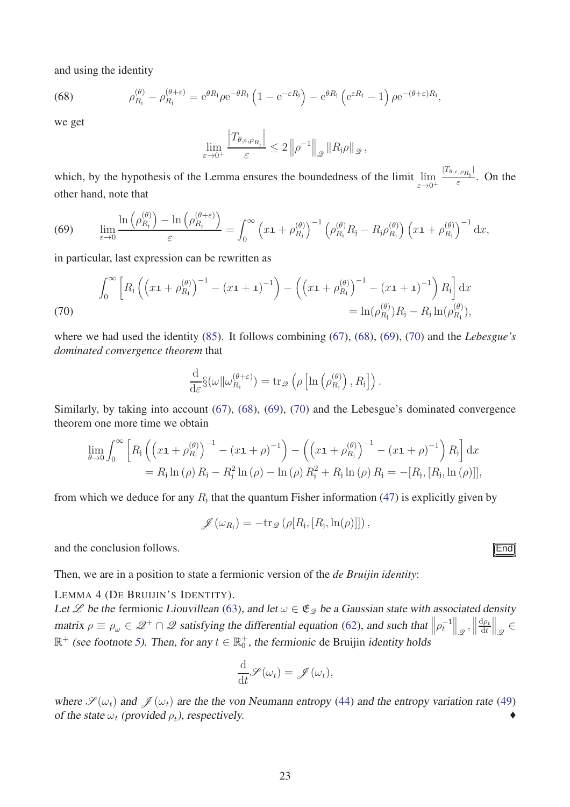and using the identity

<span id="page-22-1"></span>(68) 
$$
\rho_{R_j}^{(\theta)} - \rho_{R_j}^{(\theta + \varepsilon)} = e^{\theta R_j} \rho e^{-\theta R_j} \left( 1 - e^{-\varepsilon R_j} \right) - e^{\theta R_j} \left( e^{\varepsilon R_j} - 1 \right) \rho e^{-(\theta + \varepsilon)R_j},
$$

we get

$$
\lim_{\varepsilon \to 0^+} \frac{\left|T_{\theta,\epsilon,\rho_{R_j}}\right|}{\varepsilon} \leq 2 \left\|\rho^{-1}\right\|_{\mathscr{Q}} \left\|R_j \rho\right\|_{\mathscr{Q}},
$$

which, by the hypothesis of the Lemma ensures the boundedness of the limit lim *ε*→0<sup>+</sup>  $|T_{\theta,\epsilon,\rho_{R_i}}|$  $\frac{E_{R_1}}{\varepsilon}$ . On the other hand, note that

<span id="page-22-2"></span>(69) 
$$
\lim_{\varepsilon \to 0} \frac{\ln\left(\rho_{R_j}^{(\theta)}\right) - \ln\left(\rho_{R_j}^{(\theta + \varepsilon)}\right)}{\varepsilon} = \int_0^\infty \left(x\mathbf{1} + \rho_{R_j}^{(\theta)}\right)^{-1} \left(\rho_{R_j}^{(\theta)} R_j - R_j \rho_{R_j}^{(\theta)}\right) \left(x\mathbf{1} + \rho_{R_j}^{(\theta)}\right)^{-1} dx,
$$

in particular, last expression can be rewritten as

<span id="page-22-3"></span>(70)  

$$
\int_0^{\infty} \left[ R_j \left( \left( x \mathbf{1} + \rho_{R_j}^{(\theta)} \right)^{-1} - \left( x \mathbf{1} + \mathbf{1} \right)^{-1} \right) - \left( \left( x \mathbf{1} + \rho_{R_j}^{(\theta)} \right)^{-1} - \left( x \mathbf{1} + \mathbf{1} \right)^{-1} \right) R_j \right] dx
$$

$$
= \ln(\rho_{R_j}^{(\theta)}) R_j - R_j \ln(\rho_{R_j}^{(\theta)}),
$$

where we had used the identity [\(85\)](#page-28-4). It follows combining [\(67\)](#page-21-2), [\(68\)](#page-22-1), [\(69\)](#page-22-2), [\(70\)](#page-22-3) and the *Lebesgue's dominated convergence theorem* that

$$
\frac{\mathrm{d}}{\mathrm{d}\varepsilon}\S(\omega||\omega_{R_{\mathbf{j}}}^{(\theta+\varepsilon)}) = \mathrm{tr}_{\mathscr{Q}}\left(\rho\left[\ln\left(\rho_{R_{\mathbf{j}}}^{(\theta)}\right),R_{\mathbf{j}}\right]\right).
$$

Similarly, by taking into account [\(67\)](#page-21-2), [\(68\)](#page-22-1), [\(69\)](#page-22-2), [\(70\)](#page-22-3) and the Lebesgue's dominated convergence theorem one more time we obtain

$$
\lim_{\theta \to 0} \int_0^{\infty} \left[ R_j \left( \left( x \mathbf{1} + \rho_{R_j}^{(\theta)} \right)^{-1} - \left( x \mathbf{1} + \rho \right)^{-1} \right) - \left( \left( x \mathbf{1} + \rho_{R_j}^{(\theta)} \right)^{-1} - \left( x \mathbf{1} + \rho \right)^{-1} \right) R_j \right] dx \n= R_j \ln(\rho) R_j - R_j^2 \ln(\rho) - \ln(\rho) R_j^2 + R_j \ln(\rho) R_j = -[R_j, [R_j, \ln(\rho)]],
$$

from which we deduce for any  $R_j$  that the quantum Fisher information  $(47)$  is explicitly given by

$$
\mathscr{J}(\omega_{R_j}) = -\text{tr}_{\mathscr{Q}}\left(\rho[R_j,[R_j,\ln(\rho)]]\right),\,
$$

and the conclusion follows.  $\boxed{\text{End}}$ 

Then, we are in a position to state a fermionic version of the *de Bruijin identity*:

LEMMA 4 (DE BRUIJIN'S IDENTITY).

Let Let be the fermionic Liouvillean [\(63\)](#page-20-2), and let  $\omega \in \mathfrak{E}_{\mathcal{Q}}$  be a Gaussian state with associated density matrix  $\rho \equiv \rho_\omega \in \mathscr{Q}^+ \cap \mathscr{Q}$  satisfying the differential equation [\(62\)](#page-20-1), and such that  $\left\| \rho_t^{-1} \right\|_{\mathscr{Q}}$ ,  $\left\| \rho_t^{-1} \right\|_{\mathscr{Q}}$ d*ρ<sup>t</sup>* d*t*  $\big\|_{\mathscr{Q}} \in$  $\mathbb{R}^+$  (see footnote [5\)](#page-21-1). Then, for any  $t \in \mathbb{R}_0^+$ , the fermionic de Bruijin *identity* holds

$$
\frac{\mathrm{d}}{\mathrm{d}t}\mathscr{S}(\omega_t) = \mathscr{J}(\omega_t),
$$

where  $\mathscr{S}(\omega_t)$  and  $\mathscr{J}(\omega_t)$  are the the von Neumann entropy [\(44\)](#page-13-6) and the entropy variation rate [\(49\)](#page-13-3) of the state  $\omega_t$  (provided  $\rho_t$ ), respectively.

<span id="page-22-0"></span>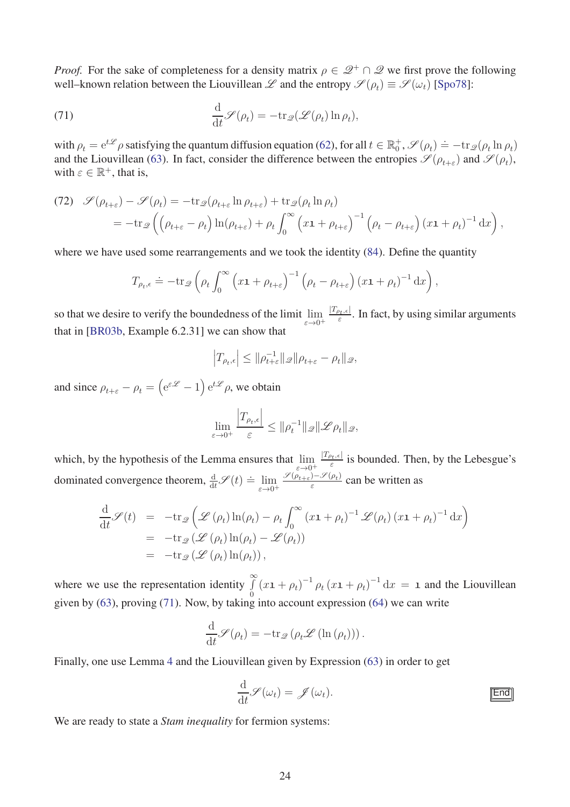*Proof.* For the sake of completeness for a density matrix  $\rho \in \mathcal{Q}^+ \cap \mathcal{Q}$  we first prove the following well–known relation between the Liouvillean  $\mathscr L$  and the entropy  $\mathscr S(\rho_t) \equiv \mathscr S(\omega_t)$  [\[Spo78\]](#page-31-7):

<span id="page-23-1"></span>(71) 
$$
\frac{\mathrm{d}}{\mathrm{d}t} \mathscr{S}(\rho_t) = -\mathrm{tr}_{\mathscr{Q}}(\mathscr{L}(\rho_t) \ln \rho_t),
$$

with  $\rho_t = e^{t\mathscr{L}} \rho$  satisfying the quantum diffusion equation [\(62\)](#page-20-1), for all  $t \in \mathbb{R}_0^+$ ,  $\mathscr{S}(\rho_t) = -\text{tr}_{\mathscr{Q}}(\rho_t \ln \rho_t)$ and the Liouvillean [\(63\)](#page-20-2). In fact, consider the difference between the entropies  $\mathscr{S}(\rho_{t+\varepsilon})$  and  $\mathscr{S}(\rho_t)$ , with  $\varepsilon \in \mathbb{R}^+$ , that is,

(72) 
$$
\mathcal{S}(\rho_{t+\varepsilon}) - \mathcal{S}(\rho_t) = -\text{tr}_{\mathcal{Q}}(\rho_{t+\varepsilon} \ln \rho_{t+\varepsilon}) + \text{tr}_{\mathcal{Q}}(\rho_t \ln \rho_t)
$$
  
= 
$$
-\text{tr}_{\mathcal{Q}}\left(\left(\rho_{t+\varepsilon} - \rho_t\right) \ln(\rho_{t+\varepsilon}) + \rho_t \int_0^\infty \left(x\mathbf{1} + \rho_{t+\varepsilon}\right)^{-1} \left(\rho_t - \rho_{t+\varepsilon}\right) (x\mathbf{1} + \rho_t)^{-1} dx\right),
$$

where we have used some rearrangements and we took the identity  $(84)$ . Define the quantity

$$
T_{\rho_t,\epsilon} \doteq -\text{tr}_{\mathscr{Q}}\left(\rho_t \int_0^\infty \left(x\mathbf{1} + \rho_{t+\epsilon}\right)^{-1} \left(\rho_t - \rho_{t+\epsilon}\right) \left(x\mathbf{1} + \rho_t\right)^{-1} \mathrm{d}x\right),\,
$$

so that we desire to verify the boundedness of the limit lim *ε*→0<sup>+</sup>  $\frac{|T_{\rho_t,\epsilon}|}{\epsilon}$ . In fact, by using similar arguments that in [\[BR03b,](#page-29-5) Example 6.2.31] we can show that

$$
\left|T_{\rho_t,\epsilon}\right| \le \|\rho_{t+\varepsilon}^{-1}\|_{\mathscr{Q}} \|\rho_{t+\varepsilon} - \rho_t\|_{\mathscr{Q}},
$$

and since  $\rho_{t+\varepsilon} - \rho_t = \left( e^{\varepsilon \mathscr{L}} - 1 \right) e^{t\mathscr{L}} \rho$ , we obtain

$$
\lim_{\varepsilon \to 0^+} \frac{\left|T_{\rho_t,\epsilon}\right|}{\varepsilon} \le \|\rho_t^{-1}\|_{\mathscr{Q}} \|\mathscr{L}\rho_t\|_{\mathscr{Q}},
$$

which, by the hypothesis of the Lemma ensures that lim *ε*→0<sup>+</sup>  $\frac{|T_{\rho_t,\epsilon}|}{\epsilon}$  is bounded. Then, by the Lebesgue's dominated convergence theorem,  $\frac{d}{dt}$   $\mathscr{S}(t) \doteq \lim_{\epsilon \to 0^{+}}$ *ε*→0<sup>+</sup>  $\mathscr{S}(\rho_{t+\varepsilon})-\mathscr{S}(\rho_t)$  $\frac{f(x)-f(y)}{g}$  can be written as

$$
\frac{\mathrm{d}}{\mathrm{d}t} \mathscr{S}(t) = -\mathrm{tr}_{\mathscr{Q}}\left(\mathscr{L}\left(\rho_t\right)\ln(\rho_t) - \rho_t \int_0^\infty \left(x\mathbf{1} + \rho_t\right)^{-1} \mathscr{L}(\rho_t) \left(x\mathbf{1} + \rho_t\right)^{-1} \mathrm{d}x\right)
$$
\n
$$
= -\mathrm{tr}_{\mathscr{Q}}\left(\mathscr{L}\left(\rho_t\right)\ln(\rho_t) - \mathscr{L}(\rho_t)\right)
$$
\n
$$
= -\mathrm{tr}_{\mathscr{Q}}\left(\mathscr{L}\left(\rho_t\right)\ln(\rho_t)\right),
$$

where we use the representation identity  $\int_0^\infty$  $\int_{0}^{\infty} (x \mathbf{1} + \rho_t)^{-1} \rho_t (x \mathbf{1} + \rho_t)^{-1} dx = \mathbf{1}$  and the Liouvillean given by [\(63\)](#page-20-2), proving [\(71\)](#page-23-1). Now, by taking into account expression [\(64\)](#page-21-3) we can write

$$
\frac{\mathrm{d}}{\mathrm{d}t}\mathscr{S}(\rho_t) = -\mathrm{tr}_{\mathscr{Q}}\left(\rho_t \mathscr{L}\left(\ln\left(\rho_t\right)\right)\right).
$$

Finally, one use Lemma [4](#page-22-0) and the Liouvillean given by Expression [\(63\)](#page-20-2) in order to get

<span id="page-23-0"></span>
$$
\frac{\mathrm{d}}{\mathrm{d}t}\mathscr{S}(\omega_t) = \mathscr{J}(\omega_t).
$$

We are ready to state a *Stam inequality* for fermion systems: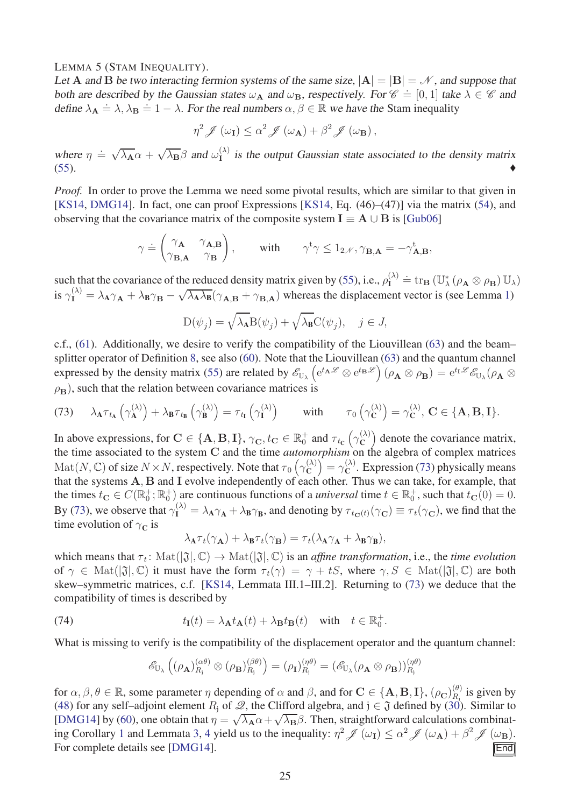#### LEMMA 5 (STAM INEQUALITY).

Let **A** and **B** be two interacting fermion systems of the same size,  $|A| = |B| = N$ , and suppose that both are described by the Gaussian states  $\omega_{\mathbf{A}}$  and  $\omega_{\mathbf{B}}$ , respectively. For  $\mathscr{C} = [0, 1]$  take  $\lambda \in \mathscr{C}$  and define  $\lambda_{\mathbf{A}} \doteq \lambda$ ,  $\lambda_{\mathbf{B}} \doteq 1 - \lambda$ . For the real numbers  $\alpha, \beta \in \mathbb{R}$  we have the Stam inequality

$$
\eta^2 \mathscr{J}(\omega_{\mathbf{I}}) \leq \alpha^2 \mathscr{J}(\omega_{\mathbf{A}}) + \beta^2 \mathscr{J}(\omega_{\mathbf{B}}),
$$

where  $\eta = \sqrt{\lambda_A} \alpha + \sqrt{\lambda_B} \beta$  and  $\omega_1^{(\lambda)}$  is the output Gaussian state associated to the density matrix  $(55)$ .

*Proof.* In order to prove the Lemma we need some pivotal results, which are similar to that given in [\[KS14,](#page-31-1) [DMG14\]](#page-30-0). In fact, one can proof Expressions [\[KS14,](#page-31-1) Eq. (46)–(47)] via the matrix [\(54\)](#page-17-2), and observing that the covariance matrix of the composite system  $I \equiv A \cup B$  is [\[Gub06\]](#page-30-16)

$$
\gamma \doteq \begin{pmatrix} \gamma_{\mathbf{A}} & \gamma_{\mathbf{A}, \mathbf{B}} \\ \gamma_{\mathbf{B}, \mathbf{A}} & \gamma_{\mathbf{B}} \end{pmatrix}, \qquad \text{with} \qquad \gamma^{\mathbf{t}} \gamma \leq 1_{2\mathscr{N}}, \gamma_{\mathbf{B}, \mathbf{A}} = -\gamma_{\mathbf{A}, \mathbf{B}}^{\mathbf{t}},
$$

such that the covariance of the reduced density matrix given by [\(55\)](#page-17-1), i.e.,  $\rho_{\mathbf{I}}^{(\lambda)} \doteq \text{tr}_{\mathbf{B}} (\mathbb{U}_{\lambda}^* (\rho_{\mathbf{A}} \otimes \rho_{\mathbf{B}}) \mathbb{U}_{\lambda})$ is  $\gamma_{\mathbf{I}}^{(\lambda)} = \lambda_{\mathbf{A}} \gamma_{\mathbf{A}} + \lambda_{\mathbf{B}} \gamma_{\mathbf{B}} - \sqrt{\lambda_{\mathbf{A}} \lambda_{\mathbf{B}}} (\gamma_{\mathbf{A}, \mathbf{B}} + \gamma_{\mathbf{B}, \mathbf{A}})$  whereas the displacement vector is (see Lemma [1\)](#page-16-3)

$$
D(\psi_j) = \sqrt{\lambda_A} B(\psi_j) + \sqrt{\lambda_B} C(\psi_j), \quad j \in J,
$$

c.f., [\(61\)](#page-20-4). Additionally, we desire to verify the compatibility of the Liouvillean [\(63\)](#page-20-2) and the beam– splitter operator of Definition [8,](#page-16-2) see also [\(60\)](#page-20-3). Note that the Liouvillean [\(63\)](#page-20-2) and the quantum channel expressed by the density matrix [\(55\)](#page-17-1) are related by  $\mathscr{E}_{\mathbb{U}_{\lambda}}\left(e^{t_{\mathbf{A}}\mathscr{L}} \otimes e^{t_{\mathbf{B}}\mathscr{L}}\right)(\rho_{\mathbf{A}} \otimes \rho_{\mathbf{B}}) = e^{t_{\mathbf{I}}\mathscr{L}}\mathscr{E}_{\mathbb{U}_{\lambda}}(\rho_{\mathbf{A}} \otimes \rho_{\mathbf{B}})$  $\rho_{\bf B}$ ), such that the relation between covariance matrices is

<span id="page-24-1"></span>(73) 
$$
\lambda_{\mathbf{A}} \tau_{t_{\mathbf{A}}} \left( \gamma_{\mathbf{A}}^{(\lambda)} \right) + \lambda_{\mathbf{B}} \tau_{t_{\mathbf{B}}} \left( \gamma_{\mathbf{B}}^{(\lambda)} \right) = \tau_{t_{\mathbf{I}}} \left( \gamma_{\mathbf{I}}^{(\lambda)} \right) \quad \text{with} \quad \tau_0 \left( \gamma_{\mathbf{C}}^{(\lambda)} \right) = \gamma_{\mathbf{C}}^{(\lambda)}, \ \mathbf{C} \in \{\mathbf{A}, \mathbf{B}, \mathbf{I}\}.
$$

In above expressions, for  $\mathbf{C} \in \{A, B, I\}$ ,  $\gamma_{\mathbf{C}}, t_{\mathbf{C}} \in \mathbb{R}^+_0$  and  $\tau_{t_{\mathbf{C}}}(\gamma_{\mathbf{C}}^{(\lambda)})$  $\begin{pmatrix} (\lambda) \\ C \end{pmatrix}$  denote the covariance matrix, the time associated to the system **C** and the time *automorphism* on the algebra of complex matrices  $\mathrm{Mat}(N,\mathbb{C})$  of size  $N \times N$ , respectively. Note that  $\tau_0\left(\gamma_{\mathbb{C}}^{(\lambda)}\right)$  $\binom{(\lambda)}{\mathbf{C}} = \gamma_{\mathbf{C}}^{(\lambda)}$  $\mathcal{C}^{\setminus}$ . Expression [\(73\)](#page-24-1) physically means that the systems **A***,* **B** and **I** evolve independently of each other. Thus we can take, for example, that the times  $t_{\mathbf{C}} \in C(\mathbb{R}_{0}^{+}; \mathbb{R}_{0}^{+})$  are continuous functions of a *universal* time  $t \in \mathbb{R}_{0}^{+}$ , such that  $t_{\mathbf{C}}(0) = 0$ . By [\(73\)](#page-24-1), we observe that  $\gamma_I^{(\lambda)} = \lambda_A \gamma_A + \lambda_B \gamma_B$ , and denoting by  $\tau_{t_C(t)}(\gamma_C) \equiv \tau_t(\gamma_C)$ , we find that the time evolution of  $\gamma_{\mathbf{C}}$  is

$$
\lambda_{\mathbf{A}} \tau_t(\gamma_{\mathbf{A}}) + \lambda_{\mathbf{B}} \tau_t(\gamma_{\mathbf{B}}) = \tau_t(\lambda_{\mathbf{A}} \gamma_{\mathbf{A}} + \lambda_{\mathbf{B}} \gamma_{\mathbf{B}}),
$$

which means that  $\tau_t$ : Mat( $|\mathfrak{J}|$ ,  $\mathbb{C}$ )  $\to$  Mat( $|\mathfrak{J}|$ ,  $\mathbb{C}$ ) is an *affine transformation*, i.e., the *time evolution* of  $\gamma \in \text{Mat}([\mathfrak{J}], \mathbb{C})$  it must have the form  $\tau_t(\gamma) = \gamma + tS$ , where  $\gamma, S \in \text{Mat}([\mathfrak{J}], \mathbb{C})$  are both skew–symmetric matrices, c.f. [\[KS14,](#page-31-1) Lemmata III.1–III.2]. Returning to [\(73\)](#page-24-1) we deduce that the compatibility of times is described by

(74) 
$$
t_{\mathbf{I}}(t) = \lambda_{\mathbf{A}} t_{\mathbf{A}}(t) + \lambda_{\mathbf{B}} t_{\mathbf{B}}(t) \text{ with } t \in \mathbb{R}_{0}^{+}.
$$

What is missing to verify is the compatibility of the displacement operator and the quantum channel:

<span id="page-24-0"></span>
$$
\mathscr{E}_{\mathbb{U}_{\lambda}}\left((\rho_{\mathbf{A}})_{R_{\mathbf{j}}}^{(\alpha\theta)}\otimes(\rho_{\mathbf{B}})_{R_{\mathbf{j}}}^{(\beta\theta)}\right)=(\rho_{\mathbf{I}})_{R_{\mathbf{j}}}^{(\eta\theta)}=(\mathscr{E}_{\mathbb{U}_{\lambda}}(\rho_{\mathbf{A}}\otimes\rho_{\mathbf{B}}))_{R_{\mathbf{j}}}^{(\eta\theta)}
$$

for  $\alpha, \beta, \theta \in \mathbb{R}$ , some parameter  $\eta$  depending of  $\alpha$  and  $\beta$ , and for  $\mathbf{C} \in \{\mathbf{A}, \mathbf{B}, \mathbf{I}\}, (\rho_{\mathbf{C}})_{R_j}^{(\theta)}$  $R_i^{(0)}$  is given by [\(48\)](#page-13-4) for any self–adjoint element  $R_i$  of  $\mathscr{Q}$ , the Clifford algebra, and  $j \in \mathfrak{J}$  defined by [\(30\)](#page-10-1). Similar to [\[DMG14\]](#page-30-0) by [\(60\)](#page-20-3), one obtain that  $\eta = \sqrt{\lambda_A} \alpha + \sqrt{\lambda_B} \beta$ . Then, straightforward calculations combinat-ing Corollary [1](#page-14-2) and Lemmata [3,](#page-21-0) [4](#page-22-0) yield us to the inequality:  $\eta^2 \mathcal{J}(\omega_I) \leq \alpha^2 \mathcal{J}(\omega_A) + \beta^2 \mathcal{J}(\omega_B)$ . For complete details see [\[DMG14\]](#page-30-0).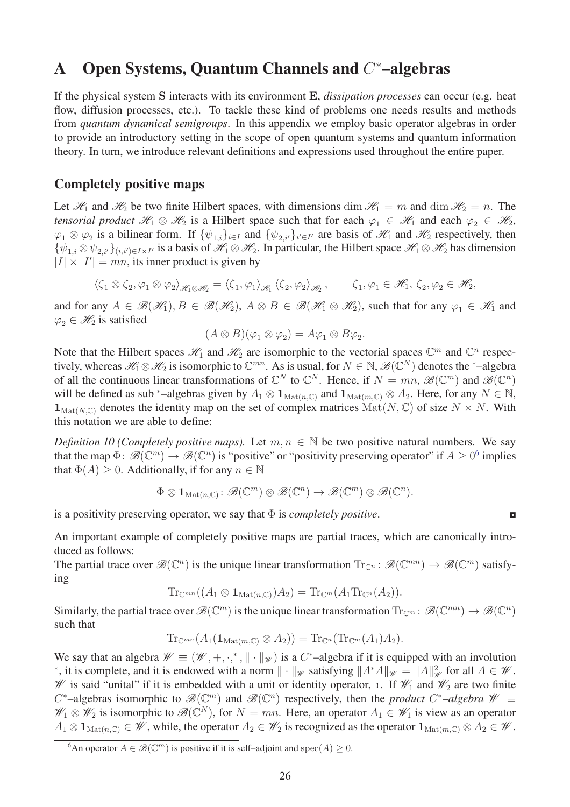# <span id="page-25-0"></span>A Open Systems, Quantum Channels and *C* <sup>∗</sup>–algebras

If the physical system **S** interacts with its environment **E**, *dissipation processes* can occur (e.g. heat flow, diffusion processes, etc.). To tackle these kind of problems one needs results and methods from *quantum dynamical semigroups*. In this appendix we employ basic operator algebras in order to provide an introductory setting in the scope of open quantum systems and quantum information theory. In turn, we introduce relevant definitions and expressions used throughout the entire paper.

### Completely positive maps

Let  $\mathcal{H}_1$  and  $\mathcal{H}_2$  be two finite Hilbert spaces, with dimensions dim  $\mathcal{H}_1 = m$  and dim  $\mathcal{H}_2 = n$ . The *tensorial product*  $\mathcal{H}_1 \otimes \mathcal{H}_2$  is a Hilbert space such that for each  $\varphi_1 \in \mathcal{H}_1$  and each  $\varphi_2 \in \mathcal{H}_2$ ,  $\varphi_1 \otimes \varphi_2$  is a bilinear form. If  $\{\psi_{1,i}\}_{i \in I}$  and  $\{\psi_{2,i'}\}_{i' \in I'}$  are basis of  $\mathcal{H}_1$  and  $\mathcal{H}_2$  respectively, then  ${\psi_{1,i} \otimes \psi_{2,i'}}_{(i,i') \in I \times I'}$  is a basis of  $\mathcal{H}_1 \otimes \mathcal{H}_2$ . In particular, the Hilbert space  $\mathcal{H}_1 \otimes \mathcal{H}_2$  has dimension  $|I| \times |I'| = mn$ , its inner product is given by

$$
\left\langle \zeta_1 \otimes \zeta_2, \varphi_1 \otimes \varphi_2 \right\rangle_{\mathscr{H}_1 \otimes \mathscr{H}_2} = \left\langle \zeta_1, \varphi_1 \right\rangle_{\mathscr{H}_1} \left\langle \zeta_2, \varphi_2 \right\rangle_{\mathscr{H}_2}, \qquad \zeta_1, \varphi_1 \in \mathscr{H}_1, \, \zeta_2, \varphi_2 \in \mathscr{H}_2,
$$

and for any  $A \in \mathcal{B}(\mathcal{H}_1), B \in \mathcal{B}(\mathcal{H}_2), A \otimes B \in \mathcal{B}(\mathcal{H}_1 \otimes \mathcal{H}_2)$ , such that for any  $\varphi_1 \in \mathcal{H}_1$  and  $\varphi_2 \in \mathcal{H}_2$  is satisfied

<span id="page-25-2"></span>
$$
(A \otimes B)(\varphi_1 \otimes \varphi_2) = A\varphi_1 \otimes B\varphi_2.
$$

Note that the Hilbert spaces  $\mathcal{H}_1$  and  $\mathcal{H}_2$  are isomorphic to the vectorial spaces  $\mathbb{C}^m$  and  $\mathbb{C}^n$  respectively, whereas  $\mathcal{H}_1 \otimes \mathcal{H}_2$  is isomorphic to  $\mathbb{C}^{mn}$ . As is usual, for  $N \in \mathbb{N}$ ,  $\mathcal{B}(\mathbb{C}^N)$  denotes the <sup>∗</sup>-algebra of all the continuous linear transformations of  $\mathbb{C}^N$  to  $\mathbb{C}^N$ . Hence, if  $N = mn$ ,  $\mathscr{B}(\mathbb{C}^m)$  and  $\mathscr{B}(\mathbb{C}^n)$ will be defined as sub <sup>∗</sup>–algebras given by  $A_1 \otimes \mathbf{1}_{\text{Mat}(n,\mathbb{C})}$  and  $\mathbf{1}_{\text{Mat}(m,\mathbb{C})} \otimes A_2$ . Here, for any  $N \in \mathbb{N}$ ,  $\mathbf{1}_{\text{Mat}(N,\mathbb{C})}$  denotes the identity map on the set of complex matrices  $\text{Mat}(N,\mathbb{C})$  of size  $N \times N$ . With this notation we are able to define:

*Definition 10 (Completely positive maps).* Let  $m, n \in \mathbb{N}$  be two positive natural numbers. We say that the map  $\Phi: \mathscr{B}(\mathbb{C}^m) \to \mathscr{B}(\mathbb{C}^n)$  is "positive" or "positivity preserving operator" if  $A \geq 0^6$  $A \geq 0^6$  implies that  $\Phi(A) > 0$ . Additionally, if for any  $n \in \mathbb{N}$ 

$$
\Phi \otimes \mathbf{1}_{\mathrm{Mat}(n,\mathbb{C})} : \mathscr{B}(\mathbb{C}^m) \otimes \mathscr{B}(\mathbb{C}^n) \to \mathscr{B}(\mathbb{C}^m) \otimes \mathscr{B}(\mathbb{C}^n).
$$

 $\blacksquare$  is a positivity preserving operator, we say that  $\Phi$  is *completely positive*.

An important example of completely positive maps are partial traces, which are canonically introduced as follows:

The partial trace over  $\mathscr{B}(\mathbb{C}^n)$  is the unique linear transformation  $\text{Tr}_{\mathbb{C}^n} : \mathscr{B}(\mathbb{C}^{mn}) \to \mathscr{B}(\mathbb{C}^m)$  satisfying

$$
\mathrm{Tr}_{\mathbb{C}^{mn}}((A_1\otimes \mathbf{1}_{\mathrm{Mat}(n,\mathbb{C})})A_2)=\mathrm{Tr}_{\mathbb{C}^m}(A_1\mathrm{Tr}_{\mathbb{C}^n}(A_2)).
$$

Similarly, the partial trace over  $\mathscr{B}(\mathbb{C}^m)$  is the unique linear transformation  $\text{Tr}_{\mathbb{C}^m}:\mathscr{B}(\mathbb{C}^{mn})\to\mathscr{B}(\mathbb{C}^n)$ such that

$$
\mathrm{Tr}_{\mathbb{C}^{mn}}(A_1(\mathbf{1}_{\mathrm{Mat}(m,\mathbb{C})}\otimes A_2))=\mathrm{Tr}_{\mathbb{C}^n}(\mathrm{Tr}_{\mathbb{C}^m}(A_1)A_2).
$$

We say that an algebra  $\mathcal{W} \equiv (\mathcal{W}, +, \cdot,^*, \| \cdot \|_{\mathcal{W}})$  is a *C*<sup>\*</sup>-algebra if it is equipped with an involution <sup>\*</sup>, it is complete, and it is endowed with a norm  $\|\cdot\|_{\mathscr{W}}$  satisfying  $\|A^*A\|_{\mathscr{W}} = \|A\|_{\mathscr{W}}^2$  for all  $A \in \mathscr{W}$ . W is said "unital" if it is embedded with a unit or identity operator, 1. If  $\mathcal{W}_1$  and  $\mathcal{W}_2$  are two finite  $C^*$ –algebras isomorphic to  $\mathscr{B}(\mathbb{C}^m)$  and  $\mathscr{B}(\mathbb{C}^n)$  respectively, then the *product*  $C^*$ –algebra  $\mathscr{W} \equiv$  $\mathscr{W}_1 \otimes \mathscr{W}_2$  is isomorphic to  $\mathscr{B}(\mathbb{C}^N)$ , for  $N = mn$ . Here, an operator  $A_1 \in \mathscr{W}_1$  is view as an operator  $A_1 \otimes \mathbf{1}_{\text{Mat}(n,\mathbb{C})} \in \mathcal{W}$ , while, the operator  $A_2 \in \mathcal{W}_2$  is recognized as the operator  $\mathbf{1}_{\text{Mat}(m,\mathbb{C})} \otimes A_2 \in \mathcal{W}$ .

<span id="page-25-1"></span><sup>&</sup>lt;sup>6</sup>An operator  $A \in \mathcal{B}(\mathbb{C}^m)$  is positive if it is self–adjoint and spec $(A) \geq 0$ .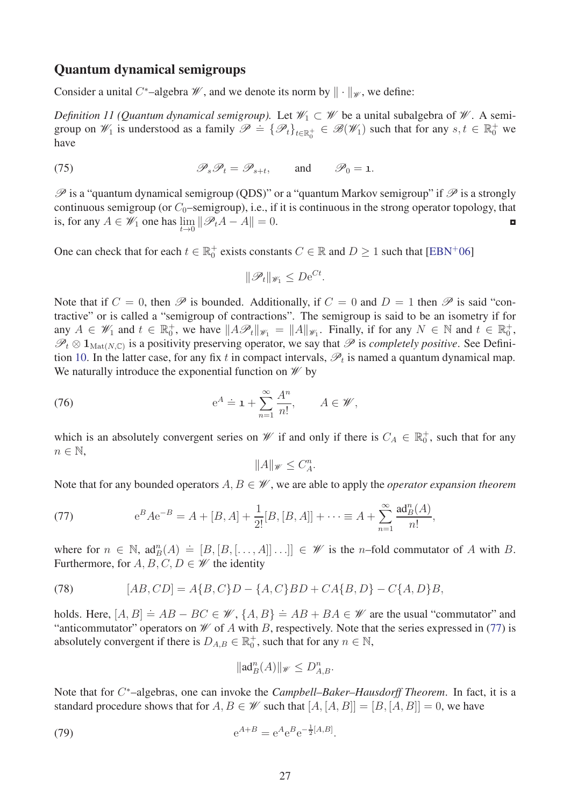### Quantum dynamical semigroups

Consider a unital C<sup>\*</sup>-algebra  $\mathcal W$ , and we denote its norm by  $\|\cdot\|_{\mathcal W}$ , we define:

*Definition 11 (Quantum dynamical semigroup).* Let  $\mathcal{W}_1 \subset \mathcal{W}$  be a unital subalgebra of  $\mathcal{W}$ . A semigroup on  $\mathcal{W}_1$  is understood as a family  $\mathcal{P} = {\{\mathcal{P}_t\}}_{t \in \mathbb{R}_0^+} \in \mathcal{B}(\mathcal{W}_1)$  such that for any  $s, t \in \mathbb{R}_0^+$  we have

(75) 
$$
\mathscr{P}_s \mathscr{P}_t = \mathscr{P}_{s+t}, \quad \text{and} \quad \mathscr{P}_0 = \mathbf{1}.
$$

 $\mathscr P$  is a "quantum dynamical semigroup (QDS)" or a "quantum Markov semigroup" if  $\mathscr P$  is a strongly continuous semigroup (or  $C_0$ –semigroup), i.e., if it is continuous in the strong operator topology, that is, for any  $A \in W_1$  one has  $\lim_{t \to 0} ||\mathcal{P}_t A - A|| = 0$ .

One can check that for each  $t \in \mathbb{R}_0^+$  exists constants  $C \in \mathbb{R}$  and  $D \ge 1$  such that [\[EBN](#page-30-5)<sup>+</sup>06]

<span id="page-26-0"></span>
$$
\|\mathscr{P}_t\|_{\mathscr{W}_1} \le D\mathrm{e}^{Ct}.
$$

Note that if  $C = 0$ , then  $\mathscr P$  is bounded. Additionally, if  $C = 0$  and  $D = 1$  then  $\mathscr P$  is said "contractive" or is called a "semigroup of contractions". The semigroup is said to be an isometry if for any  $A \in \mathcal{W}_1$  and  $t \in \mathbb{R}_0^+$ , we have  $||A\mathcal{P}_t||_{\mathcal{W}_1} = ||A||_{\mathcal{W}_1}$ . Finally, if for any  $N \in \mathbb{N}$  and  $t \in \mathbb{R}_0^+$ ,  $\mathscr{P}_t \otimes \mathbb{1}_{\text{Mat}(N,\mathbb{C})}$  is a positivity preserving operator, we say that  $\mathscr{P}$  is *completely positive*. See Defini-tion [10.](#page-25-2) In the latter case, for any fix  $t$  in compact intervals,  $\mathscr{P}_t$  is named a quantum dynamical map. We naturally introduce the exponential function on  $\mathcal W$  by

(76) 
$$
e^A \doteq \mathbf{1} + \sum_{n=1}^{\infty} \frac{A^n}{n!}, \qquad A \in \mathcal{W},
$$

which is an absolutely convergent series on  $\mathscr W$  if and only if there is  $C_A \in \mathbb R_0^+$ , such that for any  $n \in \mathbb{N}$ ,

<span id="page-26-1"></span>
$$
||A||_{\mathscr{W}} \leq C_A^n.
$$

Note that for any bounded operators *A, B* ∈ W , we are able to apply the *operator expansion theorem*

<span id="page-26-2"></span>(77) 
$$
e^{B} A e^{-B} = A + [B, A] + \frac{1}{2!} [B, [B, A]] + \cdots \equiv A + \sum_{n=1}^{\infty} \frac{ad_{B}^{n}(A)}{n!},
$$

where for  $n \in \mathbb{N}$ ,  $\text{ad}_B^n(A) = [B, [B, [\ldots, A]] \ldots]] \in \mathcal{W}$  is the *n*-fold commutator of *A* with *B*. Furthermore, for  $A, B, C, D \in \mathcal{W}$  the identity

<span id="page-26-3"></span>(78) 
$$
[AB, CD] = A{B, C}D - {A, C}BD + CA{B, D} - C{A, D}B,
$$

holds. Here,  $[A, B] \doteq AB - BC \in \mathcal{W}$ ,  $\{A, B\} \doteq AB + BA \in \mathcal{W}$  are the usual "commutator" and "anticommutator" operators on  $W$  of A with B, respectively. Note that the series expressed in [\(77\)](#page-26-2) is absolutely convergent if there is  $D_{A,B} \in \mathbb{R}^+_0$ , such that for any  $n \in \mathbb{N}$ ,

<span id="page-26-4"></span>
$$
\|\mathrm{ad}^n_B(A)\|_{\mathscr{W}}\le D^n_{A,B}.
$$

Note that for *C* <sup>∗</sup>–algebras, one can invoke the *Campbell–Baker–Hausdorff Theorem*. In fact, it is a standard procedure shows that for  $A, B \in \mathcal{W}$  such that  $[A, [A, B]] = [B, [A, B]] = 0$ , we have

(79) 
$$
e^{A+B} = e^{A}e^{B}e^{-\frac{1}{2}[A,B]}.
$$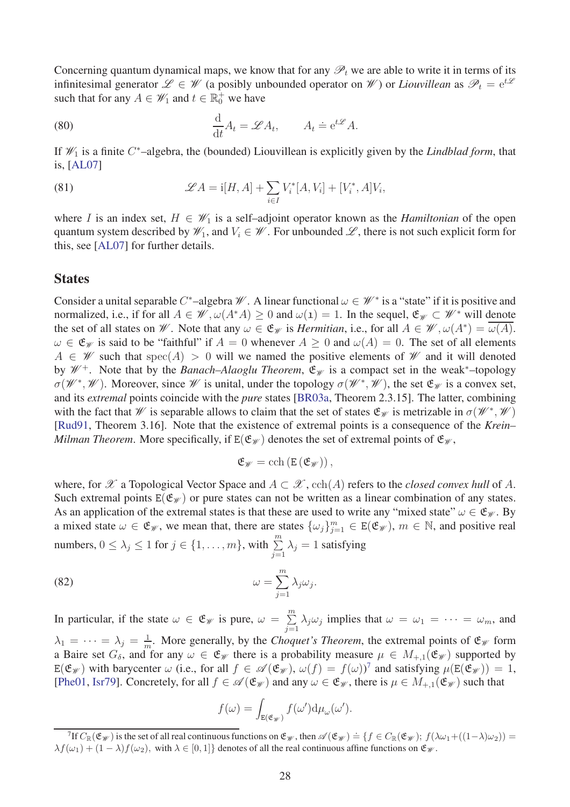Concerning quantum dynamical maps, we know that for any  $\mathscr{P}_t$  we are able to write it in terms of its infinitesimal generator  $\mathscr{L} \in \mathscr{W}$  (a posibly unbounded operator on  $\mathscr{W}$ ) or *Liouvillean* as  $\mathscr{P}_t = e^{t\mathscr{L}}$ such that for any  $A \in \mathcal{W}_1$  and  $t \in \mathbb{R}_0^+$  we have

<span id="page-27-0"></span>(80) 
$$
\frac{\mathrm{d}}{\mathrm{d}t}A_t = \mathscr{L}A_t, \qquad A_t \doteq \mathrm{e}^{t\mathscr{L}}A.
$$

If W<sup>1</sup> is a finite *C* <sup>∗</sup>–algebra, the (bounded) Liouvillean is explicitly given by the *Lindblad form*, that is, [\[AL07\]](#page-29-9)

<span id="page-27-1"></span>(81) 
$$
\mathscr{L}A = i[H, A] + \sum_{i \in I} V_i^*[A, V_i] + [V_i^*, A]V_i,
$$

where *I* is an index set,  $H \in \mathcal{W}_1$  is a self-adjoint operator known as the *Hamiltonian* of the open quantum system described by  $\mathcal{W}_1$ , and  $V_i \in \mathcal{W}$ . For unbounded  $\mathcal{L}$ , there is not such explicit form for this, see [\[AL07\]](#page-29-9) for further details.

### **States**

Consider a unital separable *C*<sup>\*</sup>-algebra W. A linear functional  $\omega \in W^*$  is a "state" if it is positive and normalized, i.e., if for all  $A \in \mathcal{W}, \omega(A^*A) \geq 0$  and  $\omega(1) = 1$ . In the sequel,  $\mathfrak{E}_{\mathcal{W}} \subset \mathcal{W}^*$  will denote the set of all states on *W*. Note that any  $\omega \in \mathfrak{E}_{\mathcal{W}}$  is *Hermitian*, i.e., for all  $A \in \mathcal{W}, \omega(A^*) = \omega(A)$ .  $\omega \in \mathfrak{E}_{\mathscr{W}}$  is said to be "faithful" if  $A = 0$  whenever  $A \geq 0$  and  $\omega(A) = 0$ . The set of all elements  $A \in \mathscr{W}$  such that spec(*A*) > 0 will we named the positive elements of  $\mathscr{W}$  and it will denoted by  $\mathcal{W}^+$ . Note that by the *Banach–Alaoglu Theorem*,  $\mathfrak{E}_{\mathcal{W}}$  is a compact set in the weak<sup>\*</sup>–topology  $\sigma(W^*, W)$ . Moreover, since W is unital, under the topology  $\sigma(W^*, W)$ , the set  $\mathfrak{E}_W$  is a convex set, and its *extremal* points coincide with the *pure* states [\[BR03a,](#page-29-10) Theorem 2.3.15]. The latter, combining with the fact that W is separable allows to claim that the set of states  $\mathfrak{E}_{\mathscr{W}}$  is metrizable in  $\sigma(\mathscr{W}^*,\mathscr{W})$ [\[Rud91,](#page-31-8) Theorem 3.16]. Note that the existence of extremal points is a consequence of the *Krein– Milman Theorem.* More specifically, if  $E(\mathfrak{E}_{\mathcal{W}})$  denotes the set of extremal points of  $\mathfrak{E}_{\mathcal{W}}$ ,

$$
\mathfrak{E}_{\mathscr{W}}=\mathrm{cch}\left(E\left(\mathfrak{E}_{\mathscr{W}}\right)\right),
$$

where, for  $\mathscr X$  a Topological Vector Space and  $A \subset \mathscr X$ , cch(A) refers to the *closed convex hull* of A. Such extremal points  $E(\mathfrak{E}_{\mathcal{W}})$  or pure states can not be written as a linear combination of any states. As an application of the extremal states is that these are used to write any "mixed state"  $\omega \in \mathfrak{E}_{\mathscr{W}}$ . By a mixed state  $\omega \in \mathfrak{E}_{\mathscr{W}}$ , we mean that, there are states  $\{\omega_j\}_{j=1}^m \in E(\mathfrak{E}_{\mathscr{W}})$ ,  $m \in \mathbb{N}$ , and positive real numbers,  $0 \le \lambda_j \le 1$  for  $j \in \{1, ..., m\}$ , with  $\sum_{j=1}^{m} \lambda_j = 1$  satisfying

*.*

(82) 
$$
\omega = \sum_{j=1}^{m} \lambda_j \omega_j
$$

In particular, if the state  $\omega \in \mathfrak{E}_{\mathscr{W}}$  is pure,  $\omega = \sum_{i=1}^{m}$  $\sum_{j=1}^{\infty} \lambda_j \omega_j$  implies that  $\omega = \omega_1 = \cdots = \omega_m$ , and  $\lambda_1 = \cdots = \lambda_j = \frac{1}{m}$  $\frac{1}{m}$ . More generally, by the *Choquet's Theorem*, the extremal points of  $\mathfrak{E}_{\mathcal{W}}$  form a Baire set  $G_{\delta}$ , and for any  $\omega \in \mathfrak{E}_{\mathscr{W}}$  there is a probability measure  $\mu \in M_{+1}(\mathfrak{E}_{\mathscr{W}})$  supported by  $E(\mathfrak{E}_{\mathcal{W}})$  with barycenter  $\omega$  (i.e., for all  $f \in \mathscr{A}(\mathfrak{E}_{\mathcal{W}})$ ,  $\omega(f) = f(\omega)^7$  $\omega(f) = f(\omega)^7$  and satisfying  $\mu(E(\mathfrak{E}_{\mathcal{W}})) = 1$ , [\[Phe01,](#page-31-9) [Isr79\]](#page-30-17). Concretely, for all  $f \in \mathscr{A}(\mathfrak{E}_{\mathscr{W}})$  and any  $\omega \in \mathfrak{E}_{\mathscr{W}}$ , there is  $\mu \in M_{+,1}(\mathfrak{E}_{\mathscr{W}})$  such that

$$
f(\omega) = \int_{\mathbf{E}(\mathfrak{E}_{\mathscr{W}})} f(\omega') d\mu_{\omega}(\omega').
$$

<span id="page-27-2"></span> $\mathcal{F}_\mathbb{F}^7$  If  $C_\mathbb{R}(\mathfrak{E}_\mathscr{W})$  is the set of all real continuous functions on  $\mathfrak{E}_\mathscr{W}$ , then  $\mathscr{A}(\mathfrak{E}_\mathscr{W}) = \{f \in C_\mathbb{R}(\mathfrak{E}_\mathscr{W}); f(\lambda \omega_1 + ((1 - \lambda) \omega_2)) = 0\}$  $\lambda f(\omega_1) + (1 - \lambda)f(\omega_2)$ , with  $\lambda \in [0, 1]$  denotes of all the real continuous affine functions on  $\mathfrak{E}_{\mathscr{W}}$ .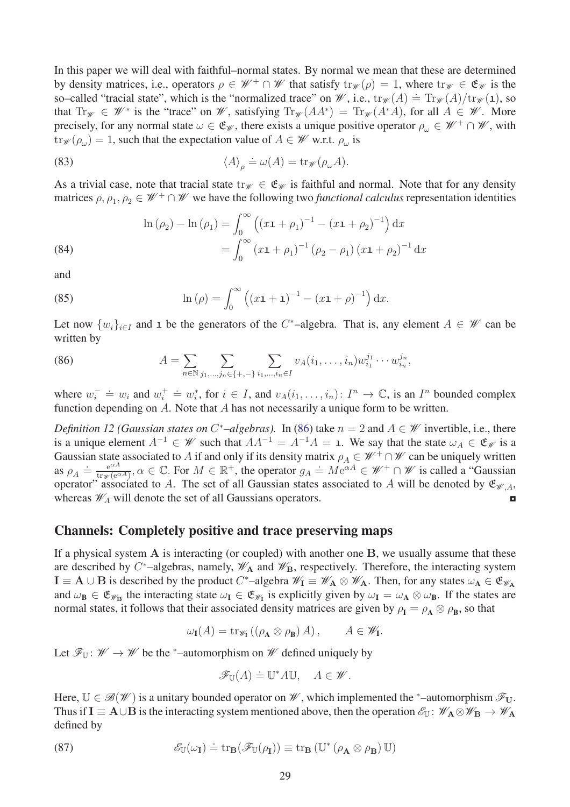In this paper we will deal with faithful–normal states. By normal we mean that these are determined by density matrices, i.e., operators  $\rho \in \mathscr{W}^+ \cap \mathscr{W}$  that satisfy  $\text{tr}_{\mathscr{W}}(\rho) = 1$ , where  $\text{tr}_{\mathscr{W}} \in \mathfrak{E}_{\mathscr{W}}$  is the so–called "tracial state", which is the "normalized trace" on W, i.e.,  $\text{tr}_{\mathcal{W}}(A) = \text{Tr}_{\mathcal{W}}(A)/\text{tr}_{\mathcal{W}}(1)$ , so that  $\text{Tr}_{\mathscr{W}} \in \mathscr{W}^*$  is the "trace" on W, satisfying  $\text{Tr}_{\mathscr{W}}(AA^*) = \text{Tr}_{\mathscr{W}}(A^*A)$ , for all  $A \in \mathscr{W}$ . More precisely, for any normal state  $\omega \in \mathfrak{E}_{\mathscr{W}}$ , there exists a unique positive operator  $\rho_{\omega} \in \mathscr{W}^+ \cap \mathscr{W}$ , with  $\text{tr}_{\mathscr{W}}(\rho_{\omega}) = 1$ , such that the expectation value of  $A \in \mathscr{W}$  w.r.t.  $\rho_{\omega}$  is

<span id="page-28-0"></span>(83) 
$$
\langle A \rangle_{\rho} \doteq \omega(A) = \text{tr}_{\mathscr{W}}(\rho_{\omega}A).
$$

As a trivial case, note that tracial state  $tr_W \in \mathfrak{E}_W$  is faithful and normal. Note that for any density matrices  $\rho, \rho_1, \rho_2 \in \mathcal{W}^+ \cap \mathcal{W}$  we have the following two *functional calculus* representation identities

<span id="page-28-3"></span>(84)  
\n
$$
\ln (\rho_2) - \ln (\rho_1) = \int_0^\infty \left( (x\mathbf{1} + \rho_1)^{-1} - (x\mathbf{1} + \rho_2)^{-1} \right) dx
$$
\n
$$
= \int_0^\infty (x\mathbf{1} + \rho_1)^{-1} (\rho_2 - \rho_1) (x\mathbf{1} + \rho_2)^{-1} dx
$$

and

<span id="page-28-4"></span>(85) 
$$
\ln(\rho) = \int_0^\infty ((x\mathbf{1} + \mathbf{1})^{-1} - (x\mathbf{1} + \rho)^{-1}) dx.
$$

Let now  $\{w_i\}_{i \in I}$  and 1 be the generators of the *C*<sup>\*</sup>–algebra. That is, any element  $A \in W$  can be written by

<span id="page-28-5"></span>(86) 
$$
A = \sum_{n \in \mathbb{N}} \sum_{j_1, ..., j_n \in \{+, -\}\} \sum_{i_1, ..., i_n \in I} v_A(i_1, ..., i_n) w_{i_1}^{j_1} \cdots w_{i_n}^{j_n},
$$

where  $w_i^- = w_i$  and  $w_i^+ = w_i^*$ , for  $i \in I$ , and  $v_A(i_1, \ldots, i_n)$ :  $I^n \to \mathbb{C}$ , is an  $I^n$  bounded complex function depending on *A*. Note that *A* has not necessarily a unique form to be written.

*Definition 12 (Gaussian states on*  $C^*$ *–algebras).* In [\(86\)](#page-28-5) take  $n = 2$  and  $A \in W$  invertible, i.e., there is a unique element  $A^{-1} \in W$  such that  $AA^{-1} = A^{-1}A = 1$ . We say that the state  $\omega_A \in \mathfrak{E}_W$  is a Gaussian state associated to *A* if and only if its density matrix  $\rho_A \in \mathcal{W}^+ \cap \mathcal{W}$  can be uniquely written as  $\rho_A \doteq \frac{e^{\alpha A}}{\text{tr}_{\mathscr{W}}(e^{\alpha A})}$  $\frac{e^{\alpha A}}{\ln w(\cos A)}, \alpha \in \mathbb{C}$ . For  $M \in \mathbb{R}^+$ , the operator  $g_A \doteq M e^{\alpha A} \in \mathcal{W}^+ \cap \mathcal{W}$  is called a "Gaussian" operator" associated to *A*. The set of all Gaussian states associated to *A* will be denoted by  $\mathfrak{E}_{\mathscr{W},A}$ , whereas  $\mathcal{W}_A$  will denote the set of all Gaussians operators.

### Channels: Completely positive and trace preserving maps

If a physical system **A** is interacting (or coupled) with another one **B**, we usually assume that these are described by  $C^*$ –algebras, namely,  $\mathscr{W}_A$  and  $\mathscr{W}_B$ , respectively. Therefore, the interacting system **I** ≡ **A** ∪ **B** is described by the product *C*<sup>\*</sup>–algebra  $\mathcal{W}_I \equiv \mathcal{W}_A \otimes \mathcal{W}_A$ . Then, for any states  $\omega_A \in \mathfrak{E}_{\mathcal{W}_A}$ and  $\omega_B \in \mathfrak{E}_{\mathscr{W}_B}$  the interacting state  $\omega_I \in \mathfrak{E}_{\mathscr{W}_I}$  is explicitly given by  $\omega_I = \omega_A \otimes \omega_B$ . If the states are normal states, it follows that their associated density matrices are given by  $\rho_I = \rho_A \otimes \rho_B$ , so that

<span id="page-28-1"></span>
$$
\omega_{\mathbf{I}}(A) = \operatorname{tr}_{\mathscr{W}_{\mathbf{I}}} \left( (\rho_{\mathbf{A}} \otimes \rho_{\mathbf{B}}) A \right), \qquad A \in \mathscr{W}_{\mathbf{I}}.
$$

Let  $\mathcal{F}_{\mathbb{U}}: \mathcal{W} \to \mathcal{W}$  be the \*-automorphism on  $\mathcal{W}$  defined uniquely by

<span id="page-28-2"></span>
$$
\mathscr{F}_{\mathbb{U}}(A)\doteq \mathbb{U}^*A\mathbb{U},\quad A\in\mathscr{W}.
$$

Here,  $\mathbb{U} \in \mathcal{B}(\mathcal{W})$  is a unitary bounded operator on  $\mathcal{W}$ , which implemented the <sup>\*</sup>-automorphism  $\mathcal{F}_{U}$ . Thus if **I**  $\equiv$  **A**∪**B** is the interacting system mentioned above, then the operation  $\mathcal{E}_{\mathbb{U}}$ :  $\mathcal{W}_{\mathbf{A}} \otimes \mathcal{W}_{\mathbf{B}} \to \mathcal{W}_{\mathbf{A}}$ defined by

(87) 
$$
\mathscr{E}_{\mathbb{U}}(\omega_{\mathbf{I}}) \doteq \operatorname{tr}_{\mathbf{B}}(\mathscr{F}_{\mathbb{U}}(\rho_{\mathbf{I}})) \equiv \operatorname{tr}_{\mathbf{B}}(\mathbb{U}^* \left(\rho_{\mathbf{A}} \otimes \rho_{\mathbf{B}}\right) \mathbb{U})
$$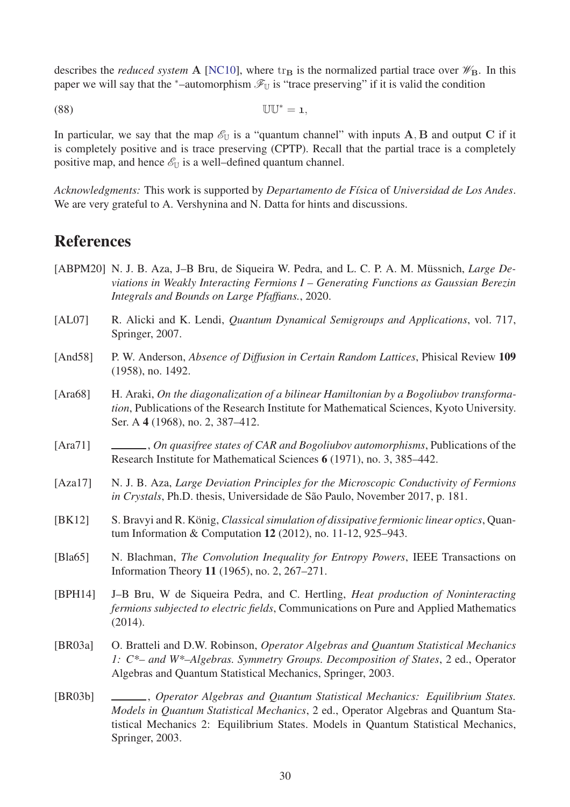describes the *reduced system* A [\[NC10\]](#page-31-10), where  $tr_{\bf B}$  is the normalized partial trace over  $\mathscr{W}_{\bf B}$ . In this paper we will say that the <sup>∗</sup>–automorphism  $\mathcal{F}_{U}$  is "trace preserving" if it is valid the condition

(88) UU<sup>∗</sup> = 1*,*

In particular, we say that the map  $\mathscr{E}_{U}$  is a "quantum channel" with inputs  $A$ *,*  $B$  and output  $C$  if it is completely positive and is trace preserving (CPTP). Recall that the partial trace is a completely positive map, and hence  $\mathscr{E}_{\mathbb{U}}$  is a well–defined quantum channel.

*Acknowledgments:* This work is supported by *Departamento de F´ısica* of *Universidad de Los Andes*. We are very grateful to A. Vershynina and N. Datta for hints and discussions.

# References

- <span id="page-29-8"></span>[ABPM20] N. J. B. Aza, J–B Bru, de Siqueira W. Pedra, and L. C. P. A. M. Müssnich, *Large Deviations in Weakly Interacting Fermions I – Generating Functions as Gaussian Berezin Integrals and Bounds on Large Pfaffians.*, 2020.
- <span id="page-29-9"></span>[AL07] R. Alicki and K. Lendi, *Quantum Dynamical Semigroups and Applications*, vol. 717, Springer, 2007.
- <span id="page-29-2"></span>[And58] P. W. Anderson, *Absence of Diffusion in Certain Random Lattices*, Phisical Review 109 (1958), no. 1492.
- <span id="page-29-6"></span>[Ara68] H. Araki, *On the diagonalization of a bilinear Hamiltonian by a Bogoliubov transformation*, Publications of the Research Institute for Mathematical Sciences, Kyoto University. Ser. A 4 (1968), no. 2, 387–412.
- <span id="page-29-7"></span>[Ara71] , *On quasifree states of CAR and Bogoliubov automorphisms*, Publications of the Research Institute for Mathematical Sciences 6 (1971), no. 3, 385–442.
- <span id="page-29-1"></span>[Aza17] N. J. B. Aza, *Large Deviation Principles for the Microscopic Conductivity of Fermions in Crystals*, Ph.D. thesis, Universidade de São Paulo, November 2017, p. 181.
- <span id="page-29-4"></span>[BK12] S. Bravyi and R. König, *Classical simulation of dissipative fermionic linear optics*, Quantum Information & Computation 12 (2012), no. 11-12, 925–943.
- <span id="page-29-0"></span>[Bla65] N. Blachman, *The Convolution Inequality for Entropy Powers*, IEEE Transactions on Information Theory 11 (1965), no. 2, 267–271.
- <span id="page-29-3"></span>[BPH14] J–B Bru, W de Siqueira Pedra, and C. Hertling, *Heat production of Noninteracting fermions subjected to electric fields*, Communications on Pure and Applied Mathematics (2014).
- <span id="page-29-10"></span>[BR03a] O. Bratteli and D.W. Robinson, *Operator Algebras and Quantum Statistical Mechanics 1: C\*– and W\*–Algebras. Symmetry Groups. Decomposition of States*, 2 ed., Operator Algebras and Quantum Statistical Mechanics, Springer, 2003.
- <span id="page-29-5"></span>[BR03b] , *Operator Algebras and Quantum Statistical Mechanics: Equilibrium States. Models in Quantum Statistical Mechanics*, 2 ed., Operator Algebras and Quantum Statistical Mechanics 2: Equilibrium States. Models in Quantum Statistical Mechanics, Springer, 2003.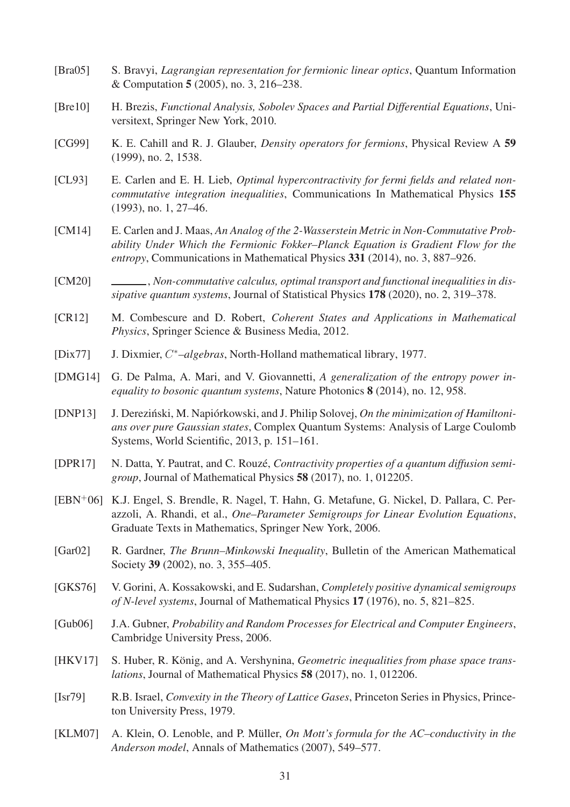- <span id="page-30-4"></span>[Bra05] S. Bravyi, *Lagrangian representation for fermionic linear optics*, Quantum Information & Computation 5 (2005), no. 3, 216–238.
- <span id="page-30-6"></span>[Bre10] H. Brezis, *Functional Analysis, Sobolev Spaces and Partial Differential Equations*, Universitext, Springer New York, 2010.
- <span id="page-30-8"></span>[CG99] K. E. Cahill and R. J. Glauber, *Density operators for fermions*, Physical Review A 59 (1999), no. 2, 1538.
- <span id="page-30-7"></span>[CL93] E. Carlen and E. H. Lieb, *Optimal hypercontractivity for fermi fields and related noncommutative integration inequalities*, Communications In Mathematical Physics 155 (1993), no. 1, 27–46.
- <span id="page-30-2"></span>[CM14] E. Carlen and J. Maas, *An Analog of the 2-Wasserstein Metric in Non-Commutative Probability Under Which the Fermionic Fokker–Planck Equation is Gradient Flow for the entropy*, Communications in Mathematical Physics 331 (2014), no. 3, 887–926.
- <span id="page-30-11"></span>[CM20] , *Non-commutative calculus, optimal transport and functional inequalities in dissipative quantum systems*, Journal of Statistical Physics 178 (2020), no. 2, 319–378.
- <span id="page-30-14"></span>[CR12] M. Combescure and D. Robert, *Coherent States and Applications in Mathematical Physics*, Springer Science & Business Media, 2012.
- <span id="page-30-13"></span>[Dix77] J. Dixmier, *C* <sup>∗</sup>*–algebras*, North-Holland mathematical library, 1977.
- <span id="page-30-0"></span>[DMG14] G. De Palma, A. Mari, and V. Giovannetti, *A generalization of the entropy power inequality to bosonic quantum systems*, Nature Photonics 8 (2014), no. 12, 958.
- <span id="page-30-12"></span>[DNP13] J. Dereziński, M. Napiórkowski, and J. Philip Solovej, *On the minimization of Hamiltonians over pure Gaussian states*, Complex Quantum Systems: Analysis of Large Coulomb Systems, World Scientific, 2013, p. 151–161.
- <span id="page-30-10"></span>[DPR17] N. Datta, Y. Pautrat, and C. Rouzé, *Contractivity properties of a quantum diffusion semigroup*, Journal of Mathematical Physics 58 (2017), no. 1, 012205.
- <span id="page-30-5"></span>[EBN<sup>+</sup>06] K.J. Engel, S. Brendle, R. Nagel, T. Hahn, G. Metafune, G. Nickel, D. Pallara, C. Perazzoli, A. Rhandi, et al., *One–Parameter Semigroups for Linear Evolution Equations*, Graduate Texts in Mathematics, Springer New York, 2006.
- <span id="page-30-1"></span>[Gar02] R. Gardner, *The Brunn–Minkowski Inequality*, Bulletin of the American Mathematical Society 39 (2002), no. 3, 355–405.
- <span id="page-30-15"></span>[GKS76] V. Gorini, A. Kossakowski, and E. Sudarshan, *Completely positive dynamical semigroups of N-level systems*, Journal of Mathematical Physics 17 (1976), no. 5, 821–825.
- <span id="page-30-16"></span>[Gub06] J.A. Gubner, *Probability and Random Processes for Electrical and Computer Engineers*, Cambridge University Press, 2006.
- <span id="page-30-9"></span>[HKV17] S. Huber, R. König, and A. Vershynina, *Geometric inequalities from phase space translations*, Journal of Mathematical Physics 58 (2017), no. 1, 012206.
- <span id="page-30-17"></span>[Isr79] R.B. Israel, *Convexity in the Theory of Lattice Gases*, Princeton Series in Physics, Princeton University Press, 1979.
- <span id="page-30-3"></span>[KLM07] A. Klein, O. Lenoble, and P. Müller, *On Mott's formula for the AC–conductivity in the Anderson model*, Annals of Mathematics (2007), 549–577.